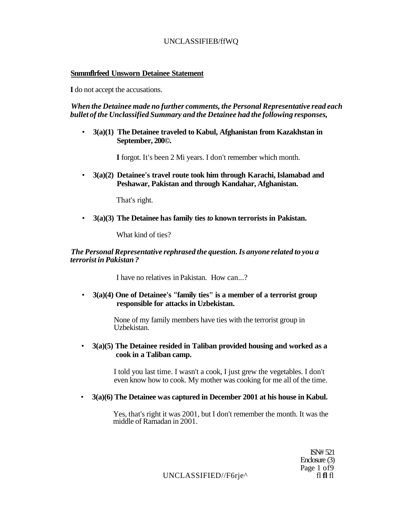# UNCLASSIFIEB/ffWQ

### **Snmmflrfeed Unsworn Detainee Statement**

**I** do not accept the accusations.

### *When the Detainee made no further comments, the Personal Representative read each bullet of the Unclassified Summary and the Detainee had the following responses,*

• **3(a)(1) The Detainee traveled to Kabul, Afghanistan from Kazakhstan in September, 200©.** 

**I** forgot. It's been 2 Mi years. I don't remember which month.

• **3(a)(2) Detainee's travel route took him through Karachi, Islamabad and Peshawar, Pakistan and through Kandahar, Afghanistan.** 

That's right.

• **3(a)(3) The Detainee has family ties** *to* **known terrorists in Pakistan.** 

What kind of ties?

### *The Personal Representative rephrased the question. Is anyone related to you a terrorist in Pakistan ?*

I have no relatives in Pakistan. How can...?

### • **3(a)(4) One of Detainee's "family ties" is a member of a terrorist group responsible for attacks in Uzbekistan.**

None of my family members have ties with the terrorist group in Uzbekistan.

• **3(a)(5) The Detainee resided in Taliban provided housing and worked as a cook in a Taliban camp.** 

> I told you last time. I wasn't a cook, I just grew the vegetables. I don't even know how to cook. My mother was cooking for me all of the time.

• **3(a)(6) The Detainee was captured in December 2001 at his house in Kabul.** 

Yes, that's right it was 2001, but I don't remember the month. It was the middle of Ramadan in 2001.

> ISN# 521 Enclosure (3) Page 1 of 9<br>fl fl fl

UNCLASSIFIED//F6rje^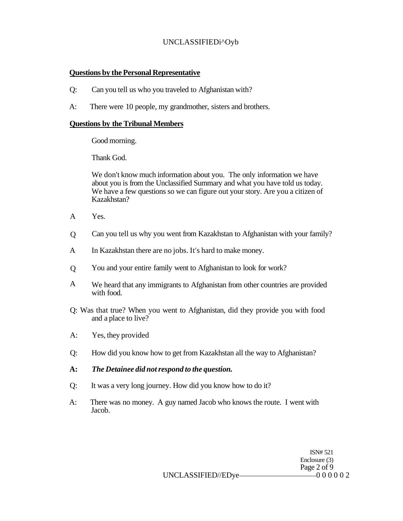# UNCLASSIFIEDi^Oyb

# **Questions by the Personal Representative**

- Q: Can you tell us who you traveled to Afghanistan with?
- A: There were 10 people, my grandmother, sisters and brothers.

### **Questions by the Tribunal Members**

Good morning.

Thank God.

We don't know much information about you. The only information we have about you is from the Unclassified Summary and what you have told us today. We have a few questions so we can figure out your story. Are you a citizen of Kazakhstan?

- A Yes.
- $\overline{O}$ Can you tell us why you went from Kazakhstan to Afghanistan with your family?
- A In Kazakhstan there are no jobs. It's hard to make money.
- $\overline{O}$ You and your entire family went to Afghanistan to look for work?
- A We heard that any immigrants to Afghanistan from other countries are provided with food.
- Q: Was that true? When you went to Afghanistan, did they provide you with food and a place to live?
- A: Yes, they provided
- Q: How did you know how to get from Kazakhstan all the way to Afghanistan?
- **A:** *The Detainee did not respond to the question.*
- Q: It was a very long journey. How did you know how to do it?
- A: There was no money. A guy named Jacob who knows the route. I went with Jacob.

ISN# 521 Enclosure (3) Page 2 of 9

UNCLASSIFIED//EDye-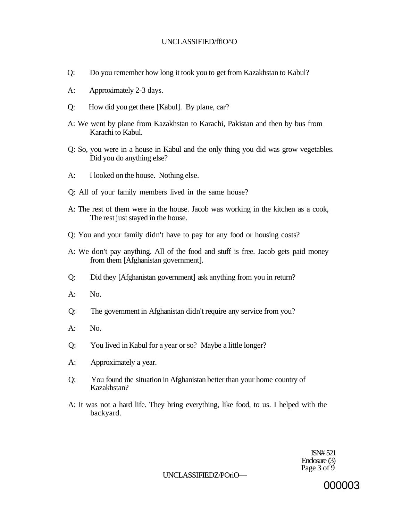### UNCLASSIFIED/ffiO^O

- Q: Do you remember how long it took you to get from Kazakhstan to Kabul?
- A: Approximately 2-3 days.
- Q: How did you get there [Kabul]. By plane, car?
- A: We went by plane from Kazakhstan to Karachi, Pakistan and then by bus from Karachi to Kabul.
- Q: So, you were in a house in Kabul and the only thing you did was grow vegetables. Did you do anything else?
- A: I looked on the house. Nothing else.
- Q: All of your family members lived in the same house?
- A: The rest of them were in the house. Jacob was working in the kitchen as a cook, The rest just stayed in the house.
- Q: You and your family didn't have to pay for any food or housing costs?
- A: We don't pay anything. All of the food and stuff is free. Jacob gets paid money from them [Afghanistan government].
- Q: Did they [Afghanistan government] ask anything from you in return?
- $A:$  No.
- Q: The government in Afghanistan didn't require any service from you?
- A: No.
- Q: You lived in Kabul for a year or so? Maybe a little longer?
- A: Approximately a year.
- Q: You found the situation in Afghanistan better than your home country of Kazakhstan?
- A: It was not a hard life. They bring everything, like food, to us. I helped with the backyard.

ISN# 521 Enclosure (3) Page  $3$  of  $9$ 

UNCLASSIFIEDZ/POriO—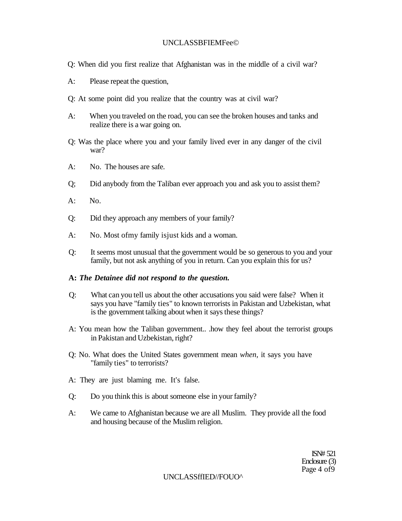### UNCLASSBFIEMFee©

- Q: When did you first realize that Afghanistan was in the middle of a civil war?
- A: Please repeat the question,
- Q: At some point did you realize that the country was at civil war?
- A: When you traveled on the road, you can see the broken houses and tanks and realize there is a war going on.
- Q: Was the place where you and your family lived ever in any danger of the civil war?
- A: No. The houses are safe.
- Q; Did anybody from the Taliban ever approach you and ask you to assist them?
- A: No.
- Q: Did they approach any members of your family?
- A: No. Most ofmy family isjust kids and a woman.
- Q: It seems most unusual that the government would be so generous to you and your family, but not ask anything of you in return. Can you explain this for us?

### **A:** *The Detainee did not respond to the question.*

- Q: What can you tell us about the other accusations you said were false? When it says you have "family ties" to known terrorists in Pakistan and Uzbekistan, what is the government talking about when it says these things?
- A: You mean how the Taliban government.. .how they feel about the terrorist groups in Pakistan and Uzbekistan, right?
- Q: No. What does the United States government mean *when,* it says you have "family ties" to terrorists?
- A: They are just blaming me. It's false.
- Q: Do you think this is about someone else in your family?
- A: We came to Afghanistan because we are all Muslim. They provide all the food and housing because of the Muslim religion.

ISN# 521 Enclosure (3) Page 4 of9

UNCLASSffIED//FOUO^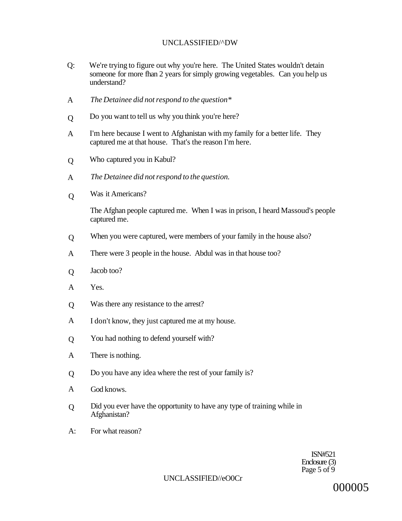### UNCLASSIFIED/^DW

- Q: We're trying to figure out why you're here. The United States wouldn't detain someone for more fhan 2 years for simply growing vegetables. Can you help us understand?
- A *The Detainee did not respond to the question\**
- $\Omega$ Do you want to tell us why you think you're here?
- A I'm here because I went to Afghanistan with my family for a better life. They captured me at that house. That's the reason I'm here.
- Q Who captured you in Kabul?
- A *The Detainee did not respond to the question.*
- $\overline{O}$ Was it Americans?

The Afghan people captured me. When I was in prison, I heard Massoud's people captured me.

- Q When you were captured, were members of your family in the house also?
- A There were 3 people in the house. Abdul was in that house too?
- $\overline{O}$ Jacob too?
- A Yes.
- Q Was there any resistance to the arrest?
- A I don't know, they just captured me at my house.
- Q You had nothing to defend yourself with?
- A There is nothing.
- Q Do you have any idea where the rest of your family is?
- A God knows.
- Did you ever have the opportunity to have any type of training while in Afghanistan?  $\overline{O}$
- A: For what reason?

ISN#521 Enclosure (3) Page 5 of  $\dot{9}$ 

UNCLASSIFlED//eO0Cr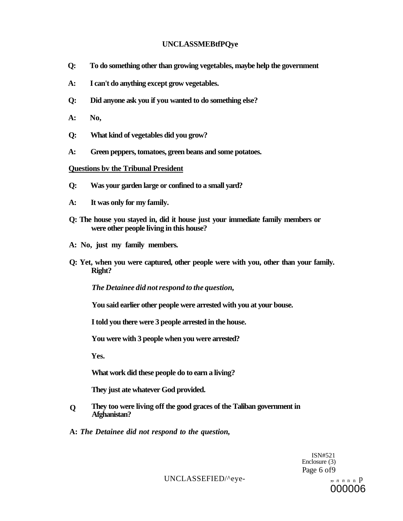### **UNCLASSMEBtfPQye**

- **Q: To do something other than growing vegetables, maybe help the government**
- **A: I can't do anything except grow vegetables.**
- **Q: Did anyone ask you if you wanted to do something else?**
- **A: No,**
- **Q: What kind of vegetables did you grow?**
- **A: Green peppers, tomatoes, green beans and some potatoes.**

### **Questions bv the Tribunal President**

- **Q: Was your garden large or confined to a small yard?**
- **A: It was only for my family.**
- **Q: The house you stayed in, did it house just your immediate family members or were other people living in this house?**
- **A: No, just my family members.**
- **Q: Yet, when you were captured, other people were with you, other than your family. Right?**

*The Detainee did not respond to the question,* 

**You said earlier other people were arrested with you at your bouse.** 

**I told you there were 3 people arrested in the house.** 

**You were with 3 people when you were arrested?** 

**Yes.** 

**What work did these people do to earn a living?** 

**They just ate whatever God provided.** 

- **They too were living off the good graces of the Taliban government in Afghanistan? Q**
- **A:** *The Detainee did not respond to the question,*

ISN#521 Enclosure (3) Page 6 of9

UNCLASSEFIED/^eye- ,, n n n n p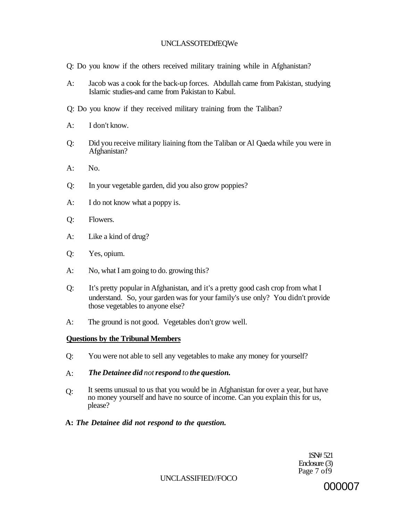### UNCLASSOTEDtfEQWe

Q: Do you know if the others received military training while in Afghanistan?

- A: Jacob was a cook for the back-up forces. Abdullah came from Pakistan, studying Islamic studies-and came from Pakistan to Kabul.
- Q: Do you know if they received military training from the Taliban?
- A: I don't know.
- Q: Did you receive military liaining ftom the Taliban or Al Qaeda while you were in Afghanistan?
- $A:$  No.
- Q: In your vegetable garden, did you also grow poppies?
- A: I do not know what a poppy is.
- Q: Flowers.
- A: Like a kind of drug?
- Q: Yes, opium.
- A: No, what I am going to do. growing this?
- Q: It's pretty popular in Afghanistan, and it's a pretty good cash crop from what I understand. So, your garden was for your family's use only? You didn't provide those vegetables to anyone else?
- A: The ground is not good. Vegetables don't grow well.

### **Questions by the Tribunal Members**

- Q: You were not able to sell any vegetables to make any money for yourself?
- A: *The Detainee did not respond to the question.*
- Q: It seems unusual to us that you would be in Afghanistan for over a year, but have no money yourself and have no source of income. Can you explain this for us, please?
- **A:** *The Detainee did not respond to the question.*

1SN# 521 Enclosure (3) Page 7 of 9

UNCLASSIFIED//FOCO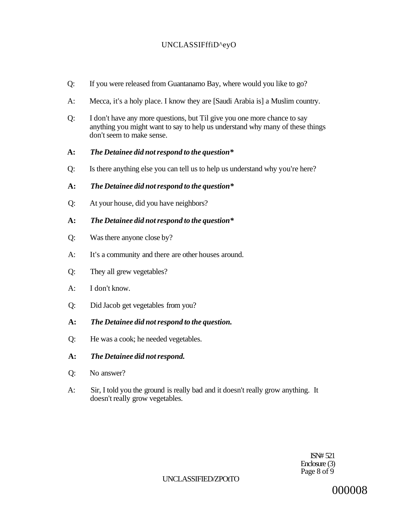# UNCLASSIFffiD^eyO

- Q: If you were released from Guantanamo Bay, where would you like to go?
- A: Mecca, it's a holy place. I know they are [Saudi Arabia is] a Muslim country.
- Q: I don't have any more questions, but Til give you one more chance to say anything you might want to say to help us understand why many of these things don't seem to make sense.

### **A:** *The Detainee did not respond to the question\**

Q: Is there anything else you can tell us to help us understand why you're here?

### **A:** *The Detainee did not respond to the question\**

Q: At your house, did you have neighbors?

### **A:** *The Detainee did not respond to the question\**

- Q: Was there anyone close by?
- A: It's a community and there are other houses around.
- Q: They all grew vegetables?
- A: I don't know.
- Q: Did Jacob get vegetables from you?
- **A:** *The Detainee did not respond to the question.*
- Q: He was a cook; he needed vegetables.
- **A:** *The Detainee did not respond.*
- Q: No answer?
- A: Sir, I told you the ground is really bad and it doesn't really grow anything. It doesn't really grow vegetables.

ISN# 521 Enclosure (3) Page 8 of 9

### UNCLASSIFIED/ZPOtTO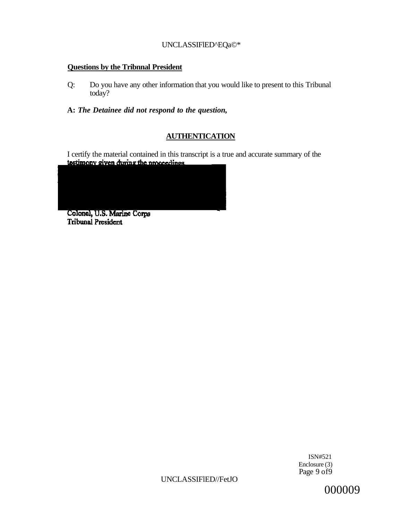### UNCLASSIFlED^EQa©\*

# **Questions by the Tribnnal President**

- Q: Do you have any other information that you would like to present to this Tribunal today?
- **A:** *The Detainee did not respond to the question,*

# **AUTHENTICATION**

I certify the material contained in this transcript is a true and accurate summary of the **testimony given during the proceedings** 

Colonel, U.S. Marine Corps **Tribunal President** 

> ISN#521 Enclosure (3) Page 9 of 9

UNCLASSIFlED//FetJO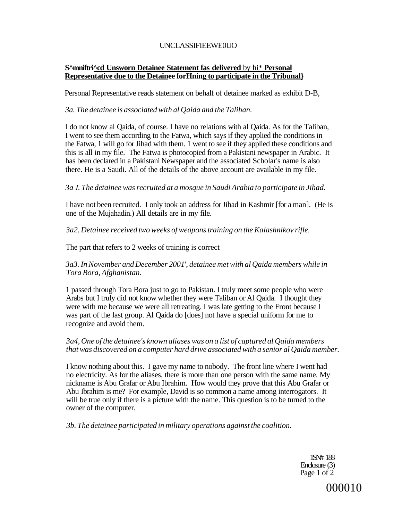### UNCLASSIFIEEWE0UO

### **S^mniftri^cd Unsworn Detainee Statement fas delivered** by hi\* **Personal Representative due to the Detainee forHning to participate in the Tribunal}**

Personal Representative reads statement on behalf of detainee marked as exhibit D-B,

### *3a. The detainee is associated with al Qaida and the Taliban.*

I do not know al Qaida, of course. I have no relations with al Qaida. As for the Taliban, I went to see them according to the Fatwa, which says if they applied the conditions in the Fatwa, 1 will go for Jihad with them. 1 went to see if they applied these conditions and this is all in my file. The Fatwa is photocopied from a Pakistani newspaper in Arabic. It has been declared in a Pakistani Newspaper and the associated Scholar's name is also there. He is a Saudi. All of the details of the above account are available in my file.

### *3a J. The detainee was recruited at a mosque in Saudi Arabia to participate in Jihad.*

I have not been recruited. I only took an address for Jihad in Kashmir [for a man]. (He is one of the Mujahadin.) All details are in my file.

### *3a2. Detainee received two weeks of weapons training on the Kalashnikov rifle.*

The part that refers to 2 weeks of training is correct

### *3a3. In November and December 2001*', *detainee met with al Qaida members while in Tora Bora, Afghanistan.*

1 passed through Tora Bora just to go to Pakistan. I truly meet some people who were Arabs but I truly did not know whether they were Taliban or Al Qaida. I thought they were with me because we were all retreating. I was late getting to the Front because I was part of the last group. Al Qaida do [does] not have a special uniform for me to recognize and avoid them.

### *3a4, One of the detainee's known aliases was on a list of captured al Qaida members that was discovered on a computer hard drive associated with a senior al Qaida member.*

I know nothing about this. I gave my name to nobody. The front line where I went had no electricity. As for the aliases, there is more than one person with the same name. My nickname is Abu Grafar or Abu Ibrahim. How would they prove that this Abu Grafar or Abu Ibrahim is me? For example, David is so common a name among interrogators. It will be true only if there is a picture with the name. This question is to be turned to the owner of the computer.

*3b. The detainee participated in military operations against the coalition.* 

1SN# 188 Enclosure (3) Page 1 of 2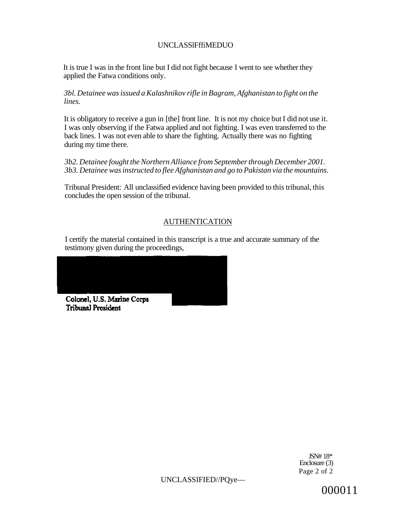## UNCLASSlFffiMEDUO

It is true I was in the front line but I did not fight because I went to see whether they applied the Fatwa conditions only.

*3bl. Detainee was issued a Kalashnikov rifle in Bagram, Afghanistan to fight on the lines.* 

It is obligatory to receive a gun in [the] front line. It is not my choice but I did not use it. I was only observing if the Fatwa applied and not fighting. I was even transferred to the back lines. I was not even able to share the fighting. Actually there was no fighting during my time there.

*3b2. Detainee fought the Northern Alliance from September through December 2001. 3b3. Detainee was instructed to flee Afghanistan and go to Pakistan via the mountains.* 

Tribunal President: All unclassified evidence having been provided to this tribunal, this concludes the open session of the tribunal.

# AUTHENTICATION

I certify the material contained in this transcript is a true and accurate summary of the testimony given during the proceedings,



JSN# 18\* Enclosure (3) Page 2 of 2

UNCLASSIFIED//PQye—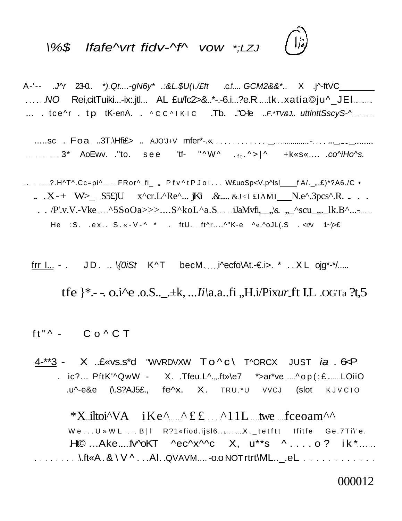# \%\$ Ifafe^vrt fidv-^f^ vow \*;LZJ

A-'-- .J^r 23-0.. \*).Qt....-gN6y\* .:&L.\$U(\./£ft .c.f.... GCM2&&\*.. X .j^-ftVC\_\_\_ ......NO Rei,citTuiki...-ix:.jtl... AL £u/fc2>&..\*-.-6.i...?e.R....tk..xatia©ju^\_JEl.......... ... .  $\text{tce}^{\wedge}$  r .  $\text{tp }$  tK-enA. .  $\wedge$ CC $\wedge$ IKIC . Tb. .."Ofe ..F.\*TV&J.. uttlnttSscyS- $\wedge$ ......

 $\overline{12}$ 

.....sc . Foa ..3T.\Hfi£> .. AJO'J+V mfer\*-.« \_ - ...\_ \_ ..............3\* AoEwv. ."to. see 'tf- "^W^ .<sub>ft</sub> .^>|^ +k«s«.... .co^iHo^s.

... . . . . ?. H^T^.Cc=pi^ ... . FRor^ ... fi\_ , Pfv^tPJoi.. . W£uoSp<V.p^ls! \_\_\_fA/.\_,,£)\*?A6./C •  $X - X - W$   $\geq$   $S5f$ )U  $X$ <sup>^</sup>cr.L^Re^... jKi .&.... &J <I £IAMI N.e^.3pcs^.R. ... . .  $/P'$ .v.V.-Vke  $\triangle$ 5SoOa>>>....S^koL^a.S iJaMvfi,  $\&$ s.  $\triangle$ scu\_ $\&$ .lk.B^...-He :S. .ex.. S. «-V-^ \* . ftU.......ft^r....^"K-e ^«.^oJL(.S . <r/v 1~)>£

frr I... - . JD. ..  $\sqrt{0.05t}$  K^T becM.....i^ecfo\At.-€i>. \* ..X L ojg\*-\*/.....

tfe }\*.- -. o.i^e .o.S.... +k, ...*Ii*\a.a..fi ,,H.i/Pix*ur* ft I.L .ogTa ?t,5

 $ft''^ Co^C T$ 

 $4$ - $*3$  - X ..£ «vs.s\*d "WVRDVXW  $To \wedge c \setminus$  T $\wedge$ ORCX JUST *ia* . 6 $\triangle$ P . ic?...  $PftK'^QwW - X$ . .Tfeu.L^.,..ft»\e7 \*>ar\*ve......^op(;£ ......LOiiO .u^-e&e (\.S?AJ5£., fe^x. X. TRU.\*U VVCJ (slot KJVCI <sup>O</sup>

\*X iltoi^VA  $iKe^{\lambda}$   $\mathcal{L}$   $f \in \mathcal{L}$   $\Lambda$  11L twe fceoam^^  $W e...U W W L...B$ | R?1«fiod.ijsl6........... $X.$  tetftt Ifitfe Ge.7Ti\'e. .Ht© ...Ake......fv^oKT ^ec^x^^c X, u\*\*s ^....o ? ik \*....... \.ft«A . &\V^. . .Al. .QVAVM.... -o.o NOT rtrt\ML..\_.eL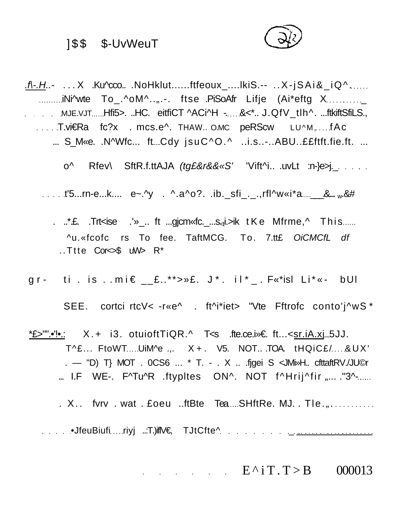# ] \$ \$ \$-UvWeuT



.f\-.H..- ... X .Ku^cco.. .NoHklut......ftfeoux\_....lkiS.-- .. X-jSAi&\_iQ^...... ..........iNi^wte To\_.^oM^..,,.-. ftse .PiSoAfr Lifje (Ai\*eftg X........... MJE.VJT Hfi5>. ..HC. eitfiCT ^ACi^H -. &<\*.. J.QfV\_tlh^. ...ftkiftSfiLS., ... T.vi ERa fc?x . mcs.e^. THAW.. O.MC peRScw LU^M, ... fAc ... S\_M«e. .N^Wfc... ft Cdy jsuC^O.^ ..i.s..-..ABU..££ftft.fie.ft. ...

o^ Rfev\ SftR.f.ttAJA (tg£&r&&«S' 'Vift^i.. .uvLt :n-}e>j........................

.....t'5...rn-e...k.... e~.^y . ^.a^o?..ib.\_sfi\_.\_.,rfl^w«i\*a \_\_\_\_& \_\_ w.&#

- . ..\* £. Trt<ise .'»\_.. ft ... gicm <fc. .... s<sub>at</sub> : >ik tKe Mfrme, ^ Thi s...... ^u.«fcofc rs To fee. TaftMCG. To. 7.tt£ OiCMCfL df ..Ttte Cor<>\$ uW> R\*
- g r t i . i s . .mi € \_\_£..\*\*>»£. J\* . il\*\_ . F«\*isl Li\*« bUl

SEE. cortci rtcV< -r«e^ . ft^i\*iet> "Vte Fftrofc conto'j^wS \*

<u>\*£>"".•'!•.</u>: X. + i3. otuioftTiQR.^ T<s .fte.ce.i»€ ft...<[sr.iA.xj 5](http://sr.iA.xj)JJ. T^£... FtoWT....UiM^e .,. X+. V5. NOT...TOA. tHQiC£/...&UX' . — "D) T} MOT . 0CS6 ... \* T. - . X .. .fjgei S <JMi»H.. cfttaftRV./JU©r  $\ldots$  I.F WE-. F^Tu^R .ftypites ON^. NOT f^Hrij^fir  $\ldots$  ."3^- $\ldots$ 

 $. X.$  fvrv  $.$  wat  $.$  £oeu  $.$  ftBte Tea  $.$  SHftRe. MJ.  $.$  Tle $.$   $, . . . . . . . .$ 

•JfeuBiufi riyj ..:T.)iflV€, TJtCfte^ \_

 $E^{\wedge}$ i T.T > B 000013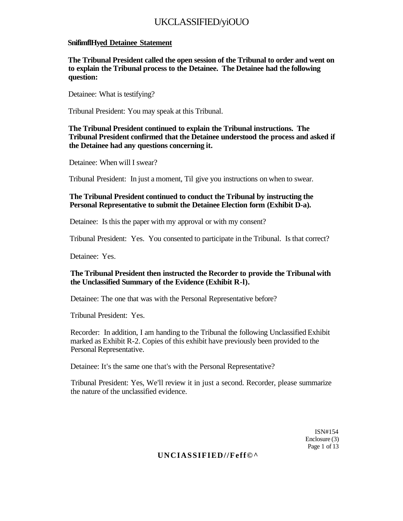# UKCLASSIFIED/yiOUO

### **SnifimflHyed Detainee Statement**

**The Tribunal President called the open session of the Tribunal to order and went on to explain the Tribunal process to the Detainee. The Detainee had the following question:** 

Detainee: What is testifying?

Tribunal President: You may speak at this Tribunal.

### **The Tribunal President continued to explain the Tribunal instructions. The Tribunal President confirmed that the Detainee understood the process and asked if the Detainee had any questions concerning it.**

Detainee: When will I swear?

Tribunal President: In just a moment, Til give you instructions on when to swear.

### **The Tribunal President continued to conduct the Tribunal by instructing the Personal Representative to submit the Detainee Election form (Exhibit D-a).**

Detainee: Is this the paper with my approval or with my consent?

Tribunal President: Yes. You consented to participate in the Tribunal. Is that correct?

Detainee: Yes.

### **The Tribunal President then instructed the Recorder to provide the Tribunal with the Unclassified Summary of the Evidence (Exhibit R-l).**

Detainee: The one that was with the Personal Representative before?

Tribunal President: Yes.

Recorder: In addition, I am handing to the Tribunal the following Unclassified Exhibit marked as Exhibit R-2. Copies of this exhibit have previously been provided to the Personal Representative.

Detainee: It's the same one that's with the Personal Representative?

Tribunal President: Yes, We'll review it in just a second. Recorder, please summarize the nature of the unclassified evidence.

> ISN#154 Enclosure (3) Page 1 of 13

### **UNCIASSIFIED//Feff©^**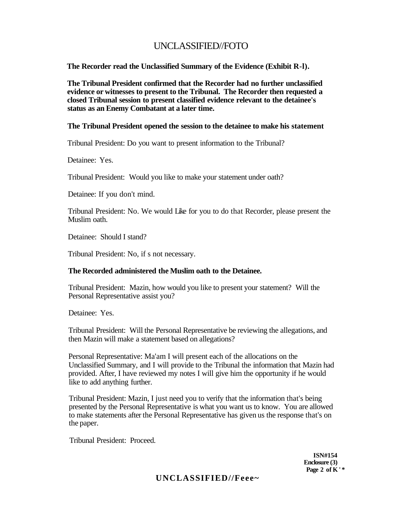# UNCLASSIFIED//FOTO

**The Recorder read the Unclassified Summary of the Evidence (Exhibit R-l).** 

**The Tribunal President confirmed that the Recorder had no further unclassified evidence or witnesses to present to the Tribunal. The Recorder then requested a closed Tribunal session to present classified evidence relevant to the detainee's status as an Enemy Combatant at a later time.** 

### **The Tribunal President opened the session to the detainee to make his statement**

Tribunal President: Do you want to present information to the Tribunal?

Detainee: Yes.

Tribunal President: Would you like to make your statement under oath?

Detainee: If you don't mind.

Tribunal President: No. We would Like for you to do that Recorder, please present the Muslim oath.

Detainee: Should I stand?

Tribunal President: No, if s not necessary.

#### **The Recorded administered the Muslim oath to the Detainee.**

Tribunal President: Mazin, how would you like to present your statement? Will the Personal Representative assist you?

Detainee: Yes.

Tribunal President: Will the Personal Representative be reviewing the allegations, and then Mazin will make a statement based on allegations?

Personal Representative: Ma'am I will present each of the allocations on the Unclassified Summary, and I will provide to the Tribunal the information that Mazin had provided. After, I have reviewed my notes I will give him the opportunity if he would like to add anything further.

Tribunal President: Mazin, I just need you to verify that the information that's being presented by the Personal Representative is what you want us to know. You are allowed to make statements after the Personal Representative has given us the response that's on the paper.

Tribunal President: Proceed.

**ISN#154 Enclosure (3) Page 2 of K' \*** 

# **UNCLASSIFIED//Feee~**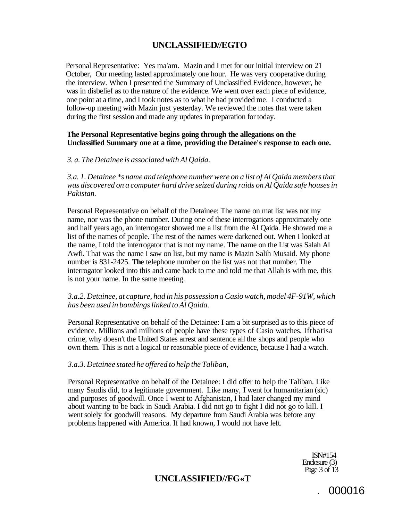# **UNCLASSIFIED//EGTO**

Personal Representative: Yes ma'am. Mazin and I met for our initial interview on 21 October, Our meeting lasted approximately one hour. He was very cooperative during the interview. When I presented the Summary of Unclassified Evidence, however, he was in disbelief as to the nature of the evidence. We went over each piece of evidence, one point at a time, and I took notes as to what he had provided me. I conducted a follow-up meeting with Mazin just yesterday. We reviewed the notes that were taken during the first session and made any updates in preparation for today.

### **The Personal Representative begins going through the allegations on the Unclassified Summary one at a time, providing the Detainee's response to each one.**

#### *3. a. The Detainee is associated with Al Qaida.*

*3.a. 1. Detainee \*s name and telephone number were on a list of Al Qaida members that was discovered on a computer hard drive seized during raids on Al Qaida safe houses in Pakistan.* 

Personal Representative on behalf of the Detainee: The name on mat list was not my name, nor was the phone number. During one of these interrogations approximately one and half years ago, an interrogator showed me a list from the Al Qaida. He showed me a list of the names of people. The rest of the names were darkened out. When I looked at the name, I told the interrogator that is not my name. The name on the List was Salah Al Awfi. That was the name I saw on list, but my name is Mazin Salih Musaid. My phone number is 831-2425. **The** telephone number on the list was not that number. The interrogator looked into this and came back to me and told me that Allah is with me, this is not your name. In the same meeting.

### *3.a.2. Detainee, at capture, had in his possession a Casio watch, model 4F-91W, which has been used in bombings linked to Al Qaida.*

Personal Representative on behalf of the Detainee: I am a bit surprised as to this piece of evidence. Millions and millions of people have these types of Casio watches. Ifthatisa crime, why doesn't the United States arrest and sentence all the shops and people who own them. This is not a logical or reasonable piece of evidence, because I had a watch.

#### *3.a.3. Detainee stated he offered to help the Taliban,*

Personal Representative on behalf of the Detainee: I did offer to help the Taliban. Like many Saudis did, to a legitimate government. Like many, I went for humanitarian (sic) and purposes of goodwill. Once I went to Afghanistan, I had later changed my mind about wanting to be back in Saudi Arabia. I did not go to fight I did not go to kill. I went solely for goodwill reasons. My departure from Saudi Arabia was before any problems happened with America. If had known, I would not have left.

> ISN#154 Enclosure (3) Page 3 of 13

# **UNCLASSIFIED//FG«T**

. 000016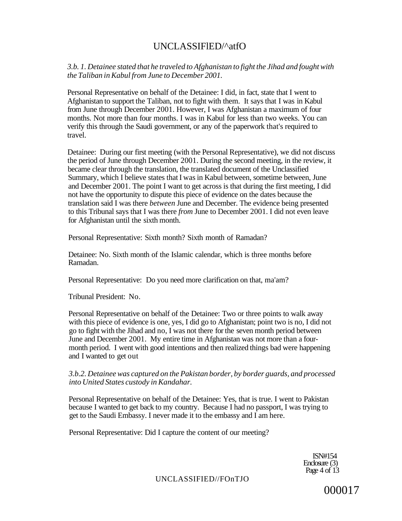# UNCLASSIFlED/^atfO

*3.b. 1. Detainee stated that he traveled to Afghanistan to fight the Jihad and fought with the Taliban in Kabul from June to December 2001.* 

Personal Representative on behalf of the Detainee: I did, in fact, state that I went to Afghanistan to support the Taliban, not to fight with them. It says that I was in Kabul from June through December 2001. However, I was Afghanistan a maximum of four months. Not more than four months. I was in Kabul for less than two weeks. You can verify this through the Saudi government, or any of the paperwork that's required to travel.

Detainee: During our first meeting (with the Personal Representative), we did not discuss the period of June through December 2001. During the second meeting, in the review, it became clear through the translation, the translated document of the Unclassified Summary, which I believe states that I was in Kabul between, sometime between, June and December 2001. The point I want to get across is that during the first meeting, I did not have the opportunity to dispute this piece of evidence on the dates because the translation said I was there *between* June and December. The evidence being presented to this Tribunal says that I was there *from* June to December 2001. I did not even leave for Afghanistan until the sixth month.

Personal Representative: Sixth month? Sixth month of Ramadan?

Detainee: No. Sixth month of the Islamic calendar, which is three months before Ramadan.

Personal Representative: Do you need more clarification on that, ma'am?

Tribunal President: No.

Personal Representative on behalf of the Detainee: Two or three points to walk away with this piece of evidence is one, yes, I did go to Afghanistan; point two is no, I did not go to fight with the Jihad and no, I was not there for the seven month period between June and December 2001. My entire time in Afghanistan was not more than a fourmonth period. I went with good intentions and then realized things bad were happening and I wanted to get out

### *3.b.2. Detainee was captured on the Pakistan border, by border guards, and processed into United States custody in Kandahar.*

Personal Representative on behalf of the Detainee: Yes, that is true. I went to Pakistan because I wanted to get back to my country. Because I had no passport, I was trying to get to the Saudi Embassy. I never made it to the embassy and I am here.

Personal Representative: Did I capture the content of our meeting?

ISN#154 Enclosure (3) Page 4 of 13

UNCLASSIFIED//FOnTJO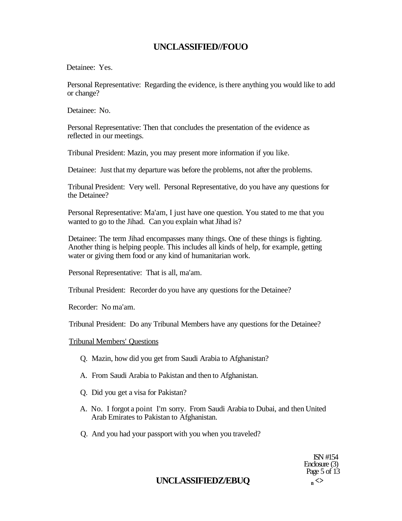# **UNCLASSIFIED//FOUO**

Detainee: Yes.

Personal Representative: Regarding the evidence, is there anything you would like to add or change?

Detainee: No.

Personal Representative: Then that concludes the presentation of the evidence as reflected in our meetings.

Tribunal President: Mazin, you may present more information if you like.

Detainee: Just that my departure was before the problems, not after the problems.

Tribunal President: Very well. Personal Representative, do you have any questions for the Detainee?

Personal Representative: Ma'am, I just have one question. You stated to me that you wanted to go to the Jihad. Can you explain what Jihad is?

Detainee: The term Jihad encompasses many things. One of these things is fighting. Another thing is helping people. This includes all kinds of help, for example, getting water or giving them food or any kind of humanitarian work.

Personal Representative: That is all, ma'am.

Tribunal President: Recorder do you have any questions for the Detainee?

Recorder: No ma'am.

Tribunal President: Do any Tribunal Members have any questions for the Detainee?

### Tribunal Members' Questions

- Q. Mazin, how did you get from Saudi Arabia to Afghanistan?
- A. From Saudi Arabia to Pakistan and then to Afghanistan.
- Q. Did you get a visa for Pakistan?
- A. No. I forgot a point I'm sorry. From Saudi Arabia to Dubai, and then United Arab Emirates to Pakistan to Afghanistan.
- Q. And you had your passport with you when you traveled?

ISN #154 Enclosure (3) Page 5 of 13

# **UNCLASSIFIEDZ/EBUQ <sup>n</sup>** *<>*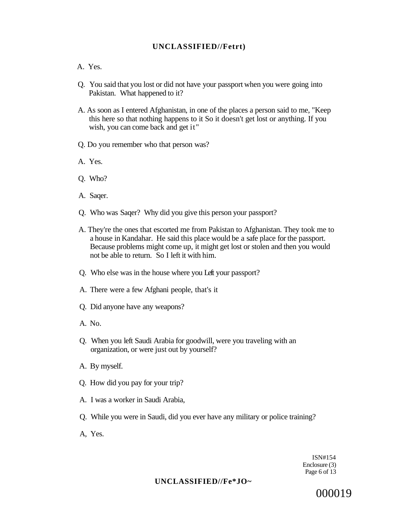### **UNCLASSIFIED//Fetrt)**

### A. Yes.

- Q. You said that you lost or did not have your passport when you were going into Pakistan. What happened to it?
- A. As soon as I entered Afghanistan, in one of the places a person said to me, "Keep this here so that nothing happens to it So it doesn't get lost or anything. If you wish, you can come back and get it"
- Q. Do you remember who that person was?
- A. Yes.
- Q. Who?
- A. Saqer.
- Q. Who was Saqer? Why did you give this person your passport?
- A. They're the ones that escorted me from Pakistan to Afghanistan. They took me to a house in Kandahar. He said this place would be a safe place for the passport. Because problems might come up, it might get lost or stolen and then you would not be able to return. So I left it with him.
- Q. Who else was in the house where you Left your passport?
- A. There were a few Afghani people, that's it
- Q. Did anyone have any weapons?
- A. No.
- Q. When you left Saudi Arabia for goodwill, were you traveling with an organization, or were just out by yourself?
- A. By myself.
- Q. How did you pay for your trip?
- A. I was a worker in Saudi Arabia,
- Q. While you were in Saudi, did you ever have any military or police training?
- A, Yes.

ISN#154 Enclosure (3) Page 6 of 13

### **UNCLASSIFIED//Fe\*JO~**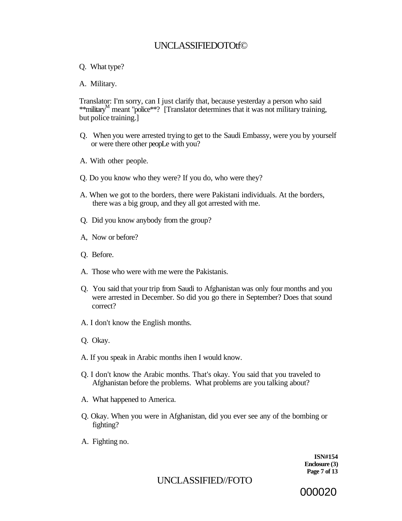# UNCLASSIFIEDOTOtf©

### Q. What type?

### A. Military.

Translator: I'm sorry, can I just clarify that, because yesterday a person who said \*\* military<sup>M</sup> meant "police\*\*? [Translator determines that it was not military training, but police training.]

- Q. When you were arrested trying to get to the Saudi Embassy, were you by yourself or were there other peopLe with you?
- A. With other people.
- Q. Do you know who they were? If you do, who were they?
- A. When we got to the borders, there were Pakistani individuals. At the borders, there was a big group, and they all got arrested with me.
- Q. Did you know anybody from the group?
- A, Now or before?
- Q. Before.
- A. Those who were with me were the Pakistanis.
- Q. You said that your trip from Saudi to Afghanistan was only four months and you were arrested in December. So did you go there in September? Does that sound correct?
- A. I don't know the English months.
- Q. Okay.
- A. If you speak in Arabic months ihen I would know.
- Q. I don't know the Arabic months. That's okay. You said that you traveled to Afghanistan before the problems. What problems are you talking about?
- A. What happened to America.
- Q. Okay. When you were in Afghanistan, did you ever see any of the bombing or fighting?
- A. Fighting no.

**ISN#154 Enclosure (3) Page 7 of 13** 

# UNCLASSIFIED//FOTO

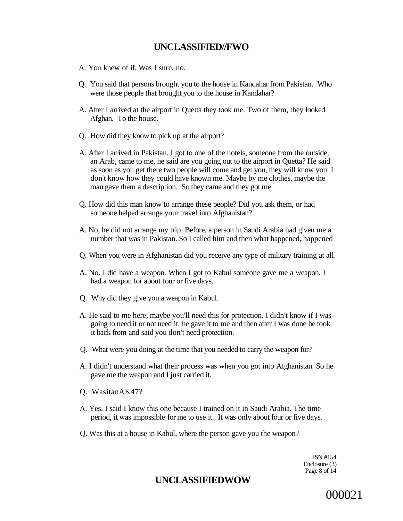# **UNCLASSIFIED//FWO**

- A. You knew of if. Was I sure, no.
- Q. You said that persons brought you to the house in Kandahar from Pakistan. Who were those people that brought you to the house in Kandahar?
- A. After I arrived at the airport in Quetta they took me. Two of them, they looked Afghan. To the house.
- Q. How did they know to pick up at the airport?
- A. After I arrived in Pakistan. I got to one of the hotels, someone from the outside, an Arab, came to me, he said are you going out to the airport in Quetta? He said as soon as you get there two people will come and get you, they will know you. I don't know how they could have known me. Maybe by me clothes, maybe the man gave them a description. So they came and they got me.
- Q. How did this man know to arrange these people? Did you ask them, or had someone helped arrange your travel into Afghanistan?
- A. No, he did not arrange my trip. Before, a person in Saudi Arabia had given me a number that was in Pakistan. So I called him and then what happened, happened
- Q. When you were in Afghanistan did you receive any type of military training at all.
- A. No. I did have a weapon. When I got to Kabul someone gave me a weapon. I had a weapon for about four or five days.
- Q. Why did they give you a weapon in Kabul.
- A. He said to me here, maybe you'll need this for protection. I didn't know if I was going to need it or not need it, he gave it to me and then after I was done he took it back from and said you don't need protection.
- Q. What were you doing at the time that you needed to carry the weapon for?
- A. I didn't understand what their process was when you got into Afghanistan. So he gave me the weapon and I just carried it.
- Q. WasitanAK47?
- A. Yes. I said I know this one because I trained on it in Saudi Arabia. The time period, it was impossible for me to use it. It was only about four or five days.
- Q. Was this at a house in Kabul, where the person gave you the weapon?

ISN #154 Enclosure (3) Page 8 of 14

# **UNCLASSIFIEDWOW**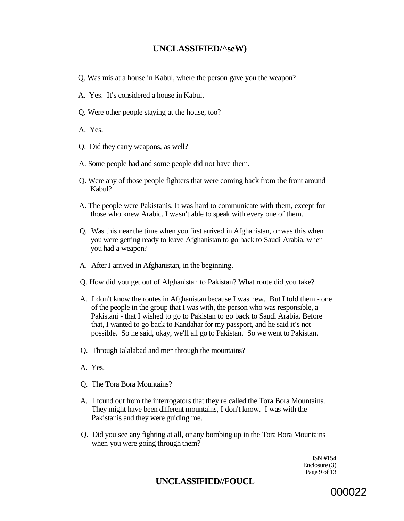# **UNCLASSIFIED/^seW)**

- Q. Was mis at a house in Kabul, where the person gave you the weapon?
- A. Yes. It's considered a house in Kabul.
- Q. Were other people staying at the house, too?
- A. Yes.
- Q. Did they carry weapons, as well?
- A. Some people had and some people did not have them.
- Q. Were any of those people fighters that were coming back from the front around Kabul?
- A. The people were Pakistanis. It was hard to communicate with them, except for those who knew Arabic. I wasn't able to speak with every one of them.
- Q. Was this near the time when you first arrived in Afghanistan, or was this when you were getting ready to leave Afghanistan to go back to Saudi Arabia, when you had a weapon?
- A. After I arrived in Afghanistan, in the beginning.
- Q. How did you get out of Afghanistan to Pakistan? What route did you take?
- A. I don't know the routes in Afghanistan because I was new. But I told them one of the people in the group that I was with, the person who was responsible, a Pakistani - that I wished to go to Pakistan to go back to Saudi Arabia. Before that, I wanted to go back to Kandahar for my passport, and he said it's not possible. So he said, okay, we'll all go to Pakistan. So we went to Pakistan.
- Q. Through Jalalabad and men through the mountains?
- A. Yes.
- Q. The Tora Bora Mountains?
- A. I found out from the interrogators that they're called the Tora Bora Mountains. They might have been different mountains, I don't know. I was with the Pakistanis and they were guiding me.
- Q. Did you see any fighting at all, or any bombing up in the Tora Bora Mountains when you were going through them?

ISN #154 Enclosure (3) Page 9 of 13

# **UNCLASSIFIED//FOUCL**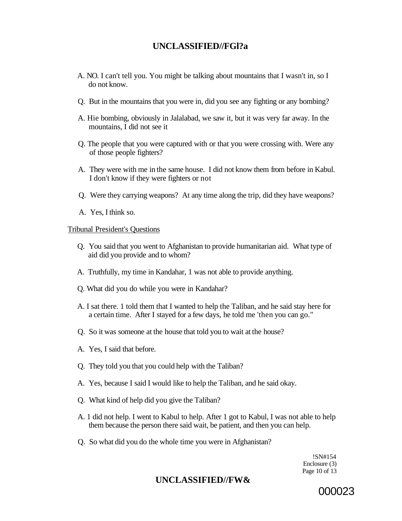# **UNCLASSIFIED//FGl?a**

- A. NO. I can't tell you. You might be talking about mountains that I wasn't in, so I do not know.
- Q. But in the mountains that you were in, did you see any fighting or any bombing?
- A. Hie bombing, obviously in Jalalabad, we saw it, but it was very far away. In the mountains, I did not see it
- Q. The people that you were captured with or that you were crossing with. Were any of those people fighters?
- A. They were with me in the same house. I did not know them from before in Kabul. I don't know if they were fighters or not
- Q. Were they carrying weapons? At any time along the trip, did they have weapons?
- A. Yes, I think so.

### Tribunal President's Questions

- Q. You said that you went to Afghanistan to provide humanitarian aid. What type of aid did you provide and to whom?
- A. Truthfully, my time in Kandahar, 1 was not able to provide anything.
- Q. What did you do while you were in Kandahar?
- A. I sat there. 1 told them that I wanted to help the Taliban, and he said stay here for a certain time. After I stayed for a few days, he told me 'then you can go."
- Q. So it was someone at the house that told you to wait at the house?
- A. Yes, I said that before.
- Q. They told you that you could help with the Taliban?
- A. Yes, because I said I would like to help the Taliban, and he said okay.
- Q. What kind of help did you give the Taliban?
- A. 1 did not help. I went to Kabul to help. After 1 got to Kabul, I was not able to help them because the person there said wait, be patient, and then you can help.
- Q. So what did you do the whole time you were in Afghanistan?

!SN#154 Enclosure (3) Page 10 of 13

# **UNCLASSIFIED//FW&**

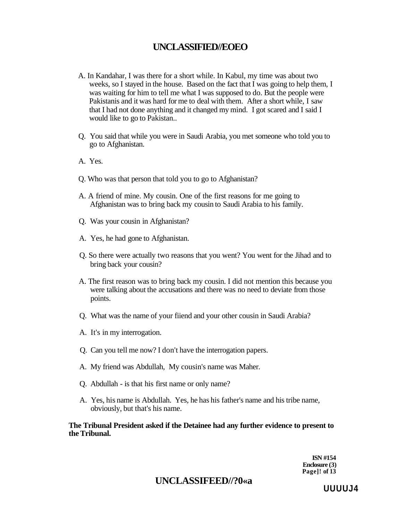# **UNCLASSIFIED//EOEO**

- A. In Kandahar, I was there for a short while. In Kabul, my time was about two weeks, so I stayed in the house. Based on the fact that I was going to help them, I was waiting for him to tell me what I was supposed to do. But the people were Pakistanis and it was hard for me to deal with them. After a short while, I saw that I had not done anything and it changed my mind. I got scared and I said I would like to go to Pakistan...
- Q. You said that while you were in Saudi Arabia, you met someone who told you to go to Afghanistan.
- A. Yes.
- Q. Who was that person that told you to go to Afghanistan?
- A. A friend of mine. My cousin. One of the first reasons for me going to Afghanistan was to bring back my cousin to Saudi Arabia to his family.
- Q. Was your cousin in Afghanistan?
- A. Yes, he had gone to Afghanistan.
- Q. So there were actually two reasons that you went? You went for the Jihad and to bring back your cousin?
- A. The first reason was to bring back my cousin. I did not mention this because you were talking about the accusations and there was no need to deviate from those points.
- Q. What was the name of your fiiend and your other cousin in Saudi Arabia?
- A. It's in my interrogation.
- Q. Can you tell me now? I don't have the interrogation papers.
- A. My friend was Abdullah, My cousin's name was Maher.
- Q. Abdullah is that his first name or only name?
- A. Yes, his name is Abdullah. Yes, he has his father's name and his tribe name, obviously, but that's his name.

### **The Tribunal President asked if the Detainee had any further evidence to present to the Tribunal.**

**ISN #154 Enclosure (3) Page]! of 13** 

# **UNCLASSIFEED//?0«a**

**UUUUJ4**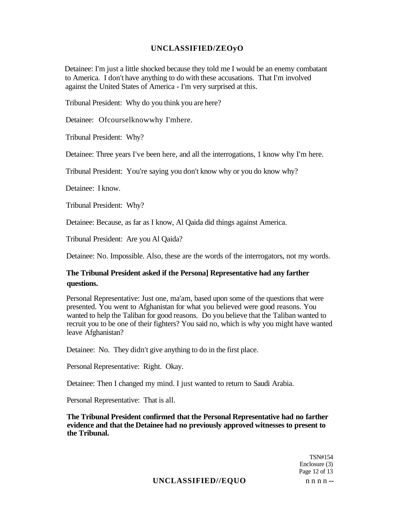### **UNCLASSIFIED/ZEOyO**

Detainee: I'm just a little shocked because they told me I would be an enemy combatant to America. I don't have anything to do with these accusations. That I'm involved against the United States of America - I'm very surprised at this.

Tribunal President: Why do you think you are here?

Detainee: Ofcourselknowwhy I'mhere.

Tribunal President: Why?

Detainee: Three years I've been here, and all the interrogations, 1 know why I'm here.

Tribunal President: You're saying you don't know why or you do know why?

Detainee: I know.

Tribunal President: Why?

Detainee: Because, as far as I know, Al Qaida did things against America.

Tribunal President: Are you Al Qaida?

Detainee: No. Impossible. Also, these are the words of the interrogators, not my words.

### **The Tribunal President asked if the Persona] Representative had any farther questions.**

Personal Representative: Just one, ma'am, based upon some of the questions that were presented. You went to Afghanistan for what you believed were good reasons. You wanted to help the Taliban for good reasons. Do you believe that the Taliban wanted to recruit you to be one of their fighters? You said no, which is why you might have wanted leave Afghanistan?

Detainee: No. They didn't give anything to do in the first place.

Personal Representative: Right. Okay.

Detainee: Then I changed my mind. I just wanted to return to Saudi Arabia.

Personal Representative: That is all.

**The Tribunal President confirmed that the Personal Representative had no farther evidence and that the Detainee had no previously approved witnesses to present to the Tribunal.** 

> TSN#154 Enclosure (3) Page 12 of 13

# **UNCLASSIFIED//EQUO** n n n n **--**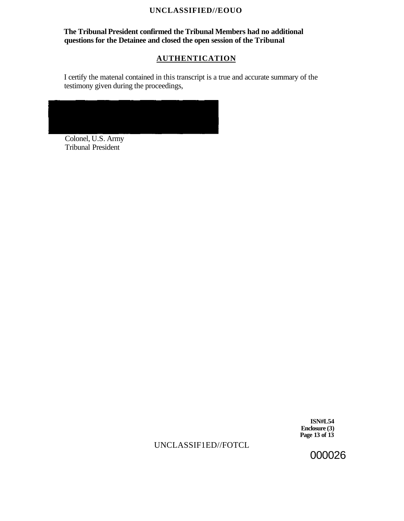### **UNCLASSIFIED//EOUO**

## **The Tribunal President confirmed the Tribunal Members had no additional questions for the Detainee and closed the open session of the Tribunal**

# **AUTHENTICATION**

I certify the matenal contained in this transcript is a true and accurate summary of the testimony given during the proceedings,



Colonel, U.S. Army Tribunal President

> **ISN#L54 Enclosure (3) Page 13 of 13**

UNCLASSIF1ED//FOTCL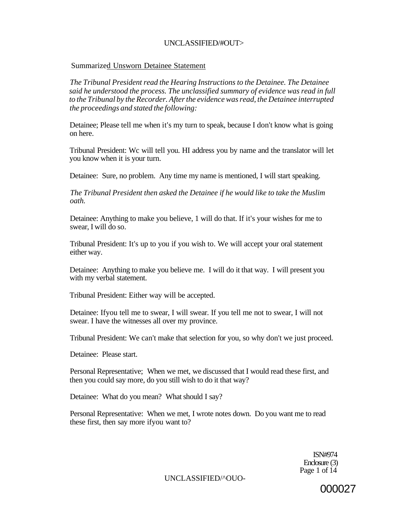### UNCLASSIFIED/#OUT>

### Summarized Unsworn Detainee Statement

*The Tribunal President read the Hearing Instructions to the Detainee. The Detainee said he understood the process. The unclassified summary of evidence was read in full to the Tribunal by the Recorder. After the evidence was read, the Detainee interrupted the proceedings and stated the following:* 

Detainee; Please tell me when it's my turn to speak, because I don't know what is going on here.

Tribunal President: Wc will tell you. HI address you by name and the translator will let you know when it is your turn.

Detainee: Sure, no problem. Any time my name is mentioned, I will start speaking.

*The Tribunal President then asked the Detainee if he would like to take the Muslim oath.* 

Detainee: Anything to make you believe, 1 will do that. If it's your wishes for me to swear, I will do so.

Tribunal President: It's up to you if you wish to. We will accept your oral statement either way.

Detainee: Anything to make you believe me. I will do it that way. I will present you with my verbal statement.

Tribunal President: Either way will be accepted.

Detainee: Ifyou tell me to swear, I will swear. If you tell me not to swear, I will not swear. I have the witnesses all over my province.

Tribunal President: We can't make that selection for you, so why don't we just proceed.

Detainee: Please start.

Personal Representative; When we met, we discussed that I would read these first, and then you could say more, do you still wish to do it that way?

Detainee: What do you mean? What should I say?

Personal Representative: When we met, I wrote notes down. Do you want me to read these first, then say more ifyou want to?

> ISN#974 Enclosure (3) Page 1 of 14

UNCLASSIFIED/^OUO-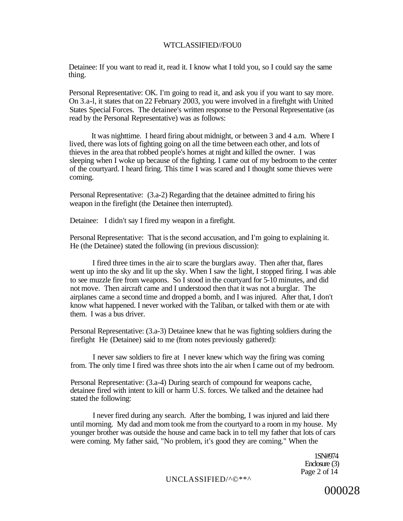#### WTCLASSIFIED//FOU0

Detainee: If you want to read it, read it. I know what I told you, so I could say the same thing.

Personal Representative: OK. I'm going to read it, and ask you if you want to say more. On 3.a-l, it states that on 22 February 2003, you were involved in a fireftght with United States Special Forces. The detainee's written response to the Personal Representative (as read by the Personal Representative) was as follows:

It was nighttime. I heard firing about midnight, or between 3 and 4 a.m. Where I lived, there was lots of fighting going on all the time between each other, and lots of thieves in the area that robbed people's homes at night and killed the owner. I was sleeping when I woke up because of the fighting. I came out of my bedroom to the center of the courtyard. I heard firing. This time I was scared and I thought some thieves were coming.

Personal Representative: (3.a-2) Regarding that the detainee admitted to firing his weapon in the firefight (the Detainee then interrupted).

Detainee: I didn't say I fired my weapon in a firefight.

Personal Representative: That is the second accusation, and I'm going to explaining it. He (the Detainee) stated the following (in previous discussion):

I fired three times in the air to scare the burglars away. Then after that, flares went up into the sky and lit up the sky. When I saw the light, I stopped firing. I was able to see muzzle fire from weapons. So I stood in the courtyard for 5-10 minutes, and did not move. Then aircraft came and I understood then that it was not a burglar. The airplanes came a second time and dropped a bomb, and I was injured. After that, I don't know what happened. I never worked with the Taliban, or talked with them or ate with them. I was a bus driver.

Personal Representative: (3.a-3) Detainee knew that he was fighting soldiers during the firefight He (Detainee) said to me (from notes previously gathered):

I never saw soldiers to fire at I never knew which way the firing was coming from. The only time I fired was three shots into the air when I came out of my bedroom.

Personal Representative: (3.a-4) During search of compound for weapons cache, detainee fired with intent to kill or harm U.S. forces. We talked and the detainee had stated the following:

I never fired during any search. After the bombing, I was injured and laid there until morning. My dad and mom took me from the courtyard to a room in my house. My younger brother was outside the house and came back in to tell my father that lots of cars were coming. My father said, "No problem, it's good they are coming." When the

> 1SN#974 Enclosure (3) Page 2 of 14

UNCLASSIFIED/^©\*\*^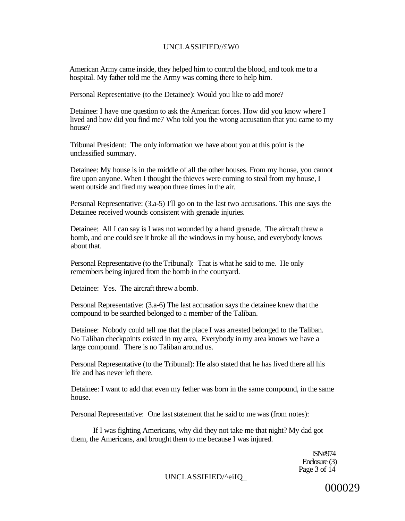### UNCLASSIFIED//£W0

American Army came inside, they helped him to control the blood, and took me to a hospital. My father told me the Army was coming there to help him.

Personal Representative (to the Detainee): Would you like to add more?

Detainee: I have one question to ask the American forces. How did you know where I lived and how did you find me7 Who told you the wrong accusation that you came to my house?

Tribunal President: The only information we have about you at this point is the unclassified summary.

Detainee: My house is in the middle of all the other houses. From my house, you cannot fire upon anyone. When I thought the thieves were coming to steal from my house, I went outside and fired my weapon three times in the air.

Personal Representative: (3.a-5) I'll go on to the last two accusations. This one says the Detainee received wounds consistent with grenade injuries.

Detainee: All I can say is I was not wounded by a hand grenade. The aircraft threw a bomb, and one could see it broke all the windows in my house, and everybody knows about that.

Personal Representative (to the Tribunal): That is what he said to me. He only remembers being injured from the bomb in the courtyard.

Detainee: Yes. The aircraft threw a bomb.

Personal Representative: (3.a-6) The last accusation says the detainee knew that the compound to be searched belonged to a member of the Taliban.

Detainee: Nobody could tell me that the place I was arrested belonged to the Taliban. No Taliban checkpoints existed in my area, Everybody in my area knows we have a large compound. There is no Taliban around us.

Personal Representative (to the Tribunal): He also stated that he has lived there all his life and has never left there.

Detainee: I want to add that even my fether was born in the same compound, in the same house.

Personal Representative: One last statement that he said to me was (from notes):

If I was fighting Americans, why did they not take me that night? My dad got them, the Americans, and brought them to me because I was injured.

> ISN#974 Enclosure (3) Page 3 of  $14$

UNCLASSIFIED/^eiIQ\_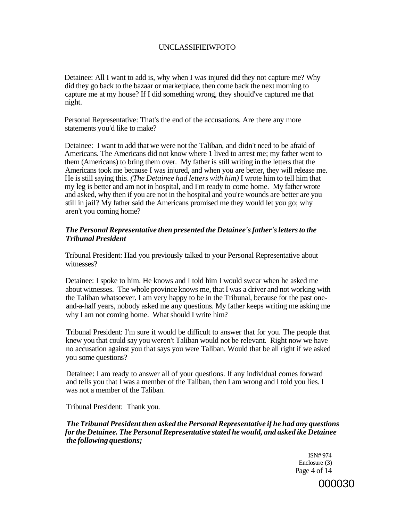### UNCLASSIFIEIWFOTO

Detainee: All I want to add is, why when I was injured did they not capture me? Why did they go back to the bazaar or marketplace, then come back the next morning to capture me at my house? If I did something wrong, they should've captured me that night.

Personal Representative: That's the end of the accusations. Are there any more statements you'd like to make?

Detainee: I want to add that we were not the Taliban, and didn't need to be afraid of Americans. The Americans did not know where 1 lived to arrest me; my father went to them (Americans) to bring them over. My father is still writing in the letters that the Americans took me because I was injured, and when you are better, they will release me. He is still saying this. *(The Detainee had letters with him)* I wrote him to tell him that my leg is better and am not in hospital, and I'm ready to come home. My father wrote and asked, why then if you are not in the hospital and you're wounds are better are you still in jail? My father said the Americans promised me they would let you go; why aren't you coming home?

### *The Personal Representative then presented the Detainee's father's letters to the Tribunal President*

Tribunal President: Had you previously talked to your Personal Representative about witnesses?

Detainee: I spoke to him. He knows and I told him I would swear when he asked me about witnesses. The whole province knows me, that I was a driver and not working with the Taliban whatsoever. I am very happy to be in the Tribunal, because for the past oneand-a-half years, nobody asked me any questions. My father keeps writing me asking me why I am not coming home. What should I write him?

Tribunal President: I'm sure it would be difficult to answer that for you. The people that knew you that could say you weren't Taliban would not be relevant. Right now we have no accusation against you that says you were Taliban. Would that be all right if we asked you some questions?

Detainee: I am ready to answer all of your questions. If any individual comes forward and tells you that I was a member of the Taliban, then I am wrong and I told you lies. I was not a member of the Taliban.

Tribunal President: Thank you.

*The Tribunal President then asked the Personal Representative if he had any questions for the Detainee. The Personal Representative stated he would, and asked ike Detainee the following questions;* 

> ISN# 974 Enclosure (3) Page 4 of 14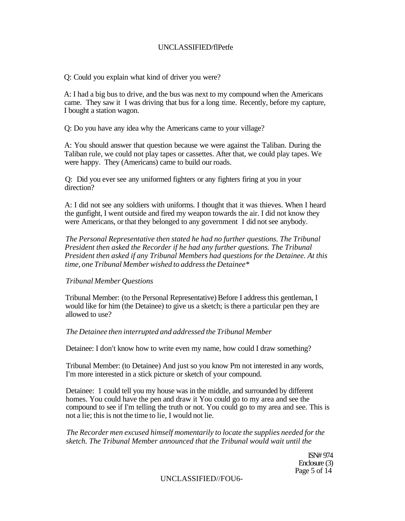### UNCLASSIFIED/flPetfe

Q: Could you explain what kind of driver you were?

A: I had a big bus to drive, and the bus was next to my compound when the Americans came. They saw it I was driving that bus for a long time. Recently, before my capture, I bought a station wagon.

Q: Do you have any idea why the Americans came to your village?

A: You should answer that question because we were against the Taliban. During the Taliban rule, we could not play tapes or cassettes. After that, we could play tapes. We were happy. They (Americans) came to build our roads.

Q: Did you ever see any uniformed fighters or any fighters firing at you in your direction?

A: I did not see any soldiers with uniforms. I thought that it was thieves. When I heard the gunfight, I went outside and fired my weapon towards the air. I did not know they were Americans, or that they belonged to any government I did not see anybody.

*The Personal Representative then stated he had no further questions. The Tribunal President then asked the Recorder if he had any further questions. The Tribunal President then asked if any Tribunal Members had questions for the Detainee. At this time, one Tribunal Member wished to address the Detainee\** 

### *Tribunal Member Questions*

Tribunal Member: (to the Personal Representative) Before I address this gentleman, I would like for him (the Detainee) to give us a sketch; is there a particular pen they are allowed to use?

### *The Detainee then interrupted and addressed the Tribunal Member*

Detainee: I don't know how to write even my name, how could I draw something?

Tribunal Member: (to Detainee) And just so you know Pm not interested in any words, I'm more interested in a stick picture or sketch of your compound.

Detainee: 1 could tell you my house was in the middle, and surrounded by different homes. You could have the pen and draw it You could go to my area and see the compound to see if I'm telling the truth or not. You could go to my area and see. This is not a lie; this is not the time to lie, I would not lie.

*The Recorder men excused himself momentarily to locate the supplies needed for the sketch. The Tribunal Member announced that the Tribunal would wait until the* 

> ISN# 974 Enclosure (3) Page 5 of 14

### UNCLASSIFIED//FOU6-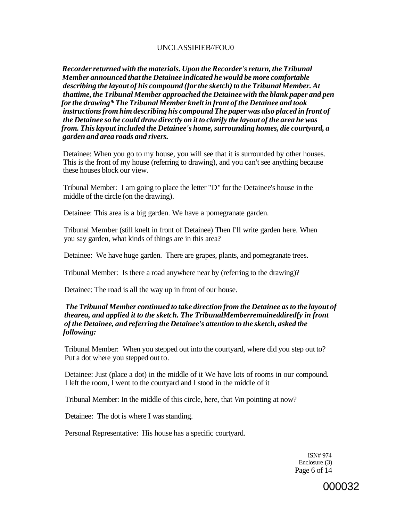### UNCLASSIFIEB//FOU0

*Recorder returned with the materials. Upon the Recorder's return, the Tribunal Member announced that the Detainee indicated he would be more comfortable describing the layout of his compound (for the sketch) to the Tribunal Member. At thattime, the Tribunal Member approached the Detainee with the blank paper and pen for the drawing\* The Tribunal Member knelt in front of the Detainee and took instructions from him describing his compound The paper was also placed in front of the Detainee so he could draw directly on it to clarify the layout of the area he was from. This layout included the Detainee's home, surrounding homes, die courtyard, a garden and area roads and rivers.* 

Detainee: When you go to my house, you will see that it is surrounded by other houses. This is the front of my house (referring to drawing), and you can't see anything because these houses block our view.

Tribunal Member: I am going to place the letter "D" for the Detainee's house in the middle of the circle (on the drawing).

Detainee: This area is a big garden. We have a pomegranate garden.

Tribunal Member (still knelt in front of Detainee) Then I'll write garden here. When you say garden, what kinds of things are in this area?

Detainee: We have huge garden. There are grapes, plants, and pomegranate trees.

Tribunal Member: Is there a road anywhere near by (referring to the drawing)?

Detainee: The road is all the way up in front of our house.

### *The Tribunal Member continued to take direction from the Detainee as to the layout of thearea, and applied it to the sketch. The TribunalMemberremaineddiredfy in front of the Detainee, and referring the Detainee's attention to the sketch, asked the following:*

Tribunal Member: When you stepped out into the courtyard, where did you step out to? Put a dot where you stepped out to.

Detainee: Just (place a dot) in the middle of it We have lots of rooms in our compound. I left the room, I went to the courtyard and I stood in the middle of it

Tribunal Member: In the middle of this circle, here, that *Vm* pointing at now?

Detainee: The dot is where I was standing.

Personal Representative: His house has a specific courtyard.

ISN# 974 Enclosure (3) Page 6 of 14

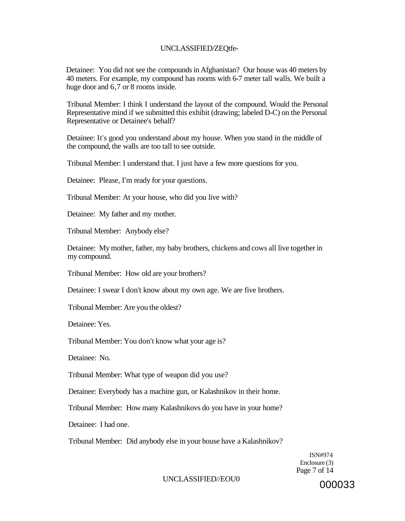### UNCLASSIFIED/ZEQtfe-

Detainee: You did not see the compounds in Afghanistan? Our house was 40 meters by 40 meters. For example, my compound has rooms with 6-7 meter tall walls. We built a huge door and 6,7 or 8 rooms inside.

Tribunal Member: I think I understand the layout of the compound. Would the Personal Representative mind if we submitted this exhibit (drawing; labeled D-C) on the Personal Representative or Detainee's behalf?

Detainee: It's good you understand about my house. When you stand in the middle of the compound, the walls are too tall to see outside.

Tribunal Member: I understand that. I just have a few more questions for you.

Detainee: Please, I'm ready for your questions.

Tribunal Member: At your house, who did you live with?

Detainee: My father and my mother.

Tribunal Member: Anybody else?

Detainee: My mother, father, my baby brothers, chickens and cows all live together in my compound.

Tribunal Member: How old are your brothers?

Detainee: I swear I don't know about my own age. We are five brothers.

Tribunal Member: Are you the oldest?

Detainee: Yes.

Tribunal Member: You don't know what your age is?

Detainee: No.

Tribunal Member: What type of weapon did you use?

Detainee: Everybody has a machine gun, or Kalashnikov in their home.

Tribunal Member: How many Kalashnikovs do you have in your home?

Detainee: I had one.

Tribunal Member: Did anybody else in your house have a Kalashnikov?

ISN#974 Enclosure (3) Page 7 of 14

#### UNCLASSIFIED//EOU0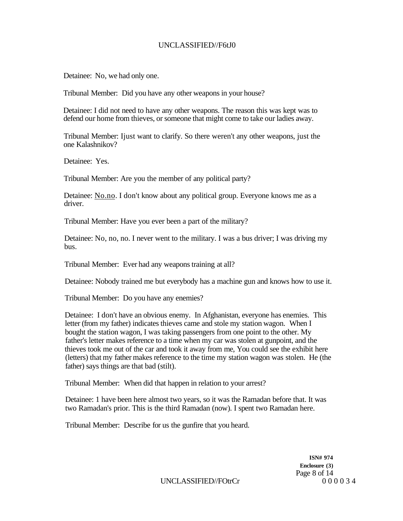### UNCLASSIFIED//F6tJ0

Detainee: No, we had only one.

Tribunal Member: Did you have any other weapons in your house?

Detainee: I did not need to have any other weapons. The reason this was kept was to defend our home from thieves, or someone that might come to take our ladies away.

Tribunal Member: Ijust want to clarify. So there weren't any other weapons, just the one Kalashnikov?

Detainee: Yes.

Tribunal Member: Are you the member of any political party?

Detainee: [No.no.](http://No.no) I don't know about any political group. Everyone knows me as a driver.

Tribunal Member: Have you ever been a part of the military?

Detainee: No, no, no. I never went to the military. I was a bus driver; I was driving my bus.

Tribunal Member: Ever had any weapons training at all?

Detainee: Nobody trained me but everybody has a machine gun and knows how to use it.

Tribunal Member: Do you have any enemies?

Detainee: I don't have an obvious enemy. In Afghanistan, everyone has enemies. This letter (from my father) indicates thieves came and stole my station wagon. When I bought the station wagon, I was taking passengers from one point to the other. My father's letter makes reference to a time when my car was stolen at gunpoint, and the thieves took me out of the car and took it away from me, You could see the exhibit here (letters) that my father makes reference to the time my station wagon was stolen. He (the father) says things are that bad (stilt).

Tribunal Member: When did that happen in relation to your arrest?

Detainee: 1 have been here almost two years, so it was the Ramadan before that. It was two Ramadan's prior. This is the third Ramadan (now). I spent two Ramadan here.

Tribunal Member: Describe for us the gunfire that you heard.

**ISN# 974 Enclosure (3)**  Page 8 of 14<br>0 0 0 0 3 4

UNCLASSIFIED//FOtrCr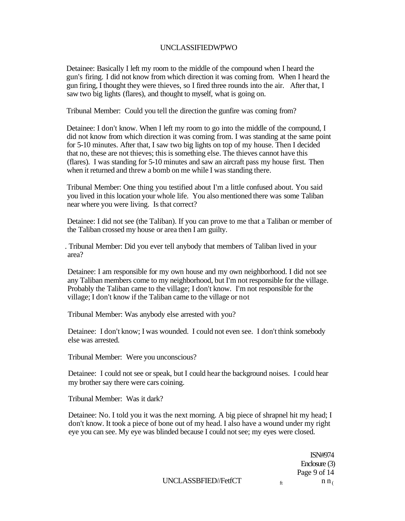### UNCLASSIFIEDWPWO

Detainee: Basically I left my room to the middle of the compound when I heard the gun's firing. I did not know from which direction it was coming from. When I heard the gun firing, I thought they were thieves, so I fired three rounds into the air. After that, I saw two big lights (flares), and thought to myself, what is going on.

Tribunal Member: Could you tell the direction the gunfire was coming from?

Detainee: I don't know. When I left my room to go into the middle of the compound, I did not know from which direction it was coming from. I was standing at the same point for 5-10 minutes. After that, I saw two big lights on top of my house. Then I decided that no, these are not thieves; this is something else. The thieves cannot have this (flares). I was standing for 5-10 minutes and saw an aircraft pass my house first. Then when it returned and threw a bomb on me while I was standing there.

Tribunal Member: One thing you testified about I'm a little confused about. You said you lived in this location your whole life. You also mentioned there was some Taliban near where you were living. Is that correct?

Detainee: I did not see (the Taliban). If you can prove to me that a Taliban or member of the Taliban crossed my house or area then I am guilty.

. Tribunal Member: Did you ever tell anybody that members of Taliban lived in your area?

Detainee: I am responsible for my own house and my own neighborhood. I did not see any Taliban members come to my neighborhood, but I'm not responsible for the village. Probably the Taliban came to the village; I don't know. I'm not responsible for the village; I don't know if the Taliban came to the village or not

Tribunal Member: Was anybody else arrested with you?

Detainee: I don't know; I was wounded. I could not even see. I don't think somebody else was arrested.

Tribunal Member: Were you unconscious?

Detainee: I could not see or speak, but I could hear the background noises. I could hear my brother say there were cars coining.

Tribunal Member: Was it dark?

Detainee: No. I told you it was the next morning. A big piece of shrapnel hit my head; I don't know. It took a piece of bone out of my head. I also have a wound under my right eye you can see. My eye was blinded because I could not see; my eyes were closed.

> ISN#974 Enclosure (3) Page 9 of 14  $n n$

UNCLASSBFIED//FetfCT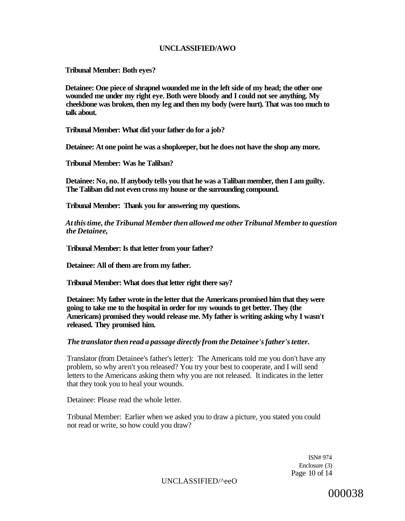### **UNCLASSIFIED/AWO**

**Tribunal Member: Both eyes?** 

**Detainee: One piece of shrapnel wounded me in the left side of my head; the other one wounded me under my right eye. Both were bloody and I could not see anything. My cheekbone was broken, then my leg and then my body (were hurt). That was too much to talk about.** 

**Tribunal Member: What did your father do for a job?** 

**Detainee: At one point he was a shopkeeper, but he does not have the shop any more.** 

**Tribunal Member: Was he Taliban?** 

**Detainee: No, no. If anybody tells you that he was a Taliban member, then I am guilty. The Taliban did not even cross my house or the surrounding compound.** 

**Tribunal Member: Thank you for answering my questions.** 

*At this time, the Tribunal Member then allowed me other Tribunal Member to question the Detainee,* 

**Tribunal Member: Is that letter from your father?** 

**Detainee: All of them are from my father.** 

**Tribunal Member: What does that letter right there say?** 

**Detainee: My father wrote in the letter that the Americans promised him that they were going to take me to the hospital in order for my wounds to get better. They (the Americans) promised they would release me. My father is writing asking why I wasn't released. They promised him.** 

### *The translator then read a passage directly from the Detainee's father's tetter.*

Translator (from Detainee's father's letter): The Americans told me you don't have any problem, so why aren't you released? You try your best to cooperate, and I will send letters to the Americans asking them why you are not released. It indicates in the letter that they took you to heal your wounds.

Detainee: Please read the whole letter.

Tribunal Member: Earlier when we asked you to draw a picture, you stated you could not read or write, so how could you draw?

> ISN# 974 Enclosure (3) Page 10 of 14

UNCLASSIFIED/^eeO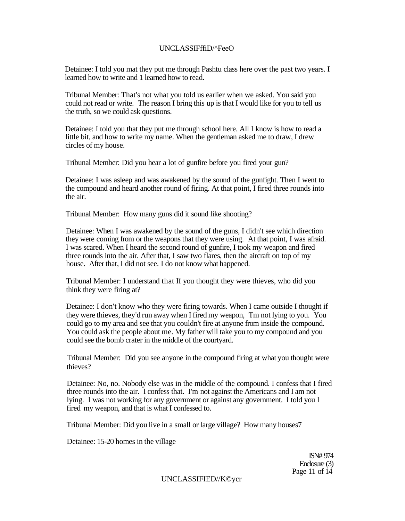### UNCLASSIFffiD/^FeeO

Detainee: I told you mat they put me through Pashtu class here over the past two years. I learned how to write and 1 learned how to read.

Tribunal Member: That's not what you told us earlier when we asked. You said you could not read or write. The reason I bring this up is that I would like for you to tell us the truth, so we could ask questions.

Detainee: I told you that they put me through school here. All I know is how to read a little bit, and how to write my name. When the gentleman asked me to draw, I drew circles of my house.

Tribunal Member: Did you hear a lot of gunfire before you fired your gun?

Detainee: I was asleep and was awakened by the sound of the gunfight. Then I went to the compound and heard another round of firing. At that point, I fired three rounds into the air.

Tribunal Member: How many guns did it sound like shooting?

Detainee: When I was awakened by the sound of the guns, I didn't see which direction they were coming from or the weapons that they were using. At that point, I was afraid. I was scared. When I heard the second round of gunfire, I took my weapon and fired three rounds into the air. After that, I saw two flares, then the aircraft on top of my house. After that, I did not see. I do not know what happened.

Tribunal Member: I understand that If you thought they were thieves, who did you think they were firing at?

Detainee: I don't know who they were firing towards. When I came outside I thought if they were thieves, they'd run away when I fired my weapon, Tm not lying to you. You could go to my area and see that you couldn't fire at anyone from inside the compound. You could ask the people about me. My father will take you to my compound and you could see the bomb crater in the middle of the courtyard.

Tribunal Member: Did you see anyone in the compound firing at what you thought were thieves?

Detainee: No, no. Nobody else was in the middle of the compound. I confess that I fired three rounds into the air. I confess that. I'm not against the Americans and I am not lying. I was not working for any government or against any government. I told you I fired my weapon, and that is what I confessed to.

Tribunal Member: Did you live in a small or large village? How many houses7

Detainee: 15-20 homes in the village

ISN# 974 Enclosure (3) Page 11 of 14

UNCLASSIFIED//K©ycr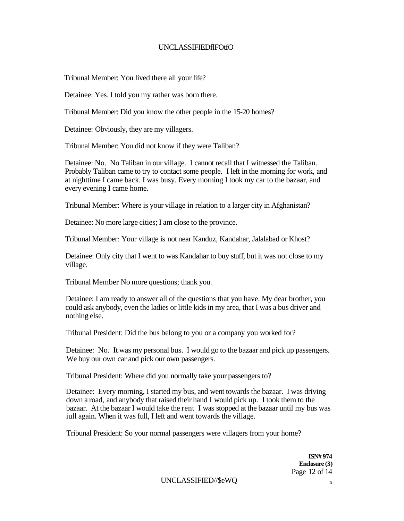### UNCLASSIFIEDflFOtfO

Tribunal Member: You lived there all your life?

Detainee: Yes. I told you my rather was born there.

Tribunal Member: Did you know the other people in the 15-20 homes?

Detainee: Obviously, they are my villagers.

Tribunal Member: You did not know if they were Taliban?

Detainee: No. No Taliban in our village. I cannot recall that I witnessed the Taliban. Probably Taliban came to try to contact some people. I left in the morning for work, and at nighttime I came back. I was busy. Every morning I took my car to the bazaar, and every evening I came home.

Tribunal Member: Where is your village in relation to a larger city in Afghanistan?

Detainee: No more large cities; I am close to the province.

Tribunal Member: Your village is not near Kanduz, Kandahar, Jalalabad or Khost?

Detainee: Only city that I went to was Kandahar to buy stuff, but it was not close to my village.

Tribunal Member No more questions; thank you.

Detainee: I am ready to answer all of the questions that you have. My dear brother, you could ask anybody, even the ladies or little kids in my area, that I was a bus driver and nothing else.

Tribunal President: Did the bus belong to you or a company you worked for?

Detainee: No. It was my personal bus. I would go to the bazaar and pick up passengers. We buy our own car and pick our own passengers.

Tribunal President: Where did you normally take your passengers to?

Detainee: Every morning, I started my bus, and went towards the bazaar. I was driving down a road, and anybody that raised their hand I would pick up. I took them to the bazaar. At the bazaar I would take the rent I was stopped at the bazaar until my bus was iull again. When it was full, I left and went towards the village.

Tribunal President: So your normal passengers were villagers from your home?

**ISN# 974 Enclosure (3)**  Page 12 of 14

UNCLASSIFIED//\$eWQ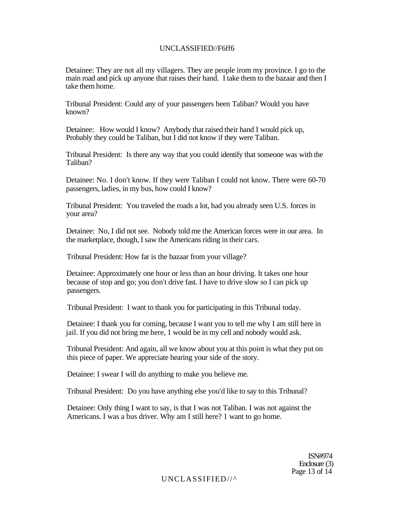### UNCLASSIFIED//F6ff6

Detainee: They are not all my villagers. They are people irom my province. I go to the main road and pick up anyone that raises their hand. I take them to the bazaar and then I take them home.

Tribunal President: Could any of your passengers been Taliban? Would you have known?

Detainee: How would I know? Anybody that raised their hand I would pick up, Probably they could be Taliban, but I did not know if they were Taliban.

Tribunal President: Is there any way that you could identify that someone was with the Taliban?

Detainee: No. I don't know. If they were Taliban I could not know. There were 60-70 passengers, ladies, in my bus, how could I know?

Tribunal President: You traveled the roads a lot, had you already seen U.S. forces in your area?

Detainee: No, I did not see. Nobody told me the American forces were in our area. In the marketplace, though, I saw the Americans riding in their cars.

Tribunal President: How far is the bazaar from your village?

Detainee: Approximately one hour or less than an hour driving. It takes one hour because of stop and go; you don't drive fast. I have to drive slow so I can pick up passengers.

Tribunal President: I want to thank you for participating in this Tribunal today.

Detainee: I thank you for coming, because I want you to tell me why I am still here in jail. If you did not bring me here, 1 would be in my cell and nobody would ask.

Tribunal President: And again, all we know about you at this point is what they put on this piece of paper. We appreciate hearing your side of the story.

Detainee: I swear I will do anything to make you believe me.

Tribunal President: Do you have anything else you'd like to say to this Tribunal?

Detainee: Only thing I want to say, is that I was not Taliban. I was not against the Americans. I was a bus driver. Why am I still here? 1 want to go home.

> ISN#974 Enclosure (3) Page 13 of 14

UNCLASSIFIED//^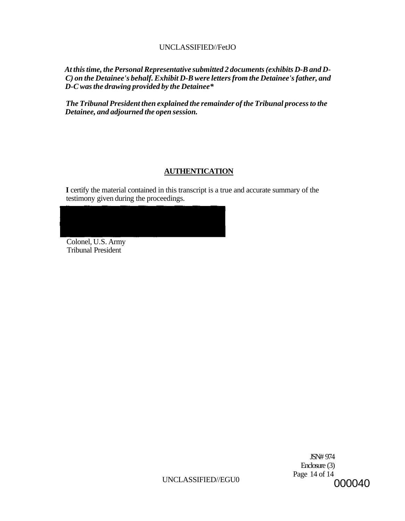# UNCLASSIFIED//FetJO

*At this time, the Personal Representative submitted 2 documents (exhibits D-B and D-C) on the Detainee's behalf. Exhibit D-B were letters from the Detainee's father, and D-C was the drawing provided by the Detainee\** 

*The Tribunal President then explained the remainder of the Tribunal process to the Detainee, and adjourned the open session.* 

# **AUTHENTICATION**

**I** certify the material contained in this transcript is a true and accurate summary of the testimony given during the proceedings.

Colonel, U.S. Army Tribunal President

> JSN# 974 Enclosure (3) Page 14 of 14 000040

UNCLASSIFIED//EGU0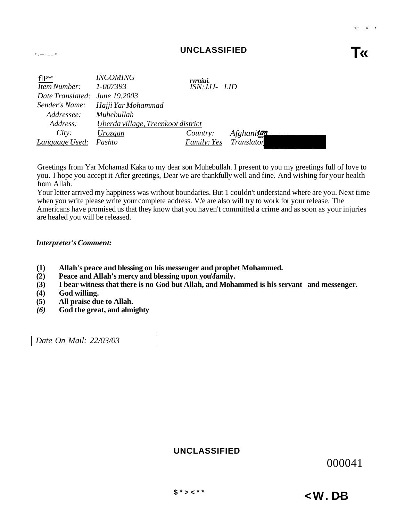flP\*' *INCOMING rvrniui. Item Number: 1-007393 ISN:JJJ- LID* 

| Hem Number: 1-00/393          |                                    | ISIN:JJJ- LID      |                   |  |
|-------------------------------|------------------------------------|--------------------|-------------------|--|
| Date Translated: June 19,2003 |                                    |                    |                   |  |
| Sender's Name:                | Hajji Yar Mohammad                 |                    |                   |  |
| Addressee:                    | Muhebullah                         |                    |                   |  |
| Address:                      | Uberda village, Treenkoot district |                    |                   |  |
| City:                         | Urozgan                            | Country:           | Afghanitan        |  |
| Language Used: Pashto         |                                    | <i>Family: Yes</i> | <i>Translator</i> |  |
|                               |                                    |                    |                   |  |

Greetings from Yar Mohamad Kaka to my dear son Muhebullah. I present to you my greetings full of love to you. I hope you accept it After greetings, Dear we are thankfully well and fine. And wishing for your health from Allah.

Your letter arrived my happiness was without boundaries. But 1 couldn't understand where are you. Next time when you write please write your complete address. V.'e are also will try to work for your release. The Americans have promised us that they know that you haven't committed a crime and as soon as your injuries are healed you will be released.

#### *Interpreter's Comment:*

- **(1) Allah's peace and blessing on his messenger and prophet Mohammed.**
- **(2) Peace and Allah's mercy and blessing upon you\family.**
- **(3) I bear witness that there is no God but Allah, and Mohammed is his servant and messenger.**
- **(4) God willing.**
- **(5) All praise due to Allah.**
- *(6)* **God the great, and almighty**

*Date On Mail: 22/03/03* 

# **UNCLASSIFIED**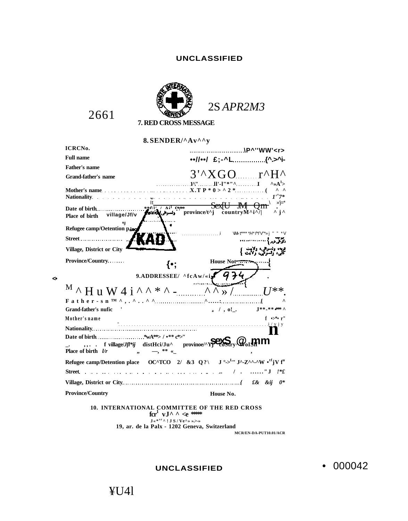# **UNCLASSIFIED**



2661

**<•** 

**8. SENDER/^Av^^y** 

| <b>ICRCNo.</b>                                                                                                                                       | \P^''WW' <r></r>                                                                                                                                          |  |  |  |
|------------------------------------------------------------------------------------------------------------------------------------------------------|-----------------------------------------------------------------------------------------------------------------------------------------------------------|--|--|--|
| <b>Full name</b>                                                                                                                                     |                                                                                                                                                           |  |  |  |
| <b>Father's name</b>                                                                                                                                 |                                                                                                                                                           |  |  |  |
| <b>Grand-father's name</b>                                                                                                                           | $3'^{\wedge} XGO$ $\ldots$ $r^{\wedge}H^{\wedge}$                                                                                                         |  |  |  |
| <b>Nationality <i>Nationality</i></b>                                                                                                                | 1^'' ll'-l''*''^ I<br>$\sim A^1$<br>$\wedge$ $\wedge$<br>$1^{17}$                                                                                         |  |  |  |
| Date of birth<br>village/Jf/v<br>Place of birth                                                                                                      | \ »'j=*<br>$\mathbf{r}$ i $\mathbf{r}$                                                                                                                    |  |  |  |
| Refugee camp/Oetention piaq                                                                                                                          |                                                                                                                                                           |  |  |  |
| Street                                                                                                                                               |                                                                                                                                                           |  |  |  |
| Village, District or City                                                                                                                            |                                                                                                                                                           |  |  |  |
| <b>Province/Country</b><br>{∙:                                                                                                                       | House Not                                                                                                                                                 |  |  |  |
|                                                                                                                                                      | 9.ADDRESSEE/ $\land$ fcAw/«if $\left(4\right)$                                                                                                            |  |  |  |
| $^{\rm M}$ $\wedge$ H u W 4 i $\wedge$ $\wedge$ * $\wedge$ - $\cdots$ $\wedge$ $\wedge$ $\gg$ /                                                      | $I^{**}$                                                                                                                                                  |  |  |  |
|                                                                                                                                                      |                                                                                                                                                           |  |  |  |
| Grand-father's nufic                                                                                                                                 | <b>J**_** *** ^</b><br>$_3$ / , o!.                                                                                                                       |  |  |  |
| Mother's name                                                                                                                                        | $f \rightarrow^* r''$<br>.<br>1916 – La característica de la característica de la característica de la característica de la característica d<br>i / y j y |  |  |  |
|                                                                                                                                                      |                                                                                                                                                           |  |  |  |
| $\ldots$ f village/ <i>Jf<sup>t*jj</sup></i> distHci/Ju <sup><math>\land</math></sup> province/ $\sim$ Y <b>PC</b> oStry                             |                                                                                                                                                           |  |  |  |
| Refugee camp/Detention place $O C^{\wedge} T C O 2/ 83 Q$ ? $J^{\circ} >^{L_{11}} J^{\wedge} Z^{\wedge \wedge_{\sim} \wedge} W \cdot ^{tf} jV f^{u}$ |                                                                                                                                                           |  |  |  |
| <b>Street</b>                                                                                                                                        | $/$ " J $\frac{1}{2}$                                                                                                                                     |  |  |  |
|                                                                                                                                                      |                                                                                                                                                           |  |  |  |
| <b>Province/Country</b>                                                                                                                              | House No.                                                                                                                                                 |  |  |  |
| <b>10. INTERNATIONAL COMMITTEE OF THE RED CROSS</b><br>$\text{for}^1$ vJ^ ^ <e ***<="" td=""></e>                                                    |                                                                                                                                                           |  |  |  |

**J«\* <sup>s</sup> <sup>r</sup> ^!JS / Ve^» ».>-» 19, ar. de la Palx - 1202 Geneva, Switzerland** 

**MCR/EN-DA-PUT10.01/ACR** 

**UNCLASSIFIED** 

• 000042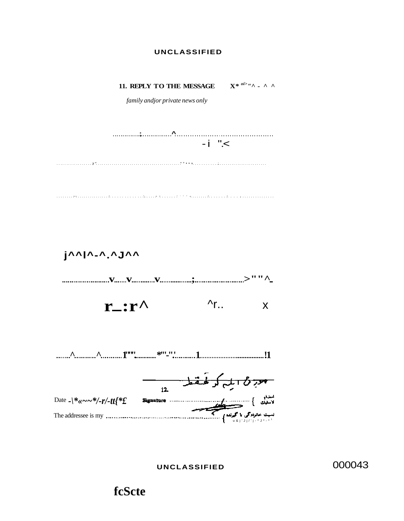### **UNCLASSIFIED**



**UNCLASSIFIED** 

000043

# **fcScte**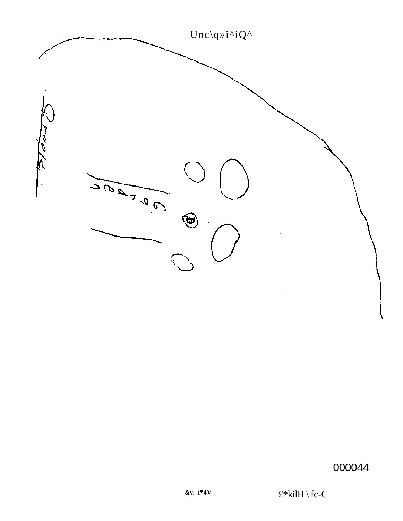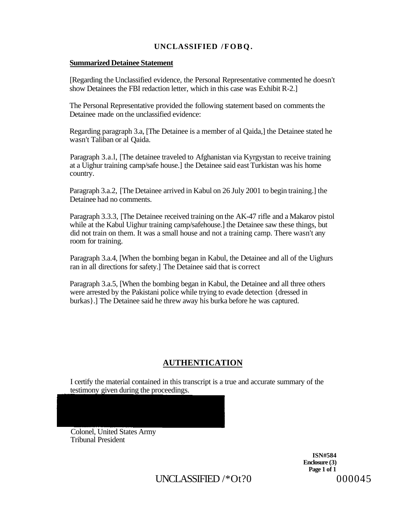# **UNCLASSIFIED /FOBQ.**

### **Summarized Detainee Statement**

[Regarding the Unclassified evidence, the Personal Representative commented he doesn't show Detainees the FBI redaction letter, which in this case was Exhibit R-2.]

The Personal Representative provided the following statement based on comments the Detainee made on the unclassified evidence:

Regarding paragraph 3.a, [The Detainee is a member of al Qaida,] the Detainee stated he wasn't Taliban or al Qaida.

Paragraph 3.a.l, [The detainee traveled to Afghanistan via Kyrgystan to receive training at a Uighur training camp/safe house.] the Detainee said east Turkistan was his home country.

Paragraph 3.a.2, [The Detainee arrived in Kabul on 26 July 2001 to begin training.] the Detainee had no comments.

Paragraph 3.3.3, [The Detainee received training on the AK-47 rifle and a Makarov pistol while at the Kabul Uighur training camp/safehouse.] the Detainee saw these things, but did not train on them. It was a small house and not a training camp. There wasn't any room for training.

Paragraph 3.a.4, [When the bombing began in Kabul, the Detainee and all of the Uighurs ran in all directions for safety.] The Detainee said that is correct

Paragraph 3.a.5, [When the bombing began in Kabul, the Detainee and all three others were arrested by the Pakistani police while trying to evade detection {dressed in burkas}.] The Detainee said he threw away his burka before he was captured.

# **AUTHENTICATION**

I certify the material contained in this transcript is a true and accurate summary of the testimony given during the proceedings.

Colonel, United States Army Tribunal President

> **ISN#584 Enclosure (3) Page 1 of 1**

UNCLASSIFIED  $/*$  Ot?0 000045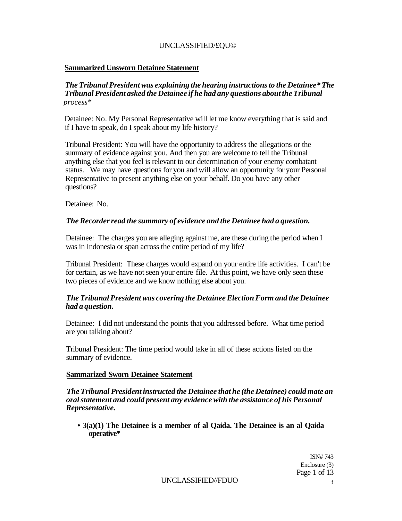# UNCLASSIFIED/£QU©

# **Sammarized Unsworn Detainee Statement**

# *The Tribunal President was explaining the hearing instructions to the Detainee\* The Tribunal President asked the Detainee if he had any questions about the Tribunal process\**

Detainee: No. My Personal Representative will let me know everything that is said and if I have to speak, do I speak about my life history?

Tribunal President: You will have the opportunity to address the allegations or the summary of evidence against you. And then you are welcome to tell the Tribunal anything else that you feel is relevant to our determination of your enemy combatant status. We may have questions for you and will allow an opportunity for your Personal Representative to present anything else on your behalf. Do you have any other questions?

Detainee: No.

# *The Recorder read the summary of evidence and the Detainee had a question.*

Detainee: The charges you are alleging against me, are these during the period when I was in Indonesia or span across the entire period of my life?

Tribunal President: These charges would expand on your entire life activities. I can't be for certain, as we have not seen your entire file. At this point, we have only seen these two pieces of evidence and we know nothing else about you.

# *The Tribunal President was covering the Detainee Election Form and the Detainee had a question.*

Detainee: I did not understand the points that you addressed before. What time period are you talking about?

Tribunal President: The time period would take in all of these actions listed on the summary of evidence.

# **Sammarized Sworn Detainee Statement**

*The Tribunal President instructed the Detainee that he (the Detainee) could mate an oral statement and could present any evidence with the assistance of his Personal Representative.* 

**• 3(a)(1) The Detainee is a member of al Qaida. The Detainee is an al Qaida operative\*** 

> ISN# 743 Enclosure (3) Page 1 of 13

UNCLASSIFIED//FDUO <sup>f</sup>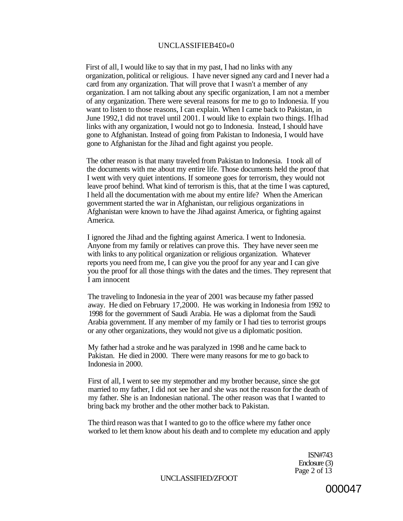#### UNCLASSIFIEB4£0«0

First of all, I would like to say that in my past, I had no links with any organization, political or religious. I have never signed any card and I never had a card from any organization. That will prove that I wasn't a member of any organization. I am not talking about any specific organization, I am not a member of any organization. There were several reasons for me to go to Indonesia. If you want to listen to those reasons, I can explain. When I came back to Pakistan, in June 1992,1 did not travel until 2001. I would like to explain two things. Iflhad links with any organization, I would not go to Indonesia. Instead, I should have gone to Afghanistan. Instead of going from Pakistan to Indonesia, I would have gone to Afghanistan for the Jihad and fight against you people.

The other reason is that many traveled from Pakistan to Indonesia. I took all of the documents with me about my entire life. Those documents held the proof that I went with very quiet intentions. If someone goes for terrorism, they would not leave proof behind. What kind of terrorism is this, that at the time I was captured, I held all the documentation with me about my entire life? When the American government started the war in Afghanistan, our religious organizations in Afghanistan were known to have the Jihad against America, or fighting against America.

I ignored the Jihad and the fighting against America. I went to Indonesia. Anyone from my family or relatives can prove this. They have never seen me with links to any political organization or religious organization. Whatever reports you need from me, I can give you the proof for any year and I can give you the proof for all those things with the dates and the times. They represent that I am innocent

The traveling to Indonesia in the year of 2001 was because my father passed away. He died on February 17,2000. He was working in Indonesia from 1992 to 1998 for the government of Saudi Arabia. He was a diplomat from the Saudi Arabia government. If any member of my family or I had ties to terrorist groups or any other organizations, they would not give us a diplomatic position.

My father had a stroke and he was paralyzed in 1998 and he came back to Pakistan. He died in 2000. There were many reasons for me to go back to Indonesia in 2000.

First of all, I went to see my stepmother and my brother because, since she got married to my father, I did not see her and she was not the reason for the death of my father. She is an Indonesian national. The other reason was that I wanted to bring back my brother and the other mother back to Pakistan.

The third reason was that I wanted to go to the office where my father once worked to let them know about his death and to complete my education and apply

> ISN#743 Enclosure (3) Page 2 of 13

UNCLASSIFIED/ZFOOT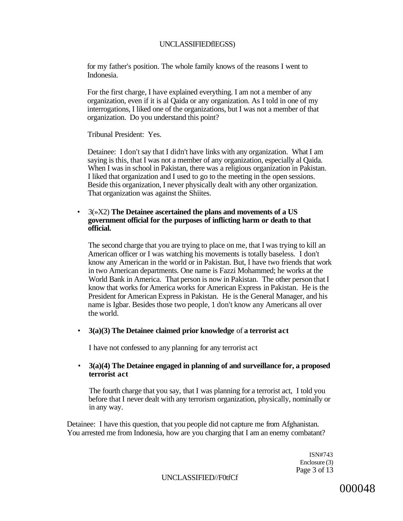#### UNCLASSIFIEDflEGSS)

for my father's position. The whole family knows of the reasons I went to Indonesia.

For the first charge, I have explained everything. I am not a member of any organization, even if it is al Qaida or any organization. As I told in one of my interrogations, I liked one of the organizations, but I was not a member of that organization. Do you understand this point?

Tribunal President: Yes.

Detainee: I don't say that I didn't have links with any organization. What I am saying is this, that I was not a member of any organization, especially al Qaida. When I was in school in Pakistan, there was a religious organization in Pakistan. I liked that organization and I used to go to the meeting in the open sessions. Beside this organization, I never physically dealt with any other organization. That organization was against the Shiites.

### • 3(»X2) **The Detainee ascertained the plans and movements of a US government official for the purposes of inflicting harm or death to that official.**

The second charge that you are trying to place on me, that I was trying to kill an American officer or I was watching his movements is totally baseless. I don't know any American in the world or in Pakistan. But, I have two friends that work in two American departments. One name is Fazzi Mohammed; he works at the World Bank in America. That person is now in Pakistan. The other person that I know that works for America works for American Express in Pakistan. He is the President for American Express in Pakistan. He is the General Manager, and his name is Igbar. Besides those two people, 1 don't know any Americans all over the world.

#### • **3(a)(3) The Detainee claimed prior knowledge** of **a terrorist act**

I have not confessed to any planning for any terrorist act

### • **3(a)(4) The Detainee engaged in planning of and surveillance for, a proposed terrorist act**

The fourth charge that you say, that I was planning for a terrorist act, I told you before that I never dealt with any terrorism organization, physically, nominally or in any way.

Detainee: I have this question, that you people did not capture me from Afghanistan. You arrested me from Indonesia, how are you charging that I am an enemy combatant?

> ISN#743 Enclosure (3) Page 3 of 13

UNCLASSIFIED//F0tfCf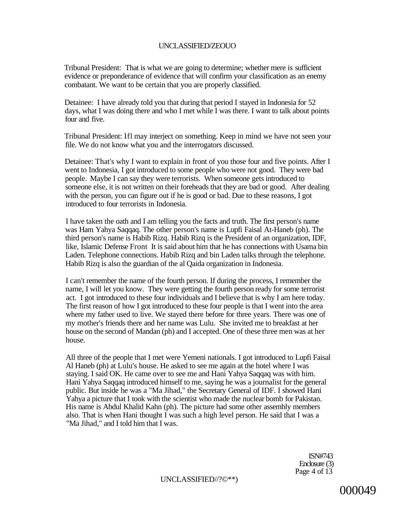### UNCLASSIFIED/ZEOUO

Tribunal President: That is what we are going to determine; whether mere is sufficient evidence or preponderance of evidence that will confirm your classification as an enemy combatant. We want to be certain that you are properly classified.

Detainee: I have already told you that during that period I stayed in Indonesia for 52 days, what I was doing there and who I met while I was there. I want to talk about points four and five.

Tribunal President: Ifl may interject on something. Keep in mind we have not seen your file. We do not know what you and the interrogators discussed.

Detainee: That's why I want to explain in front of you those four and five points. After I went to Indonesia, I got introduced to some people who were not good. They were bad people. Maybe I can say they were terrorists. When someone gets introduced to someone else, it is not written on their foreheads that they are bad or good. After dealing with the person, you can figure out if he is good or bad. Due to these reasons, I got introduced to four terrorists in Indonesia.

I have taken the oath and I am telling you the facts and truth. The first person's name was Ham Yahya Saqqaq. The other person's name is Lupfi Faisal At-Haneb (ph). The third person's name is Habib Rizq. Habib Rizq is the President of an organization, IDF, like, Islamic Defense Front It is said about him that he has connections with Usama bin Laden. Telephone connections. Habib Rizq and bin Laden talks through the telephone. Habib Rizq is also the guardian of the al Qaida organization in Indonesia.

I can't remember the name of the fourth person. If during the process, I remember the name, I will let you know. They were getting the fourth person ready for some terrorist act. I got introduced to these four individuals and I believe that is why I am here today. The first reason of how I got introduced to these four people is that I went into the area where my father used to live. We stayed there before for three years. There was one of my mother's friends there and her name was Lulu. She invited me to breakfast at her house on the second of Mandan (ph) and I accepted. One of these three men was at her house.

All three of the people that I met were Yemeni nationals. I got introduced to Lupfi Faisal Al Haneb (ph) at Lulu's house. He asked to see me again at the hotel where I was staying. I said OK. He came over to see me and Hani Yahya Saqqaq was with him. Hani Yahya Saqqaq introduced himself to me, saying he was a journalist for the general public. But inside he was a "Ma Jihad," the Secretary General of IDF. I showed Hani Yahya a picture that I took with the scientist who made the nuclear bomb for Pakistan. His name is Abdul Khalid Kahn (ph). The picture had some other assembly members also. That is when Hani thought I was such a high level person. He said that I was a "Ma Jihad," and I told him that I was.

> ISN#743 Enclosure (3) Page 4 of 13

UNCLASSIFIED//?©\*\*)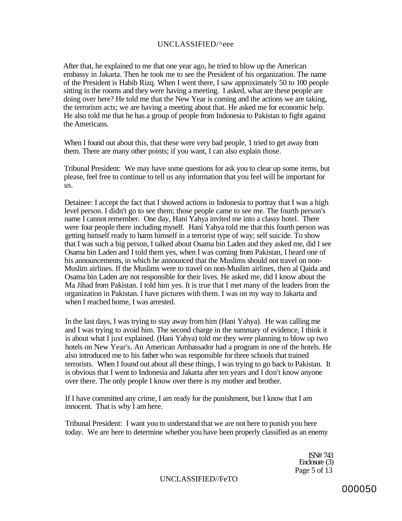#### UNCLASSIFIED/^eee

After that, he explained to me that one year ago, he tried to blow up the American embassy in Jakarta. Then he took me to see the President of his organization. The name of the President is Habib Rizq. When I went there, I saw approximately 50 to 100 people sitting in the rooms and they were having a meeting. I asked, what are these people are doing over here? He told me that the New Year is coming and the actions we are taking, the terrorism acts; we are having a meeting about that. He asked me for economic help. He also told me that he has a group of people from Indonesia to Pakistan to fight against the Americans.

When I found out about this, that these were very bad people, 1 tried to get away from them. There are many other points; if you want, I can also explain those.

Tribunal President: We may have some questions for ask you to clear up some items, but please, feel free to continue to tell us any information that you feel will be important for us.

Detainee: I accept the fact that I showed actions in Indonesia to portray that I was a high level person. I didn't go to see them; those people came to see me. The fourth person's name I cannot remember. One day, Hani Yahya invited me into a classy hotel. There were four people there including myself. Hani Yahya told me that this fourth person was getting himself ready to harm himself in a terrorist type of way; self suicide. To show that I was such a big person, I talked about Osama bin Laden and they asked me, did I see Osama bin Laden and I told them yes, when I was coming from Pakistan, I heard one of his announcements, in which he announced that the Muslims should not travel on non-Muslim airlines. If the Muslims were to travel on non-Muslim airlines, then al Qaida and Osama bin Laden are not responsible for their lives. He asked me, did I know about the Ma Jihad from Pakistan. I told him yes. It is true that I met many of the leaders from the organization in Pakistan. I have pictures with them. I was on my way to Jakarta and when I reached home, I was arrested.

In the last days, I was trying to stay away from him (Hani Yahya). He was calling me and I was trying to avoid him. The second charge in the summary of evidence, I think it is about what I just explained. (Hani Yahya) told me they were planning to blow up two hotels on New Year's. An American Ambassador had a program in one of the hotels. He also introduced me to his father who was responsible for three schools that trained terrorists. When I found out about all these things, I was trying to go back to Pakistan. It is obvious that I went to Indonesia and Jakarta after ten years and I don't know anyone over there. The only people I know over there is my mother and brother.

If I have committed any crime, I am ready for the punishment, but I know that I am innocent. That is why I am here.

Tribunal President: I want you to understand that we are not here to punish you here today. We are here to determine whether you have been properly classified as an enemy

> ISN# 743 Enclosure (3) Page 5 of 13

UNCLASSIFIED//FeTO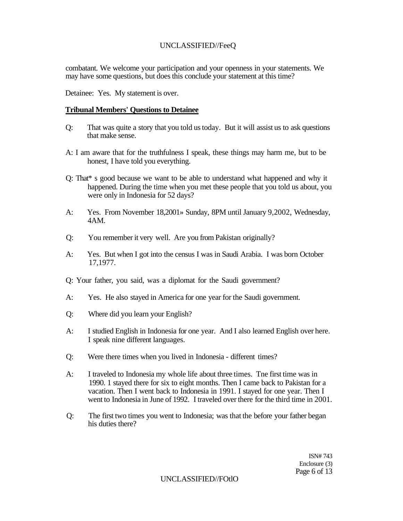# UNCLASSIFIED//FeeQ

combatant. We welcome your participation and your openness in your statements. We may have some questions, but does this conclude your statement at this time?

Detainee: Yes. My statement is over.

#### **Tribunal Members' Questions to Detainee**

- Q: That was quite a story that you told us today. But it will assist us to ask questions that make sense.
- A: I am aware that for the truthfulness I speak, these things may harm me, but to be honest, I have told you everything.
- Q: That\* s good because we want to be able to understand what happened and why it happened. During the time when you met these people that you told us about, you were only in Indonesia for 52 days?
- A: Yes. From November 18,2001» Sunday, 8PM until January 9,2002, Wednesday, 4AM.
- Q: You remember it very well. Are you from Pakistan originally?
- A: Yes. But when I got into the census I was in Saudi Arabia. I was born October 17,1977.
- Q: Your father, you said, was a diplomat for the Saudi government?
- A: Yes. He also stayed in America for one year for the Saudi government.
- Q: Where did you learn your English?
- A: I studied English in Indonesia for one year. And I also learned English over here. I speak nine different languages.
- Q: Were there times when you lived in Indonesia different times?
- A: I traveled to Indonesia my whole life about three times. Tne first time was in 1990. 1 stayed there for six to eight months. Then I came back to Pakistan for a vacation. Then I went back to Indonesia in 1991. I stayed for one year. Then I went to Indonesia in June of 1992. I traveled over there for the third time in 2001.
- Q: The first two times you went to Indonesia; was that the before your father began his duties there?

ISN# 743 Enclosure (3) Page 6 of 13

UNCLASSIFIED//FOtlO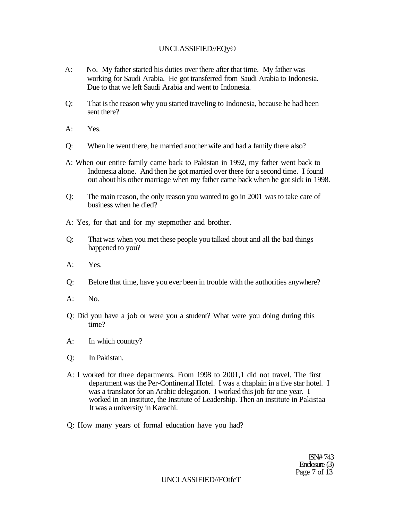# UNCLASSIFIED//EQy©

- A: No. My father started his duties over there after that time. My father was working for Saudi Arabia. He got transferred from Saudi Arabia to Indonesia. Due to that we left Saudi Arabia and went to Indonesia.
- Q: That is the reason why you started traveling to Indonesia, because he had been sent there?
- A: Yes.
- Q: When he went there, he married another wife and had a family there also?
- A: When our entire family came back to Pakistan in 1992, my father went back to Indonesia alone. And then he got married over there for a second time. I found out about his other marriage when my father came back when he got sick in 1998.
- Q: The main reason, the only reason you wanted to go in 2001 was to take care of business when he died?
- A: Yes, for that and for my stepmother and brother.
- Q: That was when you met these people you talked about and all the bad things happened to you?
- A: Yes.
- Q: Before that time, have you ever been in trouble with the authorities anywhere?
- $A:$  No.
- Q: Did you have a job or were you a student? What were you doing during this time?
- A: In which country?
- Q: In Pakistan.
- A: I worked for three departments. From 1998 to 2001,1 did not travel. The first department was the Per-Continental Hotel. I was a chaplain in a five star hotel. I was a translator for an Arabic delegation. I worked this job for one year. I worked in an institute, the Institute of Leadership. Then an institute in Pakistaa It was a university in Karachi.

Q: How many years of formal education have you had?

ISN# 743 Enclosure (3) Page 7 of  $13$ 

UNCLASSIFIED//FOtfcT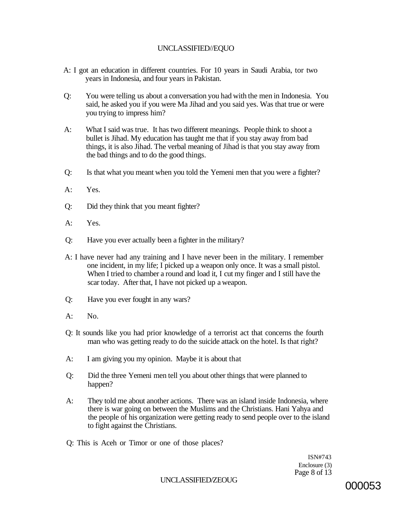# UNCLASSIFIED//EQUO

- A: I got an education in different countries. For 10 years in Saudi Arabia, tor two years in Indonesia, and four years in Pakistan.
- Q: You were telling us about a conversation you had with the men in Indonesia. You said, he asked you if you were Ma Jihad and you said yes. Was that true or were you trying to impress him?
- A: What I said was true. It has two different meanings. People think to shoot a bullet is Jihad. My education has taught me that if you stay away from bad things, it is also Jihad. The verbal meaning of Jihad is that you stay away from the bad things and to do the good things.
- Q: Is that what you meant when you told the Yemeni men that you were a fighter?
- A: Yes.
- Q: Did they think that you meant fighter?
- A: Yes.
- Q: Have you ever actually been a fighter in the military?
- A: I have never had any training and I have never been in the military. I remember one incident, in my life; I picked up a weapon only once. It was a small pistol. When I tried to chamber a round and load it, I cut my finger and I still have the scar today. After that, I have not picked up a weapon.
- Q: Have you ever fought in any wars?
- A: No.
- Q: It sounds like you had prior knowledge of a terrorist act that concerns the fourth man who was getting ready to do the suicide attack on the hotel. Is that right?
- A: I am giving you my opinion. Maybe it is about that
- Q: Did the three Yemeni men tell you about other things that were planned to happen?
- A: They told me about another actions. There was an island inside Indonesia, where there is war going on between the Muslims and the Christians. Hani Yahya and the people of his organization were getting ready to send people over to the island to fight against the Christians.
- Q: This is Aceh or Timor or one of those places?

ISN#743 Enclosure (3) Page 8 of 13

UNCLASSIFIED/ZEOUG 000053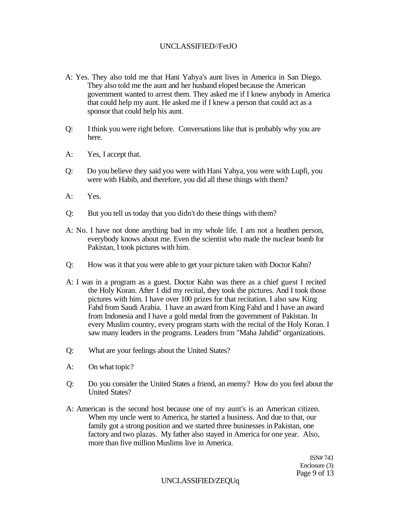# UNCLASSIFIED//FetJO

- A: Yes. They also told me that Hani Yahya's aunt lives in America in San Diego. They also told me the aunt and her husband eloped because the American government wanted to arrest them. They asked me if I knew anybody in America that could help my aunt. He asked me if I knew a person that could act as a sponsor that could help his aunt.
- Q: I think you were right before. Conversations like that is probably why you are here.
- A: Yes, I accept that.
- Q: Do you believe they said you were with Hani Yahya, you were with Lupfi, you were with Habib, and therefore, you did all these things with them?
- A: Yes.
- Q: But you tell us today that you didn't do these things with them?
- A: No. I have not done anything bad in my whole life. I am not a heathen person, everybody knows about me. Even the scientist who made the nuclear bomb for Pakistan, I took pictures with him.
- Q: How was it that you were able to get your picture taken with Doctor Kahn?
- A: I was in a program as a guest. Doctor Kahn was there as a chief guest I recited the Holy Koran. After 1 did my recital, they took the pictures. And I took those pictures with him. I have over 100 prizes for that recitation. I also saw King Fahd from Saudi Arabia. I have an award from King Fahd and I have an award from Indonesia and I have a gold medal from the government of Pakistan. In every Muslim country, every program starts with the recital of the Holy Koran. I saw many leaders in the programs. Leaders from "Maha Jahdid" organizations.
- Q: What are your feelings about the United States?
- A: On what topic?
- Q: Do you consider the United States a friend, an enemy? How do you feel about the United States?
- A: American is the second host because one of my aunt's is an American citizen. When my uncle went to America, he started a business. And due to that, our family got a strong position and we started three businesses in Pakistan, one factory and two plazas. My father also stayed in America for one year. Also, more than five million Muslims live in America.

ISN# 743 Enclosure (3) Page 9 of 13

UNCLASSIFIED/ZEQUq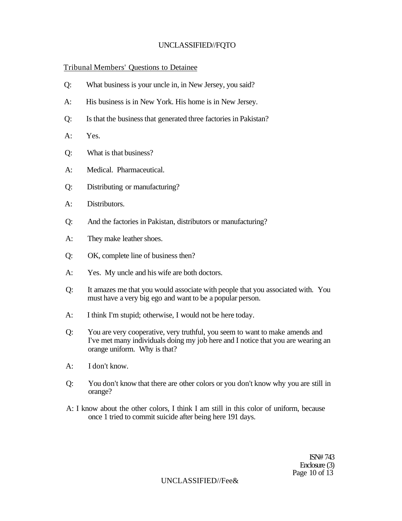# UNCLASSIFIED//FQTO

# Tribunal Members' Questions to Detainee

- Q: What business is your uncle in, in New Jersey, you said?
- A: His business is in New York. His home is in New Jersey.
- Q: Is that the business that generated three factories in Pakistan?
- A: Yes.
- Q: What is that business?
- A: Medical. Pharmaceutical.
- Q: Distributing or manufacturing?
- A: Distributors.
- Q: And the factories in Pakistan, distributors or manufacturing?
- A: They make leather shoes.
- Q: OK, complete line of business then?
- A: Yes. My uncle and his wife are both doctors.
- Q: It amazes me that you would associate with people that you associated with. You must have a very big ego and want to be a popular person.
- A: I think I'm stupid; otherwise, I would not be here today.
- Q: You are very cooperative, very truthful, you seem to want to make amends and I've met many individuals doing my job here and I notice that you are wearing an orange uniform. Why is that?
- A: I don't know.
- Q: You don't know that there are other colors or you don't know why you are still in orange?
- A: I know about the other colors, I think I am still in this color of uniform, because once 1 tried to commit suicide after being here 191 days.

ISN# 743 Enclosure (3) Page 10 of 13

UNCLASSIFIED//Fee&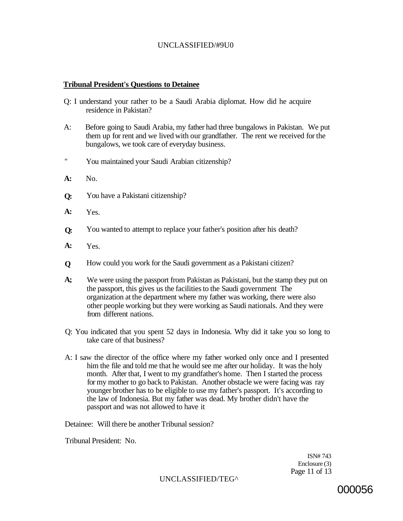# UNCLASSIFIED/#9U0

### **Tribunal President's Questions to Detainee**

- Q: I understand your rather to be a Saudi Arabia diplomat. How did he acquire residence in Pakistan?
- A: Before going to Saudi Arabia, my father had three bungalows in Pakistan. We put them up for rent and we lived with our grandfather. The rent we received for the bungalows, we took care of everyday business.
- " You maintained your Saudi Arabian citizenship?
- No. **A:**
- You have a Pakistani citizenship? **Q:**
- Yes. **A:**
- You wanted to attempt to replace your father's position after his death? **Q:**
- Yes. **A:**
- How could you work for the Saudi government as a Pakistani citizen? **Q**
- We were using the passport from Pakistan as Pakistani, but the stamp they put on the passport, this gives us the facilities to the Saudi government The organization at the department where my father was working, there were also other people working but they were working as Saudi nationals. And they were from different nations. **A;**
- Q: You indicated that you spent 52 days in Indonesia. Why did it take you so long to take care of that business?
- A: I saw the director of the office where my father worked only once and I presented him the file and told me that he would see me after our holiday. It was the holy month. After that, I went to my grandfather's home. Then I started the process for my mother to go back to Pakistan. Another obstacle we were facing was ray younger brother has to be eligible to use my father's passport. It's according to the law of Indonesia. But my father was dead. My brother didn't have the passport and was not allowed to have it

Detainee: Will there be another Tribunal session?

Tribunal President: No.

ISN# 743 Enclosure (3) Page 11 of 13

UNCLASSIFIED/TEG^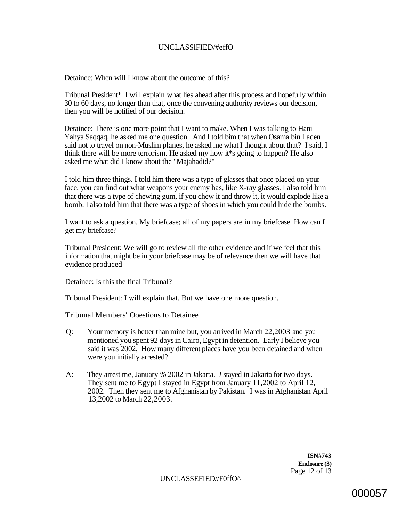# UNCLASSlFIED/#effO

Detainee: When will I know about the outcome of this?

Tribunal President\* I will explain what lies ahead after this process and hopefully within 30 to 60 days, no longer than that, once the convening authority reviews our decision, then you will be notified of our decision.

Detainee: There is one more point that I want to make. When I was talking to Hani Yahya Saqqaq, he asked me one question. And I told bim that when Osama bin Laden said not to travel on non-Muslim planes, he asked me what I thought about that? I said, I think there will be more terrorism. He asked my how it\*s going to happen? He also asked me what did I know about the "Majahadid?"

I told him three things. I told him there was a type of glasses that once placed on your face, you can find out what weapons your enemy has, like X-ray glasses. I also told him that there was a type of chewing gum, if you chew it and throw it, it would explode like a bomb. I also told him that there was a type of shoes in which you could hide the bombs.

I want to ask a question. My briefcase; all of my papers are in my briefcase. How can I get my briefcase?

Tribunal President: We will go to review all the other evidence and if we feel that this information that might be in your briefcase may be of relevance then we will have that evidence produced

Detainee: Is this the final Tribunal?

Tribunal President: I will explain that. But we have one more question.

#### Tribunal Members' Ooestions to Detainee

- Q: Your memory is better than mine but, you arrived in March 22,2003 and you mentioned you spent 92 days in Cairo, Egypt in detention. Early I believe you said it was 2002, How many different places have you been detained and when were you initially arrested?
- A: They arrest me, January *%* 2002 in Jakarta. *I* stayed in Jakarta for two days. They sent me to Egypt I stayed in Egypt from January 11,2002 to April 12, 2002. Then they sent me to Afghanistan by Pakistan. I was in Afghanistan April 13,2002 to March 22,2003.

**ISN#743 Enclosure (3)**  Page 12 of 13

UNCLASSEFIED//F0ffO^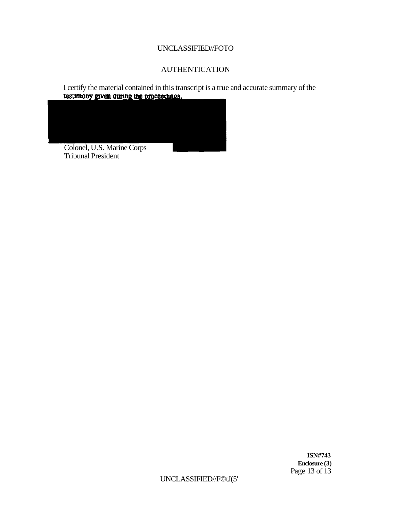# UNCLASSIFIED//FOTO

# **AUTHENTICATION**

I certify the material contained in this transcript is a true and accurate summary of the **testimony given during the proceedings.** 



**ISN#743 Enclosure (3)**  Page 13 of 13

UNCLASSIFIED//F©tJ(5'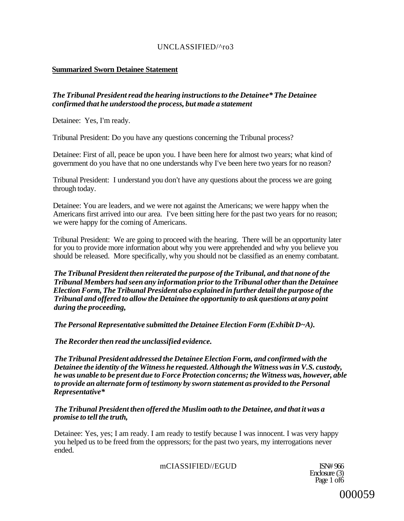# UNCLASSIFIED/^ro3

# **Summarized Sworn Detainee Statement**

# *The Tribunal President read the hearing instructions to the Detainee\* The Detainee confirmed that he understood the process, but made a statement*

Detainee: Yes, I'm ready.

Tribunal President: Do you have any questions concerning the Tribunal process?

Detainee: First of all, peace be upon you. I have been here for almost two years; what kind of government do you have that no one understands why I've been here two years for no reason?

Tribunal President: I understand you don't have any questions about the process we are going through today.

Detainee: You are leaders, and we were not against the Americans; we were happy when the Americans first arrived into our area. I've been sitting here for the past two years for no reason; we were happy for the coming of Americans.

Tribunal President: We are going to proceed with the hearing. There will be an opportunity later for you to provide more information about why you were apprehended and why you believe you should be released. More specifically, why you should not be classified as an enemy combatant.

*The Tribunal President then reiterated the purpose of the Tribunal, and that none of the Tribunal Members had seen any information prior to the Tribunal other than the Detainee Election Form, The Tribunal President also explained in further detail the purpose of the Tribunal and offered to allow the Detainee the opportunity to ask questions at any point during the proceeding,* 

*The Personal Representative submitted the Detainee Election Form (Exhibit D~A).* 

*The Recorder then read the unclassified evidence.* 

*The Tribunal President addressed the Detainee Election Form, and confirmed with the Detainee the identity of the Witness he requested. Although the Witness was in V.S. custody, he was unable to be present due to Force Protection concerns; the Witness was, however, able to provide an alternate form of testimony by sworn statement as provided to the Personal Representative\** 

*The Tribunal President then offered the Muslim oath to the Detainee, and that it was a promise to tell the truth,* 

Detainee: Yes, yes; I am ready. I am ready to testify because I was innocent. I was very happy you helped us to be freed from the oppressors; for the past two years, my interrogations never ended.

mCIASSIFIED//EGUD ISN# 966

Enclosure (3) Page 1 of 6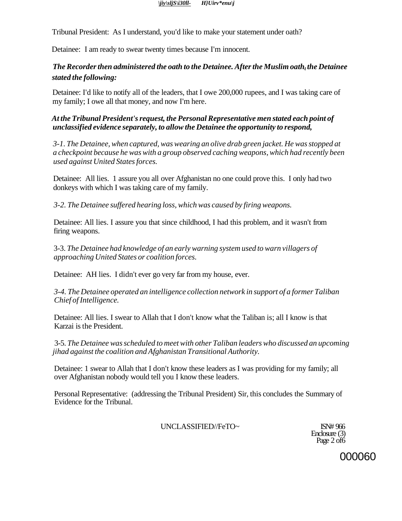#### *[\jiy\sljS\i30ll- H](file:///jiy/sljS/i30ll-)}Uirv\*enu\j*

Tribunal President: As I understand, you'd like to make your statement under oath?

Detainee: I am ready to swear twenty times because I'm innocent.

# *The Recorder then administered the oath to the Detainee. After the Muslim oath<sup>t</sup> the Detainee stated the following:*

Detainee: I'd like to notify all of the leaders, that I owe 200,000 rupees, and I was taking care of my family; I owe all that money, and now I'm here.

# *At the Tribunal President's request, the Personal Representative men stated each point of unclassified evidence separately, to allow the Detainee the opportunity to respond,*

*3-1. The Detainee, when captured, was wearing an olive drab green jacket. He was stopped at a checkpoint because he was with a group observed caching weapons, which had recently been used against United States forces.* 

Detainee: All lies. 1 assure you all over Afghanistan no one could prove this. I only had two donkeys with which I was taking care of my family.

*3-2. The Detainee suffered hearing loss, which was caused by firing weapons.* 

Detainee: All lies. I assure you that since childhood, I had this problem, and it wasn't from firing weapons.

3-3. *The Detainee had knowledge of an early warning system used to warn villagers of approaching United States or coalition forces.* 

Detainee: AH lies. I didn't ever go very far from my house, ever.

*3-4. The Detainee operated an intelligence collection network in support of a former Taliban Chief of Intelligence.* 

Detainee: All lies. I swear to Allah that I don't know what the Taliban is; all I know is that Karzai is the President.

3-5. *The Detainee was scheduled to meet with other Taliban leaders who discussed an upcoming jihad against the coalition and Afghanistan Transitional Authority.* 

Detainee: 1 swear to Allah that I don't know these leaders as I was providing for my family; all over Afghanistan nobody would tell you I know these leaders.

Personal Representative: (addressing the Tribunal President) Sir, this concludes the Summary of Evidence for the Tribunal.

UNCLASSIFIED//FeTO~ ISN# 966

Enclosure (3) Page 2 of 6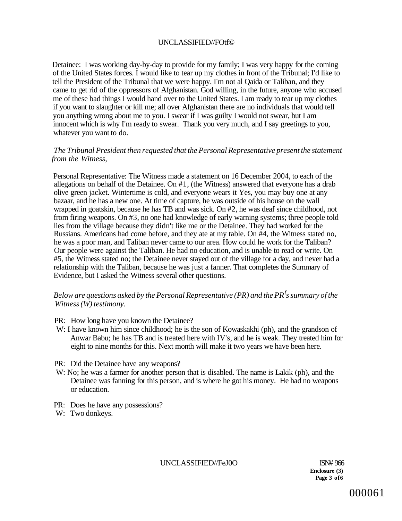### UNCLASSIFIED//FOtf©

Detainee: I was working day-by-day to provide for my family; I was very happy for the coming of the United States forces. I would like to tear up my clothes in front of the Tribunal; I'd like to tell the President of the Tribunal that we were happy. I'm not al Qaida or Taliban, and they came to get rid of the oppressors of Afghanistan. God willing, in the future, anyone who accused me of these bad things I would hand over to the United States. I am ready to tear up my clothes if you want to slaughter or kill me; all over Afghanistan there are no individuals that would tell you anything wrong about me to you. I swear if I was guilty I would not swear, but I am innocent which is why I'm ready to swear. Thank you very much, and I say greetings to you, whatever you want to do.

### *The Tribunal President then requested that the Personal Representative present the statement from the Witness,*

Personal Representative: The Witness made a statement on 16 December 2004, to each of the allegations on behalf of the Detainee. On #1, (the Witness) answered that everyone has a drab olive green jacket. Wintertime is cold, and everyone wears it Yes, you may buy one at any bazaar, and he has a new one. At time of capture, he was outside of his house on the wall wrapped in goatskin, because he has TB and was sick. On #2, he was deaf since childhood, not from firing weapons. On #3, no one had knowledge of early warning systems; three people told lies from the village because they didn't like me or the Detainee. They had worked for the Russians. Americans had come before, and they ate at my table. On #4, the Witness stated no, he was a poor man, and Taliban never came to our area. How could he work for the Taliban? Our people were against the Taliban. He had no education, and is unable to read or write. On #5, the Witness stated no; the Detainee never stayed out of the village for a day, and never had a relationship with the Taliban, because he was just a fanner. That completes the Summary of Evidence, but I asked the Witness several other questions.

### *Below are questions asked by the Personal Representative (PR) and the PR<sup>f</sup> s summary of the Witness (W) testimony.*

- PR: How long have you known the Detainee?
- W: I have known him since childhood; he is the son of Kowaskakhi (ph), and the grandson of Anwar Babu; he has TB and is treated here with IV's, and he is weak. They treated him for eight to nine months for this. Next month will make it two years we have been here.
- PR: Did the Detainee have any weapons?
- W: No; he was a farmer for another person that is disabled. The name is Lakik (ph), and the Detainee was fanning for this person, and is where he got his money. He had no weapons or education.
- PR: Does he have any possessions?
- W: Two donkeys.

UNCLASSIFIED//FeJ0O ISN# 966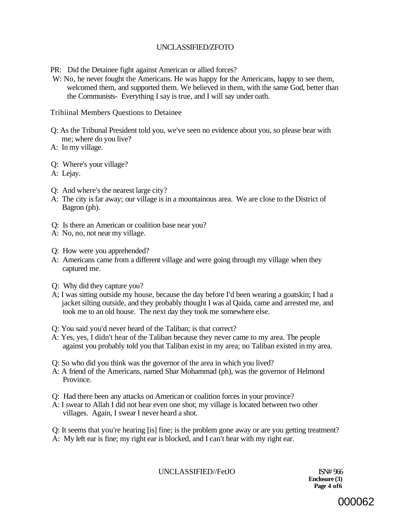# UNCLASSIFIED/ZFOTO

PR: Did the Detainee fight against American or allied forces?

W: No, he never fought the Americans. He was happy for the Americans, happy to see them, welcomed them, and supported them. We believed in them, with the same God, better than the Communists- Everything I say is true, and I will say under oath.

Trihiinal Members Questions to Detainee

- Q: As the Tribunal President told you, we've seen no evidence about you, so please bear with me; where do you live?
- A: In my village.
- Q: Where's your village?
- A: Lejay.
- Q: And where's the nearest large city?
- A: The city is far away; our village is in a mountainous area. We are close to the District of Bagron (ph).
- Q: Is there an American or coalition base near you?
- A: No, no, not near my village.
- Q: How were you apprehended?
- A: Americans came from a different village and were going through my village when they captured me.
- Q: Why did they capture you?
- A; I was sitting outside my house, because the day before I'd been wearing a goatskin; I had a jacket silting outside, and they probably thought I was al Qaida, came and arrested me, and took me to an old house. The next day they took me somewhere else.
- Q: You said you'd never heard of the Taliban; is that correct?
- A: Yes, yes, I didn't hear of the Taliban because they never came to my area. The people against you probably told you that Taliban exist in my area; no Taliban existed in my area.
- Q: So who did you think was the governor of the area in which you lived?
- A: A friend of the Americans, named Shar Mohammad (ph), was the governor of Helmond Province.
- Q: Had there been any attacks on American or coalition forces in your province?
- A: I swear to Allah I did not hear even one shot; my village is located between two other villages. Again, I swear I never heard a shot.

Q: It seems that you're hearing [is] fine; is the problem gone away or are you getting treatment? A: My left ear is fine; my right ear is blocked, and I can't hear with my right ear.

UNCLASSIFIED//FetJO ISN# 966

**Enclosure (3) Page 4 of6** 

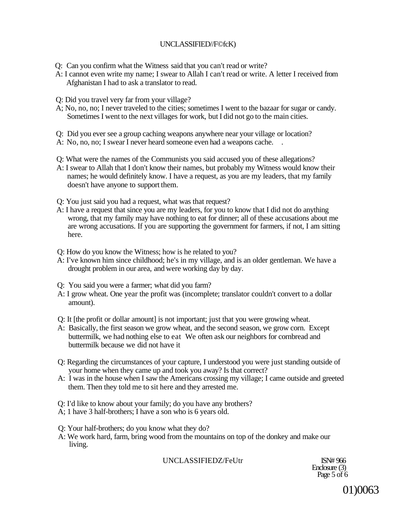# UNCLASSIFIED//F©fcK)

- Q: Can you confirm what the Witness said that you can't read or write?
- A: I cannot even write my name; I swear to Allah I can't read or write. A letter I received from Afghanistan I had to ask a translator to read.
- Q: Did you travel very far from your village?
- A; No, no, no; I never traveled to the cities; sometimes I went to the bazaar for sugar or candy. Sometimes I went to the next villages for work, but I did not go to the main cities.
- Q: Did you ever see a group caching weapons anywhere near your village or location?
- A: No, no, no; I swear I never heard someone even had a weapons cache. .
- Q: What were the names of the Communists you said accused you of these allegations?
- A: I swear to Allah that I don't know their names, but probably my Witness would know their names; he would definitely know. I have a request, as you are my leaders, that my family doesn't have anyone to support them.
- Q: You just said you had a request, what was that request?
- A: I have a request that since you are my leaders, for you to know that I did not do anything wrong, that my family may have nothing to eat for dinner; all of these accusations about me are wrong accusations. If you are supporting the government for farmers, if not, I am sitting here.
- Q: How do you know the Witness; how is he related to you?
- A: I've known him since childhood; he's in my village, and is an older gentleman. We have a drought problem in our area, and were working day by day.
- Q: You said you were a farmer; what did you farm?
- A: I grow wheat. One year the profit was (incomplete; translator couldn't convert to a dollar amount).
- Q: It [the profit or dollar amount] is not important; just that you were growing wheat.
- A: Basically, the first season we grow wheat, and the second season, we grow corn. Except buttermilk, we had nothing else to eat We often ask our neighbors for cornbread and buttermilk because we did not have it
- Q: Regarding the circumstances of your capture, I understood you were just standing outside of your home when they came up and took you away? Is that correct?
- A: I was in the house when I saw the Americans crossing my village; I came outside and greeted them. Then they told me to sit here and they arrested me.
- Q: I'd like to know about your family; do you have any brothers?
- A; 1 have 3 half-brothers; I have a son who is 6 years old.
- Q: Your half-brothers; do you know what they do?
- A: We work hard, farm, bring wood from the mountains on top of the donkey and make our living.

UNCLASSIFIEDZ/FeUtr ISN# 966

Enclosure (3) Page 5 of 6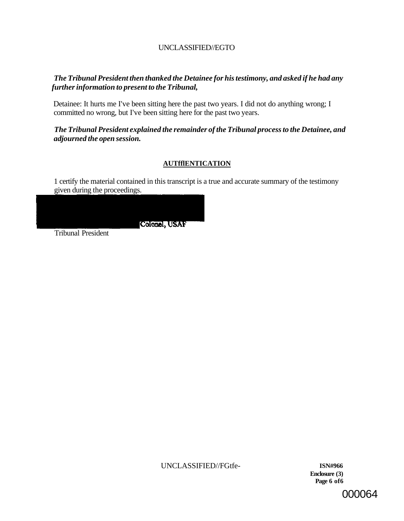# UNCLASSIFIED//EGTO

# *The Tribunal President then thanked the Detainee for his testimony, and asked if he had any further information to present to the Tribunal,*

Detainee: It hurts me I've been sitting here the past two years. I did not do anything wrong; I committed no wrong, but I've been sitting here for the past two years.

# *The Tribunal President explained the remainder of the Tribunal process to the Detainee, and adjourned the open session.*

# **AUTfflENTICATION**

1 certify the material contained in this transcript is a true and accurate summary of the testimony given during the proceedings.



Tribunal President

UNCLASSIFIED//FGtfe- **ISN#966** 

**Enclosure (3) Page 6 of6**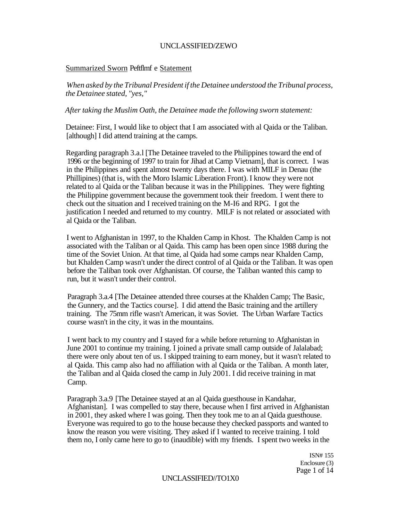#### UNCLASSIFIED/ZEWO

#### Summarized Sworn Peftflmf e Statement

*When asked by the Tribunal President if the Detainee understood the Tribunal process, the Detainee stated, "yes,"* 

*After taking the Muslim Oath, the Detainee made the following sworn statement:* 

Detainee: First, I would like to object that I am associated with al Qaida or the Taliban. [although] I did attend training at the camps.

Regarding paragraph 3.a.l [The Detainee traveled to the Philippines toward the end of 1996 or the beginning of 1997 to train for Jihad at Camp Vietnam], that is correct. I was in the Philippines and spent almost twenty days there. I was with MILF in Denau (the Phillipines) (that is, with the Moro Islamic Liberation Front). I know they were not related to al Qaida or the Taliban because it was in the Philippines. They were fighting the Philippine government because the government took their freedom. I went there to check out the situation and I received training on the M-I6 and RPG. I got the justification I needed and returned to my country. MILF is not related or associated with al Qaida or the Taliban.

I went to Afghanistan in 1997, to the Khalden Camp in Khost. The Khalden Camp is not associated with the Taliban or al Qaida. This camp has been open since 1988 during the time of the Soviet Union. At that time, al Qaida had some camps near Khalden Camp, but Khalden Camp wasn't under the direct control of al Qaida or the Taliban. It was open before the Taliban took over Afghanistan. Of course, the Taliban wanted this camp to run, but it wasn't under their control.

Paragraph 3.a.4 [The Detainee attended three courses at the Khalden Camp; The Basic, the Gunnery, and the Tactics course]. I did attend the Basic training and the artillery training. The 75mm rifle wasn't American, it was Soviet. The Urban Warfare Tactics course wasn't in the city, it was in the mountains.

I went back to my country and I stayed for a while before returning to Afghanistan in June 2001 to continue my training. I joined a private small camp outside of Jalalabad; there were only about ten of us. I skipped training to earn money, but it wasn't related to al Qaida. This camp also had no affiliation with al Qaida or the Taliban. A month later, the Taliban and al Qaida closed the camp in July 2001. I did receive training in mat Camp.

Paragraph 3.a.9 [The Detainee stayed at an al Qaida guesthouse in Kandahar, Afghanistan]. I was compelled to stay there, because when I first arrived in Afghanistan in 2001, they asked where I was going. Then they took me to an al Qaida guesthouse. Everyone was required to go to the house because they checked passports and wanted to know the reason you were visiting. They asked if I wanted to receive training. I told them no, I only came here to go to (inaudible) with my friends. I spent two weeks in the

> ISN# 155 Enclosure (3) Page 1 of 14

#### UNCLASSIFIED//TO1X0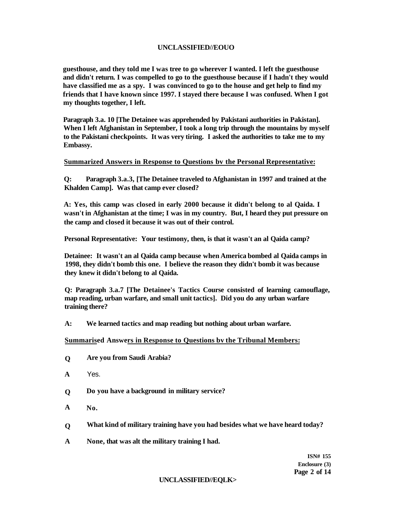### **UNCLASSIFIED//EOUO**

**guesthouse, and they told me I was tree to go wherever I wanted. I left the guesthouse and didn't return. I was compelled to go to the guesthouse because if I hadn't they would have classified me as a spy. I was convinced to go to the house and get help to find my friends that I have known since 1997. I stayed there because I was confused. When I got my thoughts together, I left.** 

**Paragraph 3.a. 10 [The Detainee was apprehended by Pakistani authorities in Pakistan]. When I left Afghanistan in September, I took a long trip through the mountains by myself to the Pakistani checkpoints. It was very tiring. I asked the authorities to take me to my Embassy.** 

#### **Summarized Answers in Response to Questions bv the Personal Representative:**

**Q: Paragraph 3.a.3, [The Detainee traveled to Afghanistan in 1997 and trained at the Khalden Camp]. Was that camp ever closed?** 

**A: Yes, this camp was closed in early 2000 because it didn't belong to al Qaida. I wasn't in Afghanistan at the time; I was in my country. But, I heard they put pressure on the camp and closed it because it was out of their control.** 

**Personal Representative: Your testimony, then, is that it wasn't an al Qaida camp?** 

**Detainee: It wasn't an al Qaida camp because when America bombed al Qaida camps in 1998, they didn't bomb this one. I believe the reason they didn't bomb it was because they knew it didn't belong to al Qaida.** 

**Q: Paragraph 3.a.7 [The Detainee's Tactics Course consisted of learning camouflage, map reading, urban warfare, and small unit tactics]. Did you do any urban warfare training there?** 

**A: We learned tactics and map reading but nothing about urban warfare.** 

#### **Summarised Answers in Response to Questions bv the Tribunal Members:**

- **Q Are you from Saudi Arabia?**
- **A**  Yes.
- **Q Do you have a background in military service?**
- **A No.**
- **Q What kind of military training have you had besides what we have heard today?**
- **A None, that was alt the military training I had.**

**ISN# 155 Enclosure (3) Page 2 of 14** 

#### **UNCLASSIFIED//EQLK>**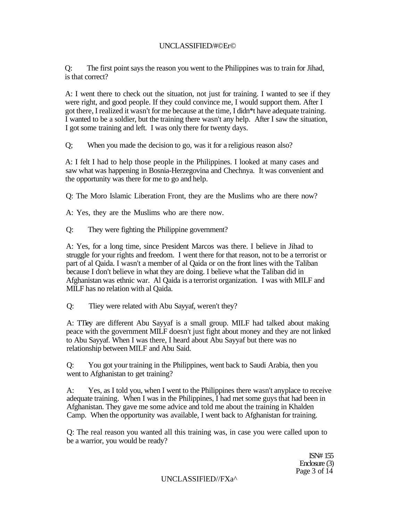# UNCLASSIFIED/#©Er©

Q: The first point says the reason you went to the Philippines was to train for Jihad, is that correct?

A: I went there to check out the situation, not just for training. I wanted to see if they were right, and good people. If they could convince me, I would support them. After I got there, I realized it wasn't for me because at the time, I didn\*t have adequate training. I wanted to be a soldier, but the training there wasn't any help. After I saw the situation, I got some training and left. I was only there for twenty days.

Q; When you made the decision to go, was it for a religious reason also?

A: I felt I had to help those people in the Philippines. I looked at many cases and saw what was happening in Bosnia-Herzegovina and Chechnya. It was convenient and the opportunity was there for me to go and help.

Q: The Moro Islamic Liberation Front, they are the Muslims who are there now?

A: Yes, they are the Muslims who are there now.

Q: They were fighting the Philippine government?

A: Yes, for a long time, since President Marcos was there. I believe in Jihad to struggle for your rights and freedom. I went there for that reason, not to be a terrorist or part of al Qaida. I wasn't a member of al Qaida or on the front lines with the Taliban because I don't believe in what they are doing. I believe what the Taliban did in Afghanistan was ethnic war. Al Qaida is a terrorist organization. I was with MILF and MILF has no relation with al Qaida.

Q: Tliey were related with Abu Sayyaf, weren't they?

A: TTiey are different Abu Sayyaf is a small group. MILF had talked about making peace with the government MILF doesn't just fight about money and they are not linked to Abu Sayyaf. When I was there, I heard about Abu Sayyaf but there was no relationship between MILF and Abu Said.

Q: You got your training in the Philippines, went back to Saudi Arabia, then you went to Afghanistan to get training?

A: Yes, as I told you, when I went to the Philippines there wasn't anyplace to receive adequate training. When I was in the Philippines, I had met some guys that had been in Afghanistan. They gave me some advice and told me about the training in Khalden Camp. When the opportunity was available, I went back to Afghanistan for training.

Q: The real reason you wanted all this training was, in case you were called upon to be a warrior, you would be ready?

> ISN# 155 Enclosure (3) Page 3 of 14

UNCLASSIFlED//FXa^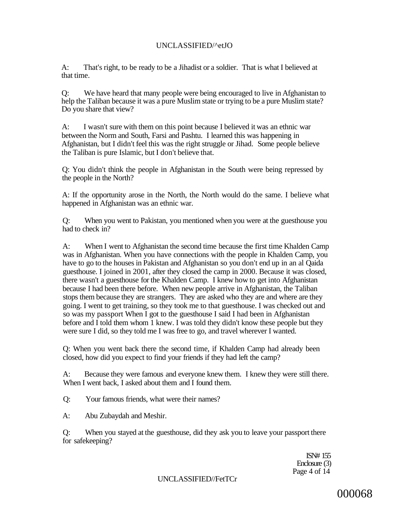# UNCLASSIFIED/^etJO

A: That's right, to be ready to be a Jihadist or a soldier. That is what I believed at that time.

Q: We have heard that many people were being encouraged to live in Afghanistan to help the Taliban because it was a pure Muslim state or trying to be a pure Muslim state? Do you share that view?

A: I wasn't sure with them on this point because I believed it was an ethnic war between the Norm and South, Farsi and Pashtu. I learned this was happening in Afghanistan, but I didn't feel this was the right struggle or Jihad. Some people believe the Taliban is pure Islamic, but I don't believe that.

Q: You didn't think the people in Afghanistan in the South were being repressed by the people in the North?

A: If the opportunity arose in the North, the North would do the same. I believe what happened in Afghanistan was an ethnic war.

Q: When you went to Pakistan, you mentioned when you were at the guesthouse you had to check in?

A: When I went to Afghanistan the second time because the first time Khalden Camp was in Afghanistan. When you have connections with the people in Khalden Camp, you have to go to the houses in Pakistan and Afghanistan so you don't end up in an al Qaida guesthouse. I joined in 2001, after they closed the camp in 2000. Because it was closed, there wasn't a guesthouse for the Khalden Camp. I knew how to get into Afghanistan because I had been there before. When new people arrive in Afghanistan, the Taliban stops them because they are strangers. They are asked who they are and where are they going. I went to get training, so they took me to that guesthouse. I was checked out and so was my passport When I got to the guesthouse I said I had been in Afghanistan before and I told them whom 1 knew. I was told they didn't know these people but they were sure I did, so they told me I was free to go, and travel wherever I wanted.

Q: When you went back there the second time, if Khalden Camp had already been closed, how did you expect to find your friends if they had left the camp?

A: Because they were famous and everyone knew them. I knew they were still there. When I went back, I asked about them and I found them.

Q: Your famous friends, what were their names?

A: Abu Zubaydah and Meshir.

Q: When you stayed at the guesthouse, did they ask you to leave your passport there for safekeeping?

> ISN# 155 Enclosure (3) Page 4 of 14

UNCLASSIFIED//FetTCr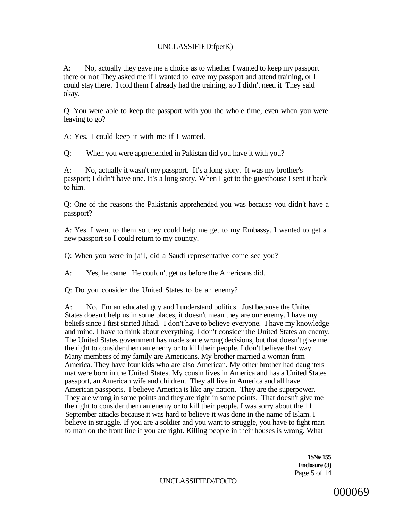# UNCLASSIFIEDtfpetK)

A: No, actually they gave me a choice as to whether I wanted to keep my passport there or not They asked me if I wanted to leave my passport and attend training, or I could stay there. I told them I already had the training, so I didn't need it They said okay.

Q: You were able to keep the passport with you the whole time, even when you were leaving to go?

A: Yes, I could keep it with me if I wanted.

Q: When you were apprehended in Pakistan did you have it with you?

A: No, actually it wasn't my passport. It's a long story. It was my brother's passport; I didn't have one. It's a long story. When I got to the guesthouse I sent it back to him.

Q: One of the reasons the Pakistanis apprehended you was because you didn't have a passport?

A: Yes. I went to them so they could help me get to my Embassy. I wanted to get a new passport so I could return to my country.

Q: When you were in jail, did a Saudi representative come see you?

A: Yes, he came. He couldn't get us before the Americans did.

Q: Do you consider the United States to be an enemy?

A: No. I'm an educated guy and I understand politics. Just because the United States doesn't help us in some places, it doesn't mean they are our enemy. I have my beliefs since I first started Jihad. I don't have to believe everyone. I have my knowledge and mind. I have to think about everything. I don't consider the United States an enemy. The United States government has made some wrong decisions, but that doesn't give me the right to consider them an enemy or to kill their people. I don't believe that way. Many members of my family are Americans. My brother married a woman from America. They have four kids who are also American. My other brother had daughters mat were born in the United States. My cousin lives in America and has a United States passport, an American wife and children. They all live in America and all have American passports. I believe America is like any nation. They are the superpower. They are wrong in some points and they are right in some points. That doesn't give me the right to consider them an enemy or to kill their people. I was sorry about the 11 September attacks because it was hard to believe it was done in the name of Islam. I believe in struggle. If you are a soldier and you want to struggle, you have to fight man to man on the front line if you are right. Killing people in their houses is wrong. What

> **1SN# 155 Enclosure (3)**  Page 5 of 14

UNCLASSIFIED//FOtTO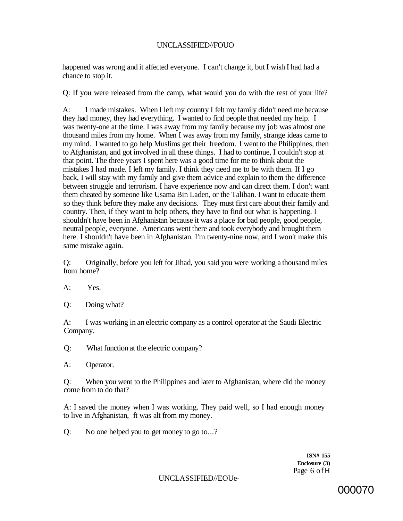### UNCLASSIFIED//FOUO

happened was wrong and it affected everyone. I can't change it, but I wish I had had a chance to stop it.

Q: If you were released from the camp, what would you do with the rest of your life?

A: 1 made mistakes. When I left my country I felt my family didn't need me because they had money, they had everything. I wanted to find people that needed my help. I was twenty-one at the time. I was away from my family because my job was almost one thousand miles from my home. When I was away from my family, strange ideas came to my mind. I wanted to go help Muslims get their freedom. I went to the Philippines, then to Afghanistan, and got involved in all these things. I had to continue, I couldn't stop at that point. The three years I spent here was a good time for me to think about the mistakes I had made. I left my family. I think they need me to be with them. If I go back, I will stay with my family and give them advice and explain to them the difference between struggle and terrorism. I have experience now and can direct them. I don't want them cheated by someone like Usama Bin Laden, or the Taliban. I want to educate them so they think before they make any decisions. They must first care about their family and country. Then, if they want to help others, they have to find out what is happening. I shouldn't have been in Afghanistan because it was a place for bad people, good people, neutral people, everyone. Americans went there and took everybody and brought them here. I shouldn't have been in Afghanistan. I'm twenty-nine now, and I won't make this same mistake again.

Q: Originally, before you left for Jihad, you said you were working a thousand miles from home?

A: Yes.

Q: Doing what?

A: I was working in an electric company as a control operator at the Saudi Electric Company.

Q: What function at the electric company?

A: Operator.

Q: When you went to the Philippines and later to Afghanistan, where did the money come from to do that?

A: I saved the money when I was working. They paid well, so I had enough money to live in Afghanistan, ft was alt from my money.

Q: No one helped you to get money to go to...?

**ISN# 155 Enclosure (3)**  Page 6 ofH

UNCLASSIFIED//EOUe-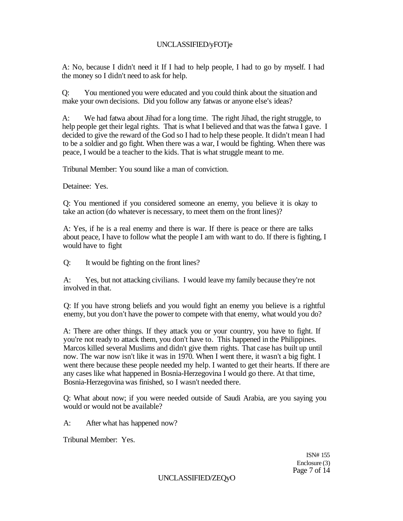# UNCLASSIFIED/yFOTje

A: No, because I didn't need it If I had to help people, I had to go by myself. I had the money so I didn't need to ask for help.

Q: You mentioned you were educated and you could think about the situation and make your own decisions. Did you follow any fatwas or anyone else's ideas?

A: We had fatwa about Jihad for a long time. The right Jihad, the right struggle, to help people get their legal rights. That is what I believed and that was the fatwa I gave. I decided to give the reward of the God so I had to help these people. It didn't mean I had to be a soldier and go fight. When there was a war, I would be fighting. When there was peace, I would be a teacher to the kids. That is what struggle meant to me.

Tribunal Member: You sound like a man of conviction.

Detainee: Yes.

Q: You mentioned if you considered someone an enemy, you believe it is okay to take an action (do whatever is necessary, to meet them on the front lines)?

A: Yes, if he is a real enemy and there is war. If there is peace or there are talks about peace, I have to follow what the people I am with want to do. If there is fighting, I would have to fight

Q: It would be fighting on the front lines?

A: Yes, but not attacking civilians. I would leave my family because they're not involved in that.

Q: If you have strong beliefs and you would fight an enemy you believe is a rightful enemy, but you don't have the power to compete with that enemy, what would you do?

A: There are other things. If they attack you or your country, you have to fight. If you're not ready to attack them, you don't have to. This happened in the Philippines. Marcos killed several Muslims and didn't give them rights. That case has built up until now. The war now isn't like it was in 1970. When I went there, it wasn't a big fight. I went there because these people needed my help. I wanted to get their hearts. If there are any cases like what happened in Bosnia-Herzegovina I would go there. At that time, Bosnia-Herzegovina was finished, so I wasn't needed there.

Q: What about now; if you were needed outside of Saudi Arabia, are you saying you would or would not be available?

A: After what has happened now?

Tribunal Member: Yes.

ISN# 155 Enclosure (3) Page 7 of 14

UNCLASSIFIED/ZEQyO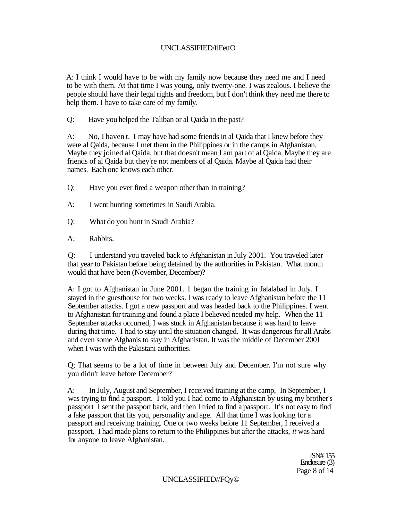# UNCLASSIFIED/flFetfO

A: I think I would have to be with my family now because they need me and I need to be with them. At that time I was young, only twenty-one. I was zealous. I believe the people should have their legal rights and freedom, but I don't think they need me there to help them. I have to take care of my family.

Q: Have you helped the Taliban or al Qaida in the past?

A: No, I haven't. I may have had some friends in al Qaida that I knew before they were al Qaida, because I met them in the Philippines or in the camps in Afghanistan. Maybe they joined al Qaida, but that doesn't mean I am part of al Qaida. Maybe they are friends of al Qaida but they're not members of al Qaida. Maybe al Qaida had their names. Each one knows each other.

- Q: Have you ever fired a weapon other than in training?
- A: I went hunting sometimes in Saudi Arabia.
- Q: What do you hunt in Saudi Arabia?
- A; Rabbits.

Q: I understand you traveled back to Afghanistan in July 2001. You traveled later that year to Pakistan before being detained by the authorities in Pakistan. What month would that have been (November, December)?

A: I got to Afghanistan in June 2001. 1 began the training in Jalalabad in July. I stayed in the guesthouse for two weeks. I was ready to leave Afghanistan before the 11 September attacks. I got a new passport and was headed back to the Philippines. I went to Afghanistan for training and found a place I believed needed my help. When the 11 September attacks occurred, I was stuck in Afghanistan because it was hard to leave during that time. I had to stay until the situation changed. It was dangerous for all Arabs and even some Afghanis to stay in Afghanistan. It was the middle of December 2001 when I was with the Pakistani authorities.

Q; That seems to be a lot of time in between July and December. I'm not sure why you didn't leave before December?

A: In July, August and September, I received training at the camp, In September, I was trying to find a passport. I told you I had come to Afghanistan by using my brother's passport I sent the passport back, and then I tried to find a passport. It's not easy to find a fake passport that fits you, personality and age. All that time I was looking for a passport and receiving training. One or two weeks before 11 September, I received a passport. I had made plans to return to the Philippines but after the attacks, *it* was hard for anyone to leave Afghanistan.

> ISN# 155 Enclosure (3) Page 8 of 14

#### UNCLASSIFIED//FQy©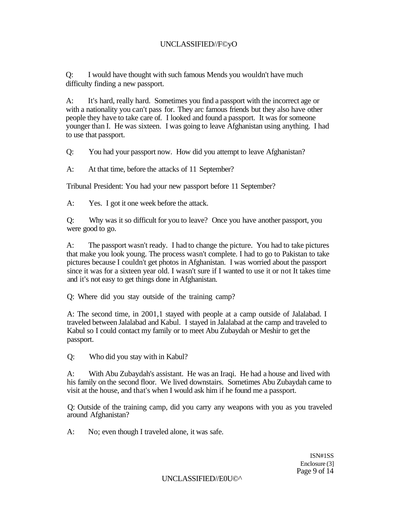# UNCLASSIFIED//F©yO

Q: I would have thought with such famous Mends you wouldn't have much difficulty finding a new passport.

A: It's hard, really hard. Sometimes you find a passport with the incorrect age or with a nationality you can't pass for. They arc famous friends but they also have other people they have to take care of. I looked and found a passport. It was for someone younger than I. He was sixteen. I was going to leave Afghanistan using anything. I had to use that passport.

Q: You had your passport now. How did you attempt to leave Afghanistan?

A: At that time, before the attacks of 11 September?

Tribunal President: You had your new passport before 11 September?

A: Yes. I got it one week before the attack.

Q: Why was it so difficult for you to leave? Once you have another passport, you were good to go.

A: The passport wasn't ready. I had to change the picture. You had to take pictures that make you look young. The process wasn't complete. I had to go to Pakistan to take pictures because I couldn't get photos in Afghanistan. I was worried about the passport since it was for a sixteen year old. I wasn't sure if I wanted to use it or not It takes time and it's not easy to get things done in Afghanistan.

Q: Where did you stay outside of the training camp?

A: The second time, in 2001,1 stayed with people at a camp outside of Jalalabad. I traveled between Jalalabad and Kabul. I stayed in Jalalabad at the camp and traveled to Kabul so I could contact my family or to meet Abu Zubaydah or Meshir to get the passport.

Q: Who did you stay with in Kabul?

A: With Abu Zubaydah's assistant. He was an Iraqi. He had a house and lived with his family on the second floor. We lived downstairs. Sometimes Abu Zubaydah came to visit at the house, and that's when I would ask him if he found me a passport.

Q: Outside of the training camp, did you carry any weapons with you as you traveled around Afghanistan?

A: No; even though I traveled alone, it was safe.

ISN#1SS Enclosure (3] Page 9 of 14

UNCLASSIFIED//E0U©^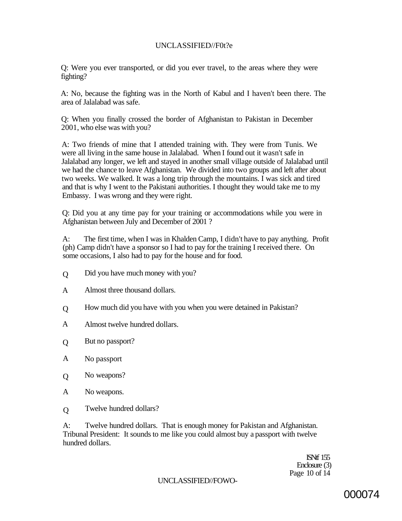# UNCLASSIFIED//F0t?e

Q: Were you ever transported, or did you ever travel, to the areas where they were fighting?

A: No, because the fighting was in the North of Kabul and I haven't been there. The area of Jalalabad was safe.

Q: When you finally crossed the border of Afghanistan to Pakistan in December 2001, who else was with you?

A: Two friends of mine that I attended training with. They were from Tunis. We were all living in the same house in Jalalabad. When I found out it wasn't safe in Jalalabad any longer, we left and stayed in another small village outside of Jalalabad until we had the chance to leave Afghanistan. We divided into two groups and left after about two weeks. We walked. It was a long trip through the mountains. I was sick and tired and that is why I went to the Pakistani authorities. I thought they would take me to my Embassy. I was wrong and they were right.

Q: Did you at any time pay for your training or accommodations while you were in Afghanistan between July and December of 2001 ?

A: The first time, when I was in Khalden Camp, I didn't have to pay anything. Profit (ph) Camp didn't have a sponsor so I had to pay for the training I received there. On some occasions, I also had to pay for the house and for food.

- Did you have much money with you?  $\overline{O}$
- Almost three thousand dollars. A
- How much did you have with you when you were detained in Pakistan?  $\overline{O}$
- Almost twelve hundred dollars. A
- But no passport?  $\overline{O}$
- No passport A
- No weapons?  $\Omega$
- No weapons. A
- Twelve hundred dollars?  $\overline{O}$

A: Twelve hundred dollars. That is enough money for Pakistan and Afghanistan. Tribunal President: It sounds to me like you could almost buy a passport with twelve hundred dollars.

> ISNtf 155 Enclosure (3) Page 10 of 14

# UNCLASSIFIED//FOWO-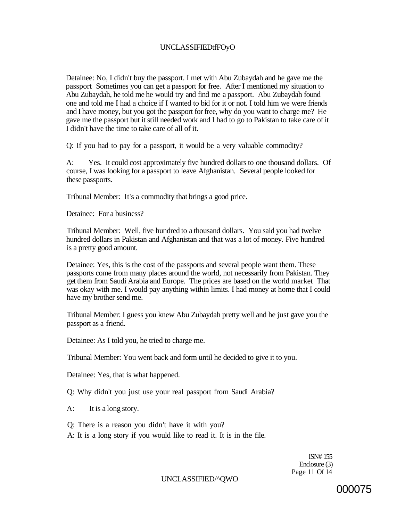# UNCLASSIFIEDtfFOyO

Detainee: No, I didn't buy the passport. I met with Abu Zubaydah and he gave me the passport Sometimes you can get a passport for free. After I mentioned my situation to Abu Zubaydah, he told me he would try and find me a passport. Abu Zubaydah found one and told me I had a choice if I wanted to bid for it or not. I told him we were friends and I have money, but you got the passport for free, why do you want to charge me? He gave me the passport but it still needed work and I had to go to Pakistan to take care of it I didn't have the time to take care of all of it.

Q: If you had to pay for a passport, it would be a very valuable commodity?

A: Yes. It could cost approximately five hundred dollars to one thousand dollars. Of course, I was looking for a passport to leave Afghanistan. Several people looked for these passports.

Tribunal Member: It's a commodity that brings a good price.

Detainee: For a business?

Tribunal Member: Well, five hundred to a thousand dollars. You said you had twelve hundred dollars in Pakistan and Afghanistan and that was a lot of money. Five hundred is a pretty good amount.

Detainee: Yes, this is the cost of the passports and several people want them. These passports come from many places around the world, not necessarily from Pakistan. They get them from Saudi Arabia and Europe. The prices are based on the world market That was okay with me. I would pay anything within limits. I had money at home that I could have my brother send me.

Tribunal Member: I guess you knew Abu Zubaydah pretty well and he just gave you the passport as a friend.

Detainee: As I told you, he tried to charge me.

Tribunal Member: You went back and form until he decided to give it to you.

Detainee: Yes, that is what happened.

Q: Why didn't you just use your real passport from Saudi Arabia?

A: It is a long story.

Q: There is a reason you didn't have it with you?

A: It is a long story if you would like to read it. It is in the file.

ISN# 155 Enclosure (3) Page 11 Of 14

#### UNCLASSIFIED/^QWO

000075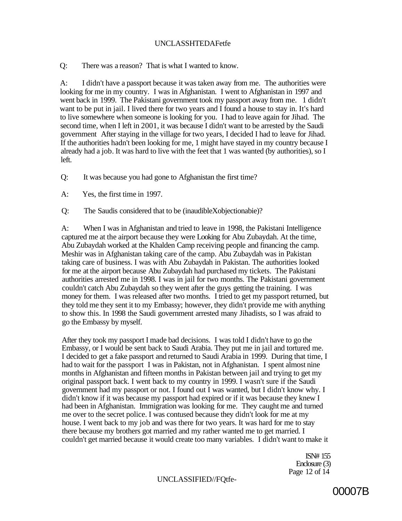## UNCLASSHTEDAFetfe

Q: There was a reason? That is what I wanted to know.

A: I didn't have a passport because it was taken away from me. The authorities were looking for me in my country. I was in Afghanistan. I went to Afghanistan in 1997 and went back in 1999. The Pakistani government took my passport away from me. 1 didn't want to be put in jail. I lived there for two years and I found a house to stay in. It's hard to live somewhere when someone is looking for you. I had to leave again for Jihad. The second time, when I left in 2001, it was because I didn't want to be arrested by the Saudi government After staying in the village for two years, I decided I had to leave for Jihad. If the authorities hadn't been looking for me, 1 might have stayed in my country because I already had a job. It was hard to live with the feet that 1 was wanted (by authorities), so I left.

Q: It was because you had gone to Afghanistan the first time?

A: Yes, the first time in 1997.

Q: The Saudis considered that to be (inaudibleXobjectionabie)?

A: When I was in Afghanistan and tried to leave in 1998, the Pakistani Intelligence captured me at the airport because they were Looking for Abu Zubaydah. At the time, Abu Zubaydah worked at the Khalden Camp receiving people and financing the camp. Meshir was in Afghanistan taking care of the camp. Abu Zubaydah was in Pakistan taking care of business. I was with Abu Zubaydah in Pakistan. The authorities looked for me at the airport because Abu Zubaydah had purchased my tickets. The Pakistani authorities arrested me in 1998. I was in jail for two months. The Pakistani government couldn't catch Abu Zubaydah so they went after the guys getting the training. I was money for them. I was released after two months. I tried to get my passport returned, but they told me they sent it to my Embassy; however, they didn't provide me with anything to show this. In 1998 the Saudi government arrested many Jihadists, so I was afraid to go the Embassy by myself.

After they took my passport I made bad decisions. I was told I didn't have to go the Embassy, or I would be sent back to Saudi Arabia. They put me in jail and tortured me. I decided to get a fake passport and returned to Saudi Arabia in 1999. During that time, I had to wait for the passport I was in Pakistan, not in Afghanistan. I spent almost nine months in Afghanistan and fifteen months in Pakistan between jail and trying to get my original passport back. I went back to my country in 1999. I wasn't sure if the Saudi government had my passport or not. I found out I was wanted, but I didn't know why. I didn't know if it was because my passport had expired or if it was because they knew I had been in Afghanistan. Immigration was looking for me. They caught me and turned me over to the secret police. I was contused because they didn't look for me at my house. I went back to my job and was there for two years. It was hard for me to stay there because my brothers got married and my rather wanted me to get married. I couldn't get married because it would create too many variables. I didn't want to make it

> ISN# 155 Enclosure (3) Page 12 of 14

UNCLASSIFIED//FQtfe-

00007B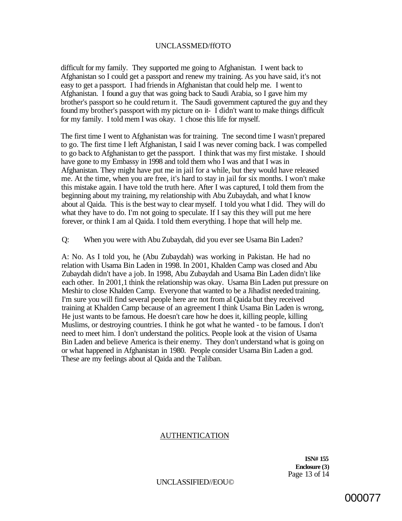### UNCLASSMED/ffOTO

difficult for my family. They supported me going to Afghanistan. I went back to Afghanistan so I could get a passport and renew my training. As you have said, it's not easy to get a passport. I had friends in Afghanistan that could help me. I went to Afghanistan. I found a guy that was going back to Saudi Arabia, so I gave him my brother's passport so he could return it. The Saudi government captured the guy and they found my brother's passport with my picture on it- I didn't want to make things difficult for my family. I told mem I was okay. 1 chose this life for myself.

The first time I went to Afghanistan was for training. Tne second time I wasn't prepared to go. The first time I left Afghanistan, I said I was never coming back. I was compelled to go back to Afghanistan to get the passport. I think that was my first mistake. I should have gone to my Embassy in 1998 and told them who I was and that I was in Afghanistan. They might have put me in jail for a while, but they would have released me. At the time, when you are free, it's hard to stay in jail for six months. I won't make this mistake again. I have told the truth here. After I was captured, I told them from the beginning about my training, my relationship with Abu Zubaydah, and what I know about al Qaida. This is the best way to clear myself. I told you what I did. They will do what they have to do. I'm not going to speculate. If I say this they will put me here forever, or think I am al Qaida. I told them everything. I hope that will help me.

Q: When you were with Abu Zubaydah, did you ever see Usama Bin Laden?

A: No. As I told you, he (Abu Zubaydah) was working in Pakistan. He had no relation with Usama Bin Laden in 1998. In 2001, Khalden Camp was closed and Abu Zubaydah didn't have a job. In 1998, Abu Zubaydah and Usama Bin Laden didn't like each other. In 2001,1 think the relationship was okay. Usama Bin Laden put pressure on Meshir to close Khalden Camp. Everyone that wanted to be a Jihadist needed training. I'm sure you will find several people here are not from al Qaida but they received training at Khalden Camp because of an agreement I think Usama Bin Laden is wrong, He just wants to be famous. He doesn't care how he does it, killing people, killing Muslims, or destroying countries. I think he got what he wanted - to be famous. I don't need to meet him. I don't understand the politics. People look at the vision of Usama Bin Laden and believe America is their enemy. They don't understand what is going on or what happened in Afghanistan in 1980. People consider Usama Bin Laden a god. These are my feelings about al Qaida and the Taliban.

### AUTHENTICATION

**ISN# 155 Enclosure (3)**  Page 13 of 14

UNCLASSIFIED//EOU©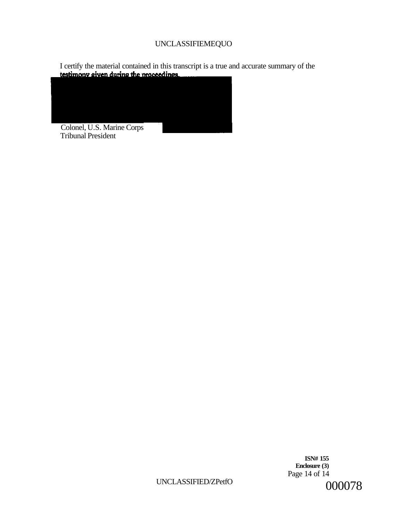# UNCLASSIFIEMEQUO

I certify the material contained in this transcript is a true and accurate summary of the **testimony given during the proceedings** 



**ISN# 155 Enclosure (3)**  Page 14 of 14 000078

UNCLASSIFIED/ZPetfO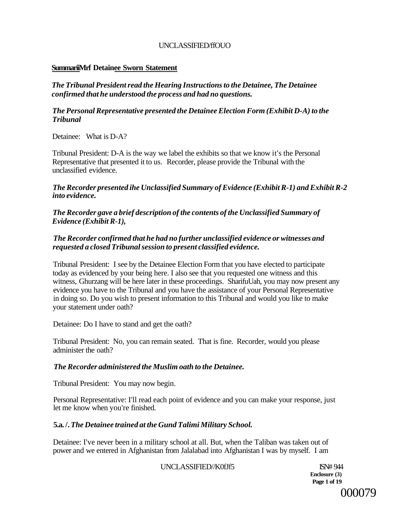# UNCLASSIFIED/ffOUO

# **SummariiMrf Detainee Sworn Statement**

*The Tribunal President read the Hearing Instructions to the Detainee, The Detainee confirmed that he understood the process and had no questions.* 

## *The Personal Representative presented the Detainee Election Form (Exhibit D-A) to the Tribunal*

Detainee: What is D-A?

Tribunal President: D-A is the way we label the exhibits so that we know it's the Personal Representative that presented it to us. Recorder, please provide the Tribunal with the unclassified evidence.

*The Recorder presented ihe Unclassified Summary of Evidence (Exhibit R-1) and Exhibit R-2 into evidence.* 

*The Recorder gave a brief description of the contents of the Unclassified Summary of Evidence (Exhibit R-1),* 

# *The Recorder confirmed that he had no further unclassified evidence or witnesses and requested a closed Tribunal session to present classified evidence.*

Tribunal President: I see by the Detainee Election Form that you have elected to participate today as evidenced by your being here. I also see that you requested one witness and this witness, Ghurzang will be here later in these proceedings. SharifuUah, you may now present any evidence you have to the Tribunal and you have the assistance of your Personal Representative in doing so. Do you wish to present information to this Tribunal and would you like to make your statement under oath?

Detainee: Do I have to stand and get the oath?

Tribunal President: No, you can remain seated. That is fine. Recorder, would you please administer the oath?

# *The Recorder administered the Muslim oath to the Detainee.*

Tribunal President: You may now begin.

Personal Representative: I'll read each point of evidence and you can make your response, just let me know when you're finished.

# **5.a. /.** *The Detainee trained at the Gund Talimi Military School.*

Detainee: I've never been in a military school at all. But, when the Taliban was taken out of power and we entered in Afghanistan from Jalalabad into Afghanistan I was by myself. I am

UNCLASSIFIED//K0fJf5 ISN# 944

**Enclosure (3) Page 1 of 19** 

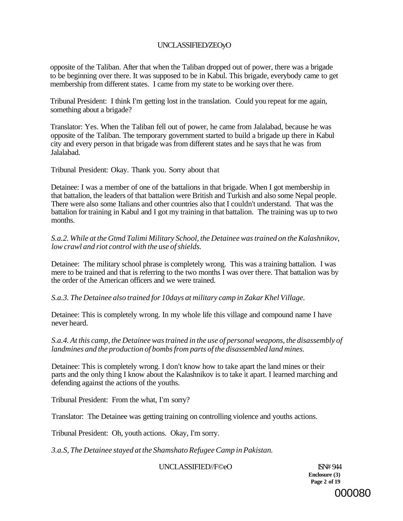# UNCLASSIFIED/ZEOyO

opposite of the Taliban. After that when the Taliban dropped out of power, there was a brigade to be beginning over there. It was supposed to be in Kabul. This brigade, everybody came to get membership from different states. I came from my state to be working over there.

Tribunal President: I think I'm getting lost in the translation. Could you repeat for me again, something about a brigade?

Translator: Yes. When the Taliban fell out of power, he came from Jalalabad, because he was opposite of the Taliban. The temporary government started to build a brigade up there in Kabul city and every person in that brigade was from different states and he says that he was from Jalalabad.

Tribunal President: Okay. Thank you. Sorry about that

Detainee: I was a member of one of the battalions in that brigade. When I got membership in that battalion, the leaders of that battalion were British and Turkish and also some Nepal people. There were also some Italians and other countries also that I couldn't understand. That was the battalion for training in Kabul and I got my training in that battalion. The training was up to two months.

*S.a.2. While at the Gtmd Talimi Military School, the Detainee was trained on the Kalashnikov, low crawl and riot control with the use of shields.* 

Detainee: The military school phrase is completely wrong. This was a training battalion. I was mere to be trained and that is referring to the two months I was over there. That battalion was by the order of the American officers and we were trained.

*S.a.3. The Detainee also trained for 10days at military camp in Zakar Khel Village.* 

Detainee: This is completely wrong. In my whole life this village and compound name I have never heard.

*S.a.4. At this camp, the Detainee was trained in the use of personal weapons, the disassembly of landmines and the production of bombs from parts of the disassembled land mines.* 

Detainee: This is completely wrong. I don't know how to take apart the land mines or their parts and the only thing I know about the Kalashnikov is to take it apart. I learned marching and defending against the actions of the youths.

Tribunal President: From the what, I'm sorry?

Translator: The Detainee was getting training on controlling violence and youths actions.

Tribunal President: Oh, youth actions. Okay, I'm sorry.

*3.a.S, The Detainee stayed at the Shamshato Refugee Camp in Pakistan.* 

UNCLASSIFIED//F©eO ISN# 944

**Enclosure (3) Page 2 of 19** 

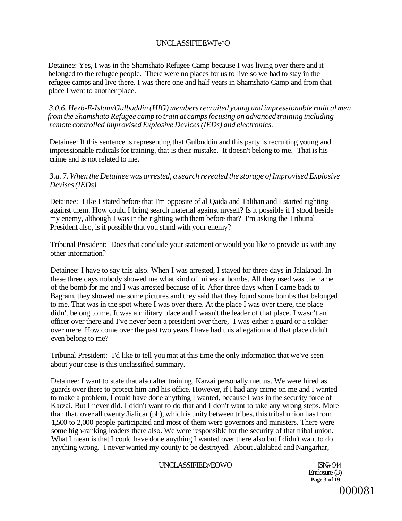# UNCLASSlFIEEWFe^O

Detainee: Yes, I was in the Shamshato Refugee Camp because I was living over there and it belonged to the refugee people. There were no places for us to live so we had to stay in the refugee camps and live there. I was there one and half years in Shamshato Camp and from that place I went to another place.

*3.0.6. Hezb-E-Islam/Gulbuddin (HIG) members recruited young and impressionable radical men from the Shamshato Refugee camp to train at camps focusing on advanced training including remote controlled Improvised Explosive Devices (IEDs) and electronics.* 

Detainee: If this sentence is representing that Gulbuddin and this party is recruiting young and impressionable radicals for training, that is their mistake. It doesn't belong to me. That is his crime and is not related to me.

### *3.a.* 7. *When the Detainee was arrested, a search revealed the storage of Improvised Explosive Devises (IEDs).*

Detainee: Like I stated before that I'm opposite of al Qaida and Taliban and I started righting against them. How could I bring search material against myself? Is it possible if I stood beside my enemy, although I was in the righting with them before that? I'm asking the Tribunal President also, is it possible that you stand with your enemy?

Tribunal President: Does that conclude your statement or would you like to provide us with any other information?

Detainee: I have to say this also. When I was arrested, I stayed for three days in Jalalabad. In these three days nobody showed me what kind of mines or bombs. All they used was the name of the bomb for me and I was arrested because of it. After three days when I came back to Bagram, they showed me some pictures and they said that they found some bombs that belonged to me. That was in the spot where I was over there. At the place I was over there, the place didn't belong to me. It was a military place and I wasn't the leader of that place. I wasn't an officer over there and I've never been a president over there, I was either a guard or a soldier over mere. How come over the past two years I have had this allegation and that place didn't even belong to me?

Tribunal President: I'd like to tell you mat at this time the only information that we've seen about your case is this unclassified summary.

Detainee: I want to state that also after training, Karzai personally met us. We were hired as guards over there to protect him and his office. However, if I had any crime on me and I wanted to make a problem, I could have done anything I wanted, because I was in the security force of Karzai. But I never did. I didn't want to do that and I don't want to take any wrong steps. More than that, over all twenty Jialicar (ph), which is unity between tribes, this tribal union has from 1,500 to 2,000 people participated and most of them were governors and ministers. There were some high-ranking leaders there also. We were responsible for the security of that tribal union. What I mean is that I could have done anything I wanted over there also but I didn't want to do anything wrong. I never wanted my county to be destroyed. About Jalalabad and Nangarhar,

### UNCLASSIFIED//EOWO ISN# 944

Enclosure (3) **Page 3 of 19** 

000081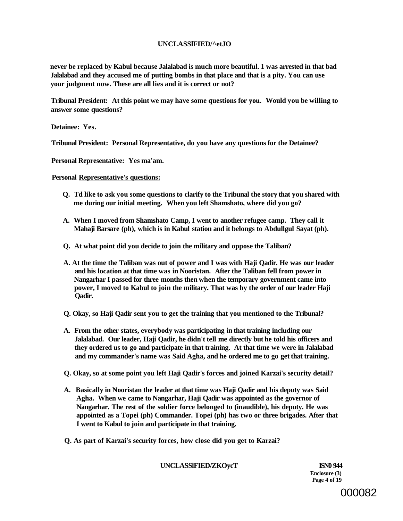### **UNCLASSlFIED/^etJO**

**never be replaced by Kabul because Jalalabad is much more beautiful. 1 was arrested in that bad Jalalabad and they accused me of putting bombs in that place and that is a pity. You can use your judgment now. These are all lies and it is correct or not?** 

**Tribunal President: At this point we may have some questions for you. Would you be willing to answer some questions?** 

**Detainee: Yes.** 

**Tribunal President: Personal Representative, do you have any questions for the Detainee?** 

**Personal Representative: Yes ma'am.** 

**Personal Representative's questions:** 

- **Q. Td like to ask you some questions to clarify to the Tribunal the story that you shared with me during our initial meeting. When you left Shamshato, where did you go?**
- **A. When I moved from Shamshato Camp, I went to another refugee camp. They call it Mahaji Barsare (ph), which is in Kabul station and it belongs to Abdullgul Sayat (ph).**
- **Q. At what point did you decide to join the military and oppose the Taliban?**
- **A. At the time the Taliban was out of power and I was with Haji Qadir. He was our leader and his location at that time was in Nooristan. After the Taliban fell from power in Nangarhar I passed for three months then when the temporary government came into power, I moved to Kabul to join the military. That was by the order of our leader Haji Qadir.**
- **Q. Okay, so Haji Qadir sent you to get the training that you mentioned to the Tribunal?**
- **A. From the other states, everybody was participating in that training including our Jalalabad. Our leader, Haji Qadir, he didn't tell me directly but he told his officers and they ordered us to go and participate in that training. At that time we were in Jalalabad and my commander's name was Said Agha, and he ordered me to go get that training.**
- **Q. Okay, so at some point you left Haji Qadir's forces and joined Karzai's security detail?**
- **A. Basically in Nooristan the leader at that time was Haji Qadir and his deputy was Said Agha. When we came to Nangarhar, Haji Qadir was appointed as the governor of Nangarhar. The rest of the soldier force belonged to (inaudible), his deputy. He was appointed as a Topei (ph) Commander. Topei (ph) has two or three brigades. After that I went to Kabul to join and participate in that training.**
- **Q. As part of Karzai's security forces, how close did you get to Karzai?**

**UNCLASSlFIED/ZKOycT ISN0 944** 

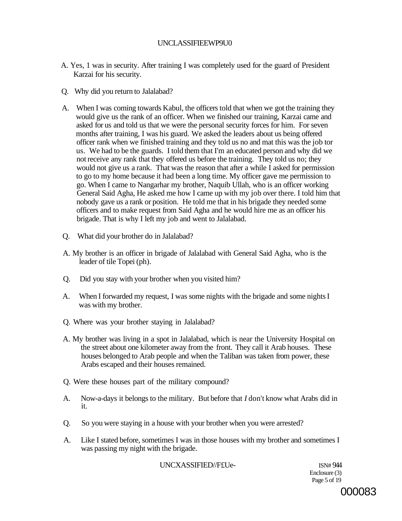## UNCLASSIFIEEWP9U0

- A. Yes, 1 was in security. After training I was completely used for the guard of President Karzai for his security.
- Q. Why did you return to Jalalabad?
- A. When I was coming towards Kabul, the officers told that when we got the training they would give us the rank of an officer. When we finished our training, Karzai came and asked for us and told us that we were the personal security forces for him. For seven months after training, I was his guard. We asked the leaders about us being offered officer rank when we finished training and they told us no and mat this was the job tor us. We had to be the guards. I told them that I'm an educated person and why did we not receive any rank that they offered us before the training. They told us no; they would not give us a rank. That was the reason that after a while I asked for permission to go to my home because it had been a long time. My officer gave me permission to go. When I came to Nangarhar my brother, Naquib Ullah, who is an officer working General Said Agha, He asked me how I came up with my job over there. I told him that nobody gave us a rank or position. He told me that in his brigade they needed some officers and to make request from Said Agha and he would hire me as an officer his brigade. That is why I left my job and went to Jalalabad.
- Q. What did your brother do in Jalalabad?
- A. My brother is an officer in brigade of Jalalabad with General Said Agha, who is the leader of tile Topei (ph).
- Q. Did you stay with your brother when you visited him?
- A. When I forwarded my request, I was some nights with the brigade and some nights I was with my brother.
- Q. Where was your brother staying in Jalalabad?
- A. My brother was living in a spot in Jalalabad, which is near the University Hospital on the street about one kilometer away from the front. They call it Arab houses. These houses belonged to Arab people and when the Taliban was taken from power, these Arabs escaped and their houses remained.
- Q. Were these houses part of the military compound?
- A. Now-a-days it belongs to the military. But before that *I* don't know what Arabs did in it.
- Q. So you were staying in a house with your brother when you were arrested?
- A. Like I stated before, sometimes I was in those houses with my brother and sometimes I was passing my night with the brigade.

UNCXASSIFIED//F£Ue- ISN# 944

Enclosure (3) Page 5 of 19

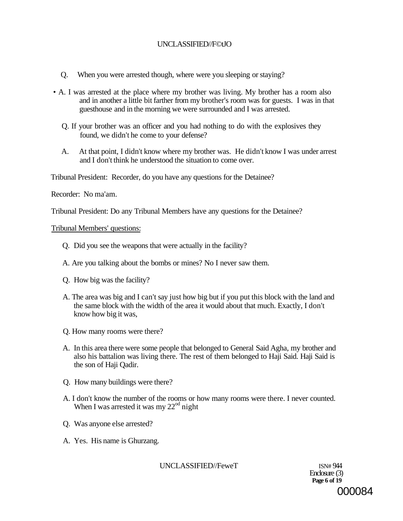# UNCLASSIFIED//F©tJO

- Q. When you were arrested though, where were you sleeping or staying?
- A. I was arrested at the place where my brother was living. My brother has a room also and in another a little bit farther from my brother's room was for guests. I was in that guesthouse and in the morning we were surrounded and I was arrested.
	- Q. If your brother was an officer and you had nothing to do with the explosives they found, we didn't he come to your defense?
	- A. At that point, I didn't know where my brother was. He didn't know I was under arrest and I don't think he understood the situation to come over.

Tribunal President: Recorder, do you have any questions for the Detainee?

Recorder: No ma'am.

Tribunal President: Do any Tribunal Members have any questions for the Detainee?

Tribunal Members' questions:

- Q. Did you see the weapons that were actually in the facility?
- A. Are you talking about the bombs or mines? No I never saw them.
- Q. How big was the facility?
- A. The area was big and I can't say just how big but if you put this block with the land and the same block with the width of the area it would about that much. Exactly, I don't know how big it was,
- Q. How many rooms were there?
- A. In this area there were some people that belonged to General Said Agha, my brother and also his battalion was living there. The rest of them belonged to Haji Said. Haji Said is the son of Haji Qadir.
- Q. How many buildings were there?
- A. I don't know the number of the rooms or how many rooms were there. I never counted. When I was arrested it was my  $22<sup>od</sup>$  night
- Q. Was anyone else arrested?
- A. Yes. His name is Ghurzang.

UNCLASSIFIED//FeweT ISN# 944

Enclosure (3) **Page 6 of 19**  000084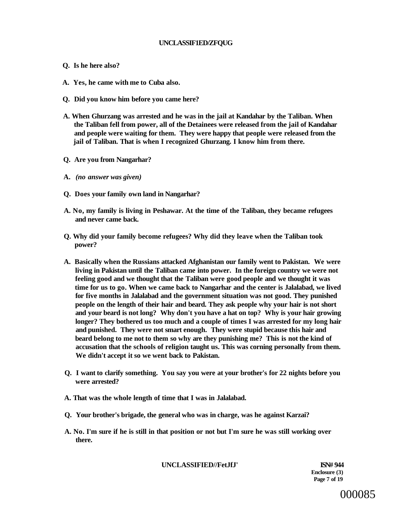### **UNCLASSIF1ED/ZFQUG**

- **Q. Is he here also?**
- **A. Yes, he came with me to Cuba also.**
- **Q. Did you know him before you came here?**
- **A. When Ghurzang was arrested and he was in the jail at Kandahar by the Taliban. When the Taliban fell from power, all of the Detainees were released from the jail of Kandahar and people were waiting for them. They were happy that people were released from the jail of Taliban. That is when I recognized Ghurzang. I know him from there.**
- **Q. Are you from Nangarhar?**
- **A.** *(no answer was given)*
- **Q. Does your family own land in Nangarhar?**
- **A. No, my family is living in Peshawar. At the time of the Taliban, they became refugees and never came back.**
- **Q. Why did your family become refugees? Why did they leave when the Taliban took power?**
- **A. Basically when the Russians attacked Afghanistan our family went to Pakistan. We were living in Pakistan until the Taliban came into power. In the foreign country we were not feeling good and we thought that the Taliban were good people and we thought it was time for us to go. When we came back to Nangarhar and the center is Jalalabad, we lived for five months in Jalalabad and the government situation was not good. They punished people on the length of their hair and beard. They ask people why your hair is not short and your beard is not long? Why don't you have a hat on top? Why is your hair growing longer? They bothered us too much and a couple of times I was arrested for my long hair and punished. They were not smart enough. They were stupid because this hair and beard belong to me not to them so why are they punishing me? This is not the kind of accusation that the schools of religion taught us. This was corning personally from them. We didn't accept it so we went back to Pakistan.**
- **Q. I want to clarify something. You say you were at your brother's for 22 nights before you were arrested?**
- **A. That was the whole length of time that I was in Jalalabad.**
- **Q. Your brother's brigade, the general who was in charge, was he against Karzai?**
- **A. No. I'm sure if he is still in that position or not but I'm sure he was still working over there.**

**UNCLASSIFIED//FetJfJ' ISN# 944** 

**Enclosure (3) Page 7 of 19** 

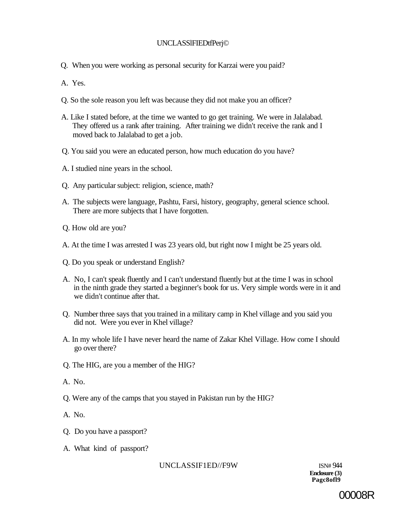# UNCLASSlFIEDtfPerj©

Q. When you were working as personal security for Karzai were you paid?

A. Yes.

- Q. So the sole reason you left was because they did not make you an officer?
- A. Like I stated before, at the time we wanted to go get training. We were in Jalalabad. They offered us a rank after training. After training we didn't receive the rank and I moved back to Jalalabad to get a job.
- Q. You said you were an educated person, how much education do you have?
- A. I studied nine years in the school.
- Q. Any particular subject: religion, science, math?
- A. The subjects were language, Pashtu, Farsi, history, geography, general science school. There are more subjects that I have forgotten.
- Q. How old are you?
- A. At the time I was arrested I was 23 years old, but right now I might be 25 years old.
- Q. Do you speak or understand English?
- A. No, I can't speak fluently and I can't understand fluently but at the time I was in school in the ninth grade they started a beginner's book for us. Very simple words were in it and we didn't continue after that.
- Q. Number three says that you trained in a military camp in Khel village and you said you did not. Were you ever in Khel village?
- A. In my whole life I have never heard the name of Zakar Khel Village. How come I should go over there?
- Q. The HIG, are you a member of the HIG?
- A. No.
- Q. Were any of the camps that you stayed in Pakistan run by the HIG?
- A. No.
- Q. Do you have a passport?
- A. What kind of passport?

UNCLASSIF1ED//F9W ISN#944

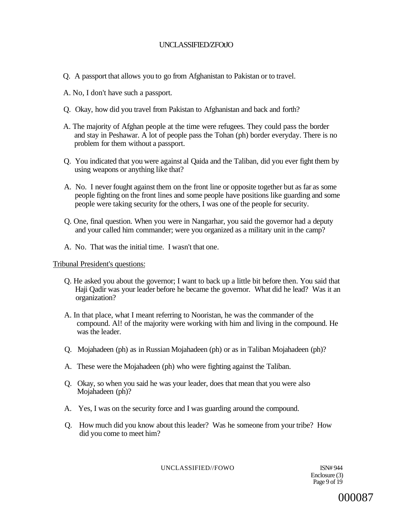# UNCLASSIFIED/ZFOtJO

- Q. A passport that allows you to go from Afghanistan to Pakistan or to travel.
- A. No, I don't have such a passport.
- Q. Okay, how did you travel from Pakistan to Afghanistan and back and forth?
- A. The majority of Afghan people at the time were refugees. They could pass the border and stay in Peshawar. A lot of people pass the Tohan (ph) border everyday. There is no problem for them without a passport.
- Q. You indicated that you were against al Qaida and the Taliban, did you ever fight them by using weapons or anything like that?
- A. No. I never fought against them on the front line or opposite together but as far as some people fighting on the front lines and some people have positions like guarding and some people were taking security for the others, I was one of the people for security.
- Q. One, final question. When you were in Nangarhar, you said the governor had a deputy and your called him commander; were you organized as a military unit in the camp?
- A. No. That was the initial time. I wasn't that one.

Tribunal President's questions:

- Q. He asked you about the governor; I want to back up a little bit before then. You said that Haji Qadir was your leader before he became the governor. What did he lead? Was it an organization?
- A. In that place, what I meant referring to Nooristan, he was the commander of the compound. Al! of the majority were working with him and living in the compound. He was the leader.
- Q. Mojahadeen (ph) as in Russian Mojahadeen (ph) or as in Taliban Mojahadeen (ph)?
- A. These were the Mojahadeen (ph) who were fighting against the Taliban.
- Q. Okay, so when you said he was your leader, does that mean that you were also Mojahadeen (ph)?
- A. Yes, I was on the security force and I was guarding around the compound.
- Q. How much did you know about this leader? Was he someone from your tribe? How did you come to meet him?

UNCLASSIFIED//FOWO ISN# 944

Enclosure (3) Page 9 of 19

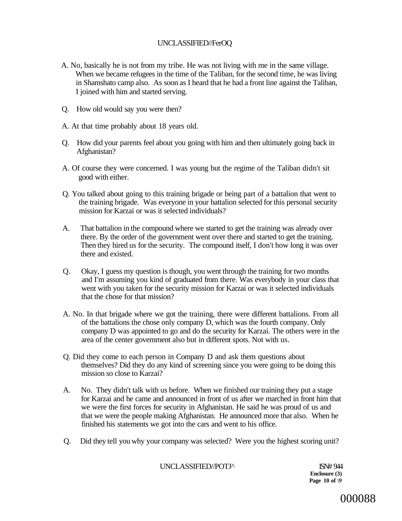# UNCLASSIFIED//FerOQ

- A. No, basically he is not from my tribe. He was not living with me in the same village. When we became refugees in the time of the Taliban, for the second time, he was living in Shamshato camp also. As soon as I heard that he had a front line against the Taliban, I joined with him and started serving.
- Q. How old would say you were then?
- A. At that time probably about 18 years old.
- Q. How did your parents feel about you going with him and then ultimately going back in Afghanistan?
- A. Of course they were concerned. I was young but the regime of the Taliban didn't sit good with either.
- Q. You talked about going to this training brigade or being part of a battalion that went to the training brigade. Was everyone in your battalion selected for this personal security mission for Karzai or was it selected individuals?
- A. That battalion in the compound where we started to get the training was already over there. By the order of the government went over there and started to get the training. Then they hired us for the security. The compound itself, I don't how long it was over there and existed.
- Q. Okay, I guess my question is though, you went through the training for two months and I'm assuming you kind of graduated from there. Was everybody in your class that went with you taken for the security mission for Karzai or was it selected individuals that the chose for that mission?
- A. No. In that brigade where we got the training, there were different battalions. From all of the battalions the chose only company D, which was the fourth company. Only company D was appointed to go and do the security for Karzai. The others were in the area of the center government also but in different spots. Not with us.
- Q. Did they come to each person in Company D and ask them questions about themselves? Did they do any kind of screening since you were going to be doing this mission so close to Karzai?
- A. No. They didn't talk with us before. When we finished our training they put a stage for Karzai and he came and announced in front of us after we marched in front him that we were the first forces for security in Afghanistan. He said he was proud of us and that we were the people making Afghanistan. He announced more that also. When he finished his statements we got into the cars and went to his office.
- Q. Did they tell you why your company was selected? Were you the highest scoring unit?

UNCLASSIFIED//POTJ^ ISN# 944

**Enclosure (3) Page 10 of** *\9*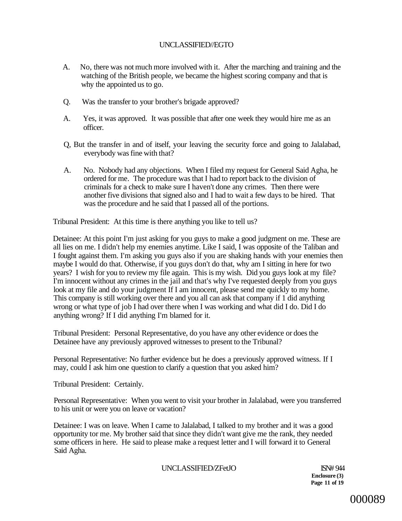# UNCLASSIFIED//EGTO

- A. No, there was not much more involved with it. After the marching and training and the watching of the British people, we became the highest scoring company and that is why the appointed us to go.
- Q. Was the transfer to your brother's brigade approved?
- A. Yes, it was approved. It was possible that after one week they would hire me as an officer.
- Q, But the transfer in and of itself, your leaving the security force and going to Jalalabad, everybody was fine with that?
- A. No. Nobody had any objections. When I filed my request for General Said Agha, he ordered for me. The procedure was that I had to report back to the division of criminals for a check to make sure I haven't done any crimes. Then there were another five divisions that signed also and I had to wait a few days to be hired. That was the procedure and he said that I passed all of the portions.

Tribunal President: At this time is there anything you like to tell us?

Detainee: At this point I'm just asking for you guys to make a good judgment on me. These are all lies on me. I didn't help my enemies anytime. Like I said, I was opposite of the Taliban and I fought against them. I'm asking you guys also if you are shaking hands with your enemies then maybe I would do that. Otherwise, if you guys don't do that, why am I sitting in here for two years? I wish for you to review my file again. This is my wish. Did you guys look at my file? I'm innocent without any crimes in the jail and that's why I've requested deeply from you guys look at my file and do your judgment If I am innocent, please send me quickly to my home. This company is still working over there and you all can ask that company if 1 did anything wrong or what type of job I had over there when I was working and what did I do. Did I do anything wrong? If I did anything I'm blamed for it.

Tribunal President: Personal Representative, do you have any other evidence or does the Detainee have any previously approved witnesses to present to the Tribunal?

Personal Representative: No further evidence but he does a previously approved witness. If I may, could I ask him one question to clarify a question that you asked him?

Tribunal President: Certainly.

Personal Representative: When you went to visit your brother in Jalalabad, were you transferred to his unit or were you on leave or vacation?

Detainee: I was on leave. When I came to Jalalabad, I talked to my brother and it was a good opportunity tor me. My brother said that since they didn't want give me the rank, they needed some officers in here. He said to please make a request letter and I will forward it to General Said Agha.

UNCLASSIFIED/ZFetJO ISN# 944

**Enclosure (3) Page 11 of 19**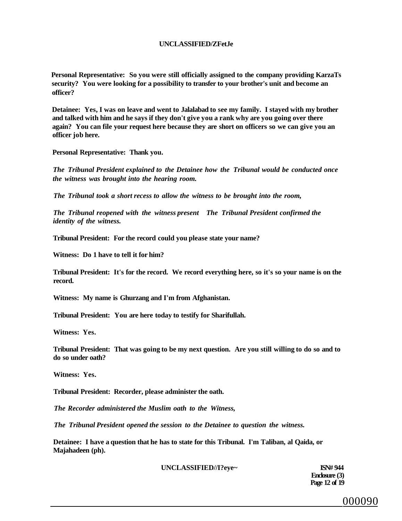#### **UNCLASSIFIED/ZFetJe**

**Personal Representative: So you were still officially assigned to the company providing KarzaTs security? You were looking for a possibility to transfer to your brother's unit and become an officer?** 

**Detainee: Yes, I was on leave and went to Jalalabad to see my family. I stayed with my brother and talked with him and he says if they don't give you a rank why are you going over there again? You can file your request here because they are short on officers so we can give you an officer job here.** 

**Personal Representative: Thank you.** 

*The Tribunal President explained to the Detainee how the Tribunal would be conducted once the witness was brought into the hearing room.* 

*The Tribunal took a short recess to allow the witness to be brought into the room,* 

*The Tribunal reopened with the witness present The Tribunal President confirmed the identity of the witness.* 

**Tribunal President: For the record could you please state your name?** 

**Witness: Do 1 have to tell it for him?** 

**Tribunal President: It's for the record. We record everything here, so it's so your name is on the record.** 

**Witness: My name is Ghurzang and I'm from Afghanistan.** 

**Tribunal President: You are here today to testify for Sharifullah.** 

**Witness: Yes.** 

**Tribunal President: That was going to be my next question. Are you still willing to do so and to do so under oath?** 

**Witness: Yes.** 

**Tribunal President: Recorder, please administer the oath.** 

*The Recorder administered the Muslim oath to the Witness,* 

*The Tribunal President opened the session to the Detainee to question the witness.* 

**Detainee: I have a question that he has to state for this Tribunal. I'm Taliban, al Qaida, or Majahadeen (ph).** 

**UNCLASSIFIED//I?eye~ ISN# 944** 

**Enclosure (3) Page 12 of 19** 

000090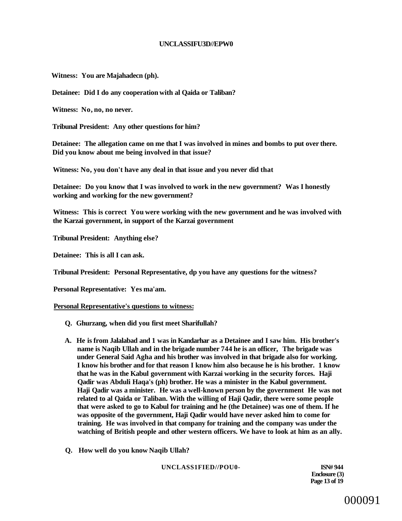#### **UNCLASSIFU3D//EPW0**

**Witness: You are Majahadecn (ph).** 

**Detainee: Did I do any cooperation with al Qaida or Taliban?** 

**Witness: No, no, no never.** 

**Tribunal President: Any other questions for him?** 

**Detainee: The allegation came on me that I was involved in mines and bombs to put over there. Did you know about me being involved in that issue?** 

**Witness: No, you don't have any deal in that issue and you never did that** 

**Detainee: Do you know that I was involved to work in the new government? Was I honestly working and working for the new government?** 

**Witness: This is correct You were working with the new government and he was involved with the Karzai government, in support of the Karzai government** 

**Tribunal President: Anything else?** 

**Detainee: This is all I can ask.** 

**Tribunal President: Personal Representative, dp you have any questions for the witness?** 

**Personal Representative: Yes ma'am.** 

#### **Personal Representative's questions to witness:**

- **Q. Ghurzang, when did you first meet Sharifullah?**
- **A. He is from Jalalabad and 1 was in Kandarhar as a Detainee and I saw him. His brother's name is Naqib Ullah and in the brigade number 744 he is an officer, The brigade was under General Said Agha and his brother was involved in that brigade also for working. I know his brother and for that reason I know him also because he is his brother. 1 know that he was in the Kabul government with Karzai working in the security forces. Haji Qadir was Abduli Haqa's (ph) brother. He was a minister in the Kabul government. Haji Qadir was a minister. He was a well-known person by the government He was not related to al Qaida or Taliban. With the willing of Haji Qadir, there were some people that were asked to go to Kabul for training and he (the Detainee) was one of them. If he was opposite of the government, Haji Qadir would have never asked him to come for training. He was involved in that company for training and the company was under the watching of British people and other western officers. We have to look at him as an ally.**
- **Q. How well do you know Naqib Ullah?**

**UNCLASS1FIED//POU0- ISN# 944** 

**Enclosure (3) Page 13 of 19**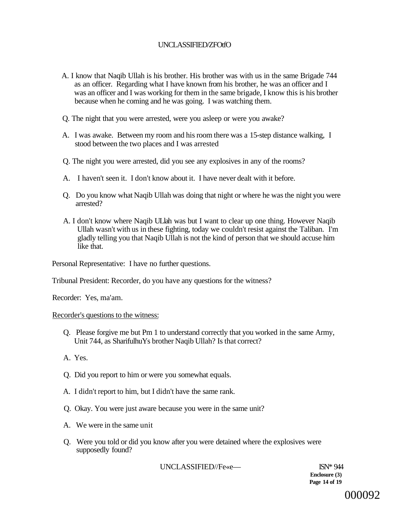# UNCLASSIFIED/ZFOtfO

- A. I know that Naqib Ullah is his brother. His brother was with us in the same Brigade 744 as an officer. Regarding what I have known from his brother, he was an officer and I was an officer and I was working for them in the same brigade, I know this is his brother because when he coming and he was going. I was watching them.
- Q. The night that you were arrested, were you asleep or were you awake?
- A. I was awake. Between my room and his room there was a 15-step distance walking, I stood between the two places and I was arrested
- Q. The night you were arrested, did you see any explosives in any of the rooms?
- A. I haven't seen it. I don't know about it. I have never dealt with it before.
- Q. Do you know what Naqib Ullah was doing that night or where he was the night you were arrested?
- A. I don't know where Naqib ULlah was but I want to clear up one thing. However Naqib Ullah wasn't with us in these fighting, today we couldn't resist against the Taliban. I'm gladly telling you that Naqib Ullah is not the kind of person that we should accuse him like that.

Personal Representative: I have no further questions.

Tribunal President: Recorder, do you have any questions for the witness?

Recorder: Yes, ma'am.

### Recorder's questions to the witness:

- Q. Please forgive me but Pm 1 to understand correctly that you worked in the same Army, Unit 744, as SharifulhuYs brother Naqib Ullah? Is that correct?
- A. Yes.
- Q. Did you report to him or were you somewhat equals.
- A. I didn't report to him, but I didn't have the same rank.
- Q. Okay. You were just aware because you were in the same unit?
- A. We were in the same unit
- Q. Were you told or did you know after you were detained where the explosives were supposedly found?

UNCLASSIFIED//Fe«e— ISN\* 944

**Enclosure (3) Page 14 of 19**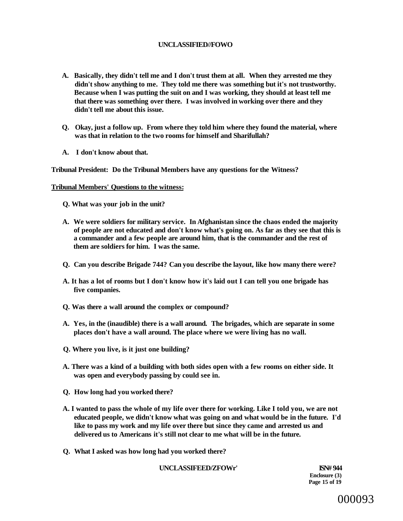### **UNCLASSIFIED//FOWO**

- **A. Basically, they didn't tell me and I don't trust them at all. When they arrested me they didn't show anything to me. They told me there was something but it's not trustworthy. Because when I was putting the suit on and I was working, they should at least tell me that there was something over there. I was involved in working over there and they didn't tell me about this issue.**
- **Q. Okay, just a follow up. From where they told him where they found the material, where was that in relation to the two rooms for himself and Sharifullah?**
- **A. I don't know about that.**

**Tribunal President: Do the Tribunal Members have any questions for the Witness?** 

#### **Tribunal Members' Questions to the witness:**

- **Q. What was your job in the unit?**
- **A. We were soldiers for military service. In Afghanistan since the chaos ended the majority of people are not educated and don't know what's going on. As far as they see that this is a commander and a few people are around him, that is the commander and the rest of them are soldiers for him. I was the same.**
- **Q. Can you describe Brigade 744? Can you describe the layout, like how many there were?**
- **A. It has a lot of rooms but I don't know how it's laid out I can tell you one brigade has five companies.**
- **Q. Was there a wall around the complex or compound?**
- **A. Yes, in the (inaudible) there is a wall around. The brigades, which are separate in some places don't have a wall around. The place where we were living has no wall.**
- **Q. Where you live, is it just one building?**
- **A. There was a kind of a building with both sides open with a few rooms on either side. It was open and everybody passing by could see in.**
- **Q. How long had you worked there?**
- **A. I wanted to pass the whole of my life over there for working. Like I told you, we are not educated people, we didn't know what was going on and what would be in the future. I'd like to pass my work and my life over there but since they came and arrested us and delivered us to Americans it's still not clear to me what will be in the future.**
- **Q. What I asked was how long had you worked there?**

**UNCLASSIFEED/ZFOWr' ISN# 944** 

**Enclosure (3) Page 15 of 19** 

000093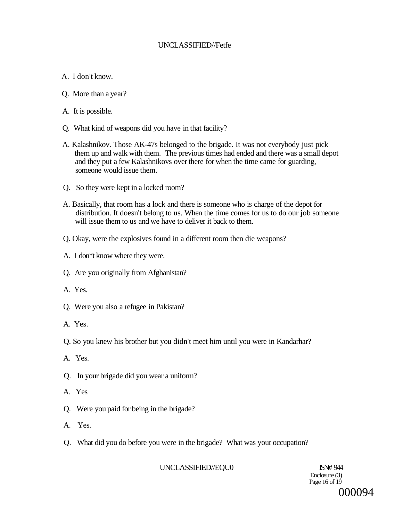# UNCLASSIFIED//Fetfe

- A. I don't know.
- Q. More than a year?
- A. It is possible.
- Q. What kind of weapons did you have in that facility?
- A. Kalashnikov. Those AK-47s belonged to the brigade. It was not everybody just pick them up and walk with them. The previous times had ended and there was a small depot and they put a few Kalashnikovs over there for when the time came for guarding, someone would issue them.
- Q. So they were kept in a locked room?
- A. Basically, that room has a lock and there is someone who is charge of the depot for distribution. It doesn't belong to us. When the time comes for us to do our job someone will issue them to us and we have to deliver it back to them.
- Q. Okay, were the explosives found in a different room then die weapons?
- A. I don\*t know where they were.
- Q. Are you originally from Afghanistan?
- A. Yes.
- Q. Were you also a refugee in Pakistan?
- A. Yes.
- Q. So you knew his brother but you didn't meet him until you were in Kandarhar?
- A. Yes.
- Q. In your brigade did you wear a uniform?
- A. Yes
- Q. Were you paid for being in the brigade?
- A. Yes.
- Q. What did you do before you were in the brigade? What was your occupation?

UNCLASSIFIED//EQU0 ISN# 944

Enclosure (3) Page 16 of 19 000094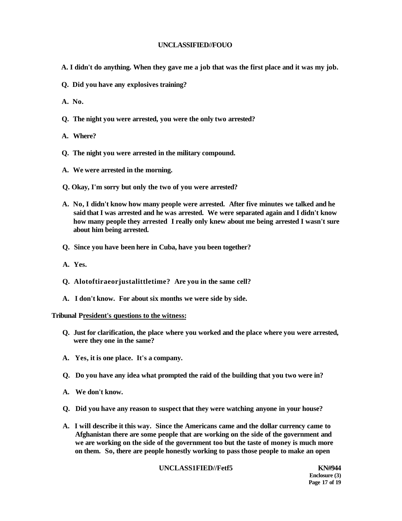#### **UNCLASSIFIED//FOUO**

- **A. I didn't do anything. When they gave me a job that was the first place and it was my job.**
- **Q. Did you have any explosives training?**
- **A. No.**
- **Q. The night you were arrested, you were the only two arrested?**
- **A. Where?**
- **Q. The night you were arrested in the military compound.**
- **A. We were arrested in the morning.**
- **Q. Okay, I'm sorry but only the two of you were arrested?**
- **A. No, I didn't know how many people were arrested. After five minutes we talked and he said that I was arrested and he was arrested. We were separated again and I didn't know how many people they arrested I really only knew about me being arrested I wasn't sure about him being arrested.**
- **Q. Since you have been here in Cuba, have you been together?**
- **A. Yes.**
- **Q. Alotoftiraeorjustalittletime? Are you in the same cell?**
- **A. I don't know. For about six months we were side by side.**

#### **Tribunal President's questions to the witness:**

- **Q. Just for clarification, the place where you worked and the place where you were arrested, were they one in the same?**
- **A. Yes, it is one place. It's a company.**
- **Q. Do you have any idea what prompted the raid of the building that you two were in?**
- **A. We don't know.**
- **Q. Did you have any reason to suspect that they were watching anyone in your house?**
- **A. I will describe it this way. Since the Americans came and the dollar currency came to Afghanistan there are some people that are working on the side of the government and we are working on the side of the government too but the taste of money is much more on them. So, there are people honestly working to pass those people to make an open**

#### **UNCLASS1FIED//Fetf5 KN#944**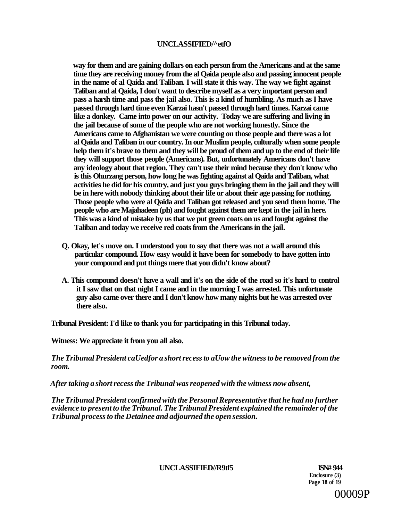### **UNCLASSIFIED/^etfO**

**way for them and are gaining dollars on each person from the Americans and at the same time they are receiving money from the al Qaida people also and passing innocent people in the name of al Qaida and Taliban. I will state it this way. The way we fight against Taliban and al Qaida, I don't want to describe myself as a very important person and pass a harsh time and pass the jail also. This is a kind of humbling. As much as I have passed through hard time even Karzai hasn't passed through hard times. Karzai came like a donkey. Came into power on our activity. Today we are suffering and living in the jail because of some of the people who are not working honestly. Since the Americans came to Afghanistan we were counting on those people and there was a lot al Qaida and Taliban in our country. In our Muslim people, culturally when some people help them it's brave to them and they will be proud of them and up to the end of their life they will support those people (Americans). But, unfortunately Americans don't have any ideology about that region. They can't use their mind because they don't know who is this Ohurzang person, how long he was fighting against al Qaida and Taliban, what activities he did for his country, and just you guys bringing them in the jail and they will be in here with nobody thinking about their life or about their age passing for nothing. Those people who were al Qaida and Taliban got released and you send them home. The people who are Majahadeen (ph) and fought against them are kept in the jail in here. This was a kind of mistake by us that we put green coats on us and fought against the Taliban and today we receive red coats from the Americans in the jail.** 

- **Q. Okay, let's move on. I understood you to say that there was not a wall around this particular compound. How easy would it have been for somebody to have gotten into your compound and put things mere that you didn't know about?**
- **A. This compound doesn't have a wall and it's on the side of the road so it's hard to control it I saw that on that night I came and in the morning I was arrested. This unfortunate guy also came over there and I don't know how many nights but he was arrested over there also.**

**Tribunal President: I'd like to thank you for participating in this Tribunal today.** 

**Witness: We appreciate it from you all also.** 

*The Tribunal President caUedfor a short recess to aUow the witness to be removed from the room.* 

*After taking a short recess the Tribunal was reopened with the witness now absent,* 

*The Tribunal President confirmed with the Personal Representative that he had no further evidence to present to the Tribunal. The Tribunal President explained the remainder of the Tribunal process to the Detainee and adjourned the open session.* 

UNCLASSIFIED//R9tf5 **ISN# 944** 

**Enclosure (3) Page 18 of 19**  00009P